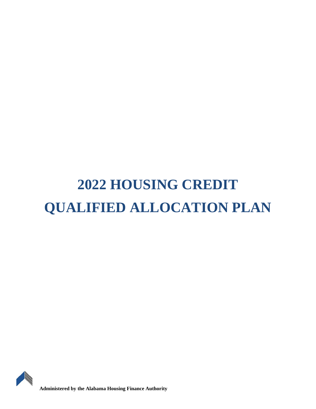# **2022 HOUSING CREDIT QUALIFIED ALLOCATION PLAN**



**Administered by the Alabama Housing Finance Authority**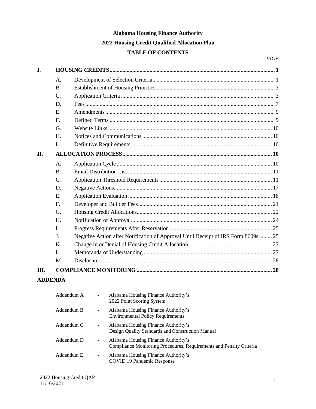## **Alabama Housing Finance Authority 2022 Housing Credit Qualified Allocation Plan TABLE OF CONTENTS**

| I.  |                |                                                                                    |  |  |  |  |
|-----|----------------|------------------------------------------------------------------------------------|--|--|--|--|
|     | A.             |                                                                                    |  |  |  |  |
|     | $\mathbf{B}$ . |                                                                                    |  |  |  |  |
|     | C.             |                                                                                    |  |  |  |  |
|     | D.             |                                                                                    |  |  |  |  |
|     | E.             |                                                                                    |  |  |  |  |
|     | F.             |                                                                                    |  |  |  |  |
|     | G.             |                                                                                    |  |  |  |  |
|     | H.             |                                                                                    |  |  |  |  |
|     | L.             |                                                                                    |  |  |  |  |
| II. |                |                                                                                    |  |  |  |  |
|     | A.             |                                                                                    |  |  |  |  |
|     | <b>B.</b>      |                                                                                    |  |  |  |  |
|     | C.             |                                                                                    |  |  |  |  |
|     | D.             |                                                                                    |  |  |  |  |
|     | E.             |                                                                                    |  |  |  |  |
|     | F.             |                                                                                    |  |  |  |  |
|     | G.             |                                                                                    |  |  |  |  |
|     | H.             |                                                                                    |  |  |  |  |
|     | L              |                                                                                    |  |  |  |  |
|     | J.             | Negative Action after Notification of Approval Until Receipt of IRS Form 8609s  25 |  |  |  |  |
|     | K.             |                                                                                    |  |  |  |  |
|     | L.             |                                                                                    |  |  |  |  |
|     | M.             |                                                                                    |  |  |  |  |
| Ш.  |                |                                                                                    |  |  |  |  |
|     | <b>DREID</b> 1 |                                                                                    |  |  |  |  |

## **ADDENDA**

| Addendum A | $\overline{\phantom{a}}$ | Alabama Housing Finance Authority's<br>2022 Point Scoring System                                           |
|------------|--------------------------|------------------------------------------------------------------------------------------------------------|
| Addendum B | $\overline{\phantom{a}}$ | Alabama Housing Finance Authority's<br><b>Environmental Policy Requirements</b>                            |
| Addendum C | $\overline{\phantom{a}}$ | Alabama Housing Finance Authority's<br>Design Quality Standards and Construction Manual                    |
| Addendum D | $\overline{\phantom{a}}$ | Alabama Housing Finance Authority's<br>Compliance Monitoring Procedures, Requirements and Penalty Criteria |
| Addendum E | -                        | Alabama Housing Finance Authority's<br>COVID 19 Pandemic Response                                          |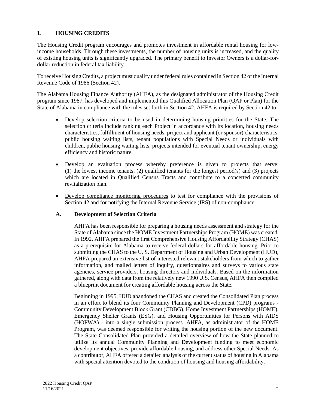## **I. HOUSING CREDITS**

The Housing Credit program encourages and promotes investment in affordable rental housing for lowincome households. Through these investments, the number of housing units is increased, and the quality of existing housing units is significantly upgraded. The primary benefit to Investor Owners is a dollar-fordollar reduction in federal tax liability.

To receive Housing Credits, a project must qualify under federal rules contained in Section 42 of the Internal Revenue Code of 1986 (Section 42).

The Alabama Housing Finance Authority (AHFA), as the designated administrator of the Housing Credit program since 1987, has developed and implemented this Qualified Allocation Plan (QAP or Plan) for the State of Alabama in compliance with the rules set forth in Section 42. AHFA is required by Section 42 to:

- Develop selection criteria to be used in determining housing priorities for the State. The selection criteria include ranking each Project in accordance with its location, housing needs characteristics, fulfillment of housing needs, project and applicant (or sponsor) characteristics, public housing waiting lists, tenant populations with Special Needs or individuals with children, public housing waiting lists, projects intended for eventual tenant ownership, energy efficiency and historic nature.
- Develop an evaluation process whereby preference is given to projects that serve: (1) the lowest income tenants, (2) qualified tenants for the longest period(s) and (3) projects which are located in Qualified Census Tracts and contribute to a concerted community revitalization plan.
- Develop compliance monitoring procedures to test for compliance with the provisions of Section 42 and for notifying the Internal Revenue Service (IRS) of non-compliance.

#### **A. Development of Selection Criteria**

AHFA has been responsible for preparing a housing needs assessment and strategy for the State of Alabama since the HOME Investment Partnerships Program (HOME) was created. In 1992, AHFA prepared the first Comprehensive Housing Affordability Strategy (CHAS) as a prerequisite for Alabama to receive federal dollars for affordable housing. Prior to submitting the CHAS to the U. S. Department of Housing and Urban Development (HUD), AHFA prepared an extensive list of interested relevant stakeholders from which to gather information, and mailed letters of inquiry, questionnaires and surveys to various state agencies, service providers, housing directors and individuals. Based on the information gathered, along with data from the relatively new 1990 U.S. Census, AHFA then compiled a blueprint document for creating affordable housing across the State.

Beginning in 1995, HUD abandoned the CHAS and created the Consolidated Plan process in an effort to blend its four Community Planning and Development (CPD) programs - Community Development Block Grant (CDBG), Home Investment Partnerships (HOME), Emergency Shelter Grants (ESG), and Housing Opportunities for Persons with AIDS (HOPWA) - into a single submission process. AHFA, as administrator of the HOME Program, was deemed responsible for writing the housing portion of the new document. The State Consolidated Plan provided a detailed overview of how the State planned to utilize its annual Community Planning and Development funding to meet economic development objectives, provide affordable housing, and address other Special Needs. As a contributor, AHFA offered a detailed analysis of the current status of housing in Alabama with special attention devoted to the condition of housing and housing affordability.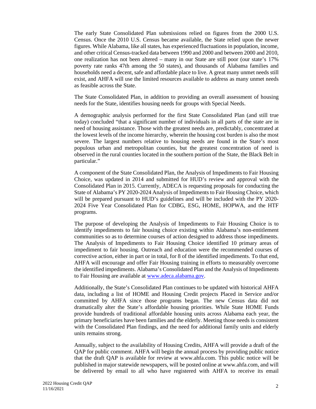The early State Consolidated Plan submissions relied on figures from the 2000 U.S. Census. Once the 2010 U.S. Census became available, the State relied upon the newer figures. While Alabama, like all states, has experienced fluctuations in population, income, and other critical Census-tracked data between 1990 and 2000 and between 2000 and 2010, one realization has not been altered – many in our State are still poor (our state's 17% poverty rate ranks 47th among the 50 states), and thousands of Alabama families and households need a decent, safe and affordable place to live. A great many unmet needs still exist, and AHFA will use the limited resources available to address as many unmet needs as feasible across the State.

The State Consolidated Plan, in addition to providing an overall assessment of housing needs for the State, identifies housing needs for groups with Special Needs.

A demographic analysis performed for the first State Consolidated Plan (and still true today) concluded "that a significant number of individuals in all parts of the state are in need of housing assistance. Those with the greatest needs are, predictably, concentrated at the lowest levels of the income hierarchy, wherein the housing cost burden is also the most severe. The largest numbers relative to housing needs are found in the State's most populous urban and metropolitan counties, but the greatest concentration of need is observed in the rural counties located in the southern portion of the State, the Black Belt in particular."

A component of the State Consolidated Plan, the Analysis of Impediments to Fair Housing Choice, was updated in 2014 and submitted for HUD's review and approval with the Consolidated Plan in 2015. Currently, ADECA is requesting proposals for conducting the State of Alabama's PY 2020-2024 Analysis of Impediments to Fair Housing Choice, which will be prepared pursuant to HUD's guidelines and will be included with the PY 2020- 2024 Five Year Consolidated Plan for CDBG, ESG, HOME, HOPWA, and the HTF programs.

The purpose of developing the Analysis of Impediments to Fair Housing Choice is to identify impediments to fair housing choice existing within Alabama's non-entitlement communities so as to determine courses of action designed to address those impediments. The Analysis of Impediments to Fair Housing Choice identified 10 primary areas of impediment to fair housing. Outreach and education were the recommended courses of corrective action, either in part or in total, for 8 of the identified impediments. To that end, AHFA will encourage and offer Fair Housing training in efforts to measurably overcome the identified impediments. Alabama's Consolidated Plan and the Analysis of Impediments to Fair Housing are available at www.adeca.alabama.gov.

Additionally, the State's Consolidated Plan continues to be updated with historical AHFA data, including a list of HOME and Housing Credit projects Placed in Service and/or committed by AHFA since those programs began. The new Census data did not dramatically alter the State's affordable housing priorities. While State HOME Funds provide hundreds of traditional affordable housing units across Alabama each year, the primary beneficiaries have been families and the elderly. Meeting those needs is consistent with the Consolidated Plan findings, and the need for additional family units and elderly units remains strong.

Annually, subject to the availability of Housing Credits, AHFA will provide a draft of the QAP for public comment. AHFA will begin the annual process by providing public notice that the draft QAP is available for review at www.ahfa.com. This public notice will be published in major statewide newspapers, will be posted online at www.ahfa.com, and will be delivered by email to all who have registered with AHFA to receive its email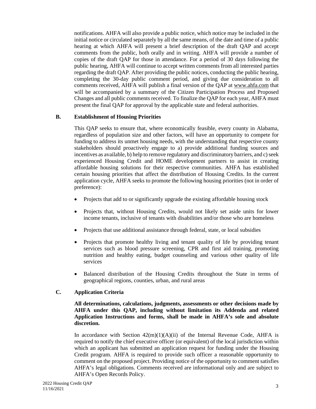notifications. AHFA will also provide a public notice, which notice may be included in the initial notice or circulated separately by all the same means, of the date and time of a public hearing at which AHFA will present a brief description of the draft QAP and accept comments from the public, both orally and in writing. AHFA will provide a number of copies of the draft QAP for those in attendance. For a period of 30 days following the public hearing, AHFA will continue to accept written comments from all interested parties regarding the draft QAP. After providing the public notices, conducting the public hearing, completing the 30-day public comment period, and giving due consideration to all comments received, AHFA will publish a final version of the QAP at www.ahfa.com that will be accompanied by a summary of the Citizen Participation Process and Proposed Changes and all public comments received. To finalize the QAP for each year, AHFA must present the final QAP for approval by the applicable state and federal authorities.

### **B. Establishment of Housing Priorities**

This QAP seeks to ensure that, where economically feasible, every county in Alabama, regardless of population size and other factors, will have an opportunity to compete for funding to address its unmet housing needs, with the understanding that respective county stakeholders should proactively engage to a) provide additional funding sources and incentives as available, b) help to remove regulatory and discriminatory barriers, and c) seek experienced Housing Credit and HOME development partners to assist in creating affordable housing solutions for their respective communities. AHFA has established certain housing priorities that affect the distribution of Housing Credits. In the current application cycle, AHFA seeks to promote the following housing priorities (not in order of preference):

- Projects that add to or significantly upgrade the existing affordable housing stock
- Projects that, without Housing Credits, would not likely set aside units for lower income tenants, inclusive of tenants with disabilities and/or those who are homeless
- Projects that use additional assistance through federal, state, or local subsidies
- Projects that promote healthy living and tenant quality of life by providing tenant services such as blood pressure screening, CPR and first aid training, promoting nutrition and healthy eating, budget counseling and various other quality of life services
- Balanced distribution of the Housing Credits throughout the State in terms of geographical regions, counties, urban, and rural areas

## **C. Application Criteria**

#### **All determinations, calculations, judgments, assessments or other decisions made by AHFA under this QAP, including without limitation its Addenda and related Application Instructions and forms, shall be made in AHFA's sole and absolute discretion.**

In accordance with Section  $42(m)(1)(A)(ii)$  of the Internal Revenue Code, AHFA is required to notify the chief executive officer (or equivalent) of the local jurisdiction within which an applicant has submitted an application request for funding under the Housing Credit program. AHFA is required to provide such officer a reasonable opportunity to comment on the proposed project. Providing notice of the opportunity to comment satisfies AHFA's legal obligations. Comments received are informational only and are subject to AHFA's Open Records Policy.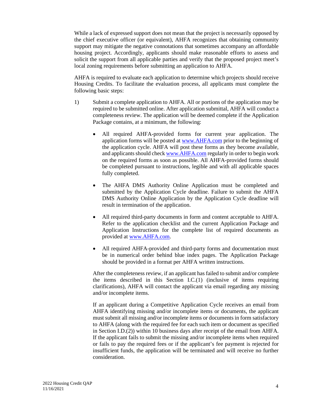While a lack of expressed support does not mean that the project is necessarily opposed by the chief executive officer (or equivalent), AHFA recognizes that obtaining community support may mitigate the negative connotations that sometimes accompany an affordable housing project. Accordingly, applicants should make reasonable efforts to assess and solicit the support from all applicable parties and verify that the proposed project meet's local zoning requirements before submitting an application to AHFA.

AHFA is required to evaluate each application to determine which projects should receive Housing Credits. To facilitate the evaluation process, all applicants must complete the following basic steps:

- 1) Submit a complete application to AHFA. All or portions of the application may be required to be submitted online. After application submittal, AHFA will conduct a completeness review. The application will be deemed complete if the Application Package contains, at a minimum, the following:
	- All required AHFA-provided forms for current year application. The application forms will be posted at www.AHFA.com prior to the beginning of the application cycle. AHFA will post these forms as they become available, and applicants should check www.AHFA.com regularly in order to begin work on the required forms as soon as possible. All AHFA-provided forms should be completed pursuant to instructions, legible and with all applicable spaces fully completed.
	- The AHFA DMS Authority Online Application must be completed and submitted by the Application Cycle deadline. Failure to submit the AHFA DMS Authority Online Application by the Application Cycle deadline will result in termination of the application.
	- All required third-party documents in form and content acceptable to AHFA. Refer to the application checklist and the current Application Package and Application Instructions for the complete list of required documents as provided at www.AHFA.com.
	- All required AHFA-provided and third-party forms and documentation must be in numerical order behind blue index pages. The Application Package should be provided in a format per AHFA written instructions.

After the completeness review, if an applicant has failed to submit and/or complete the items described in this Section I.C.(1) (inclusive of items requiring clarifications), AHFA will contact the applicant via email regarding any missing and/or incomplete items.

If an applicant during a Competitive Application Cycle receives an email from AHFA identifying missing and/or incomplete items or documents, the applicant must submit all missing and/or incomplete items or documents in form satisfactory to AHFA (along with the required fee for each such item or document as specified in Section I.D.(2)) within 10 business days after receipt of the email from AHFA. If the applicant fails to submit the missing and/or incomplete items when required or fails to pay the required fees or if the applicant's fee payment is rejected for insufficient funds, the application will be terminated and will receive no further consideration.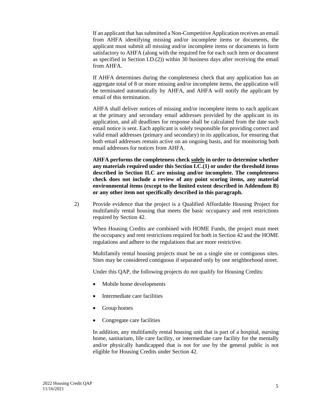If an applicant that has submitted a Non-Competitive Application receives an email from AHFA identifying missing and/or incomplete items or documents, the applicant must submit all missing and/or incomplete items or documents in form satisfactory to AHFA (along with the required fee for each such item or document as specified in Section I.D.(2)) within 30 business days after receiving the email from AHFA.

If AHFA determines during the completeness check that any application has an aggregate total of 8 or more missing and/or incomplete items, the application will be terminated automatically by AHFA, and AHFA will notify the applicant by email of this termination.

AHFA shall deliver notices of missing and/or incomplete items to each applicant at the primary and secondary email addresses provided by the applicant in its application, and all deadlines for response shall be calculated from the date such email notice is sent. Each applicant is solely responsible for providing correct and valid email addresses (primary and secondary) in its application, for ensuring that both email addresses remain active on an ongoing basis, and for monitoring both email addresses for notices from AHFA.

**AHFA performs the completeness check solely in order to determine whether any materials required under this Section I.C.(1) or under the threshold items described in Section II.C are missing and/or incomplete. The completeness check does not include a review of any point scoring items, any material environmental items (except to the limited extent described in Addendum B) or any other item not specifically described in this paragraph.**

2) Provide evidence that the project is a Qualified Affordable Housing Project for multifamily rental housing that meets the basic occupancy and rent restrictions required by Section 42.

When Housing Credits are combined with HOME Funds, the project must meet the occupancy and rent restrictions required for both in Section 42 and the HOME regulations and adhere to the regulations that are more restrictive.

Multifamily rental housing projects must be on a single site or contiguous sites. Sites may be considered contiguous if separated only by one neighborhood street.

Under this QAP, the following projects do not qualify for Housing Credits:

- Mobile home developments
- Intermediate care facilities
- Group homes
- Congregate care facilities

In addition, any multifamily rental housing unit that is part of a hospital, nursing home, sanitarium, life care facility, or intermediate care facility for the mentally and/or physically handicapped that is not for use by the general public is not eligible for Housing Credits under Section 42.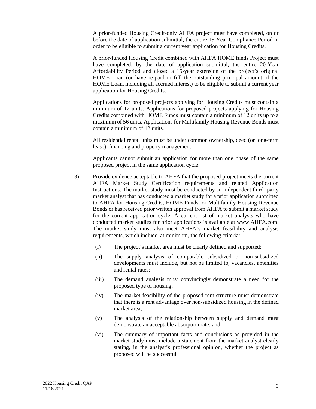A prior-funded Housing Credit-only AHFA project must have completed, on or before the date of application submittal, the entire 15-Year Compliance Period in order to be eligible to submit a current year application for Housing Credits.

A prior-funded Housing Credit combined with AHFA HOME funds Project must have completed, by the date of application submittal, the entire 20-Year Affordability Period and closed a 15-year extension of the project's original HOME Loan (or have re-paid in full the outstanding principal amount of the HOME Loan, including all accrued interest) to be eligible to submit a current year application for Housing Credits.

Applications for proposed projects applying for Housing Credits must contain a minimum of 12 units. Applications for proposed projects applying for Housing Credits combined with HOME Funds must contain a minimum of 12 units up to a maximum of 56 units. Applications for Multifamily Housing Revenue Bonds must contain a minimum of 12 units.

All residential rental units must be under common ownership, deed (or long-term lease), financing and property management.

Applicants cannot submit an application for more than one phase of the same proposed project in the same application cycle.

- 3) Provide evidence acceptable to AHFA that the proposed project meets the current AHFA Market Study Certification requirements and related Application Instructions. The market study must be conducted by an independent third- party market analyst that has conducted a market study for a prior application submitted to AHFA for Housing Credits, HOME Funds, or Multifamily Housing Revenue Bonds or has received prior written approval from AHFA to submit a market study for the current application cycle. A current list of market analysts who have conducted market studies for prior applications is available at www.AHFA.com. The market study must also meet AHFA's market feasibility and analysis requirements, which include, at minimum, the following criteria:
	- (i) The project's market area must be clearly defined and supported;
	- (ii) The supply analysis of comparable subsidized or non-subsidized developments must include, but not be limited to, vacancies, amenities and rental rates;
	- (iii) The demand analysis must convincingly demonstrate a need for the proposed type of housing;
	- (iv) The market feasibility of the proposed rent structure must demonstrate that there is a rent advantage over non-subsidized housing in the defined market area;
	- (v) The analysis of the relationship between supply and demand must demonstrate an acceptable absorption rate; and
	- (vi) The summary of important facts and conclusions as provided in the market study must include a statement from the market analyst clearly stating, in the analyst's professional opinion, whether the project as proposed will be successful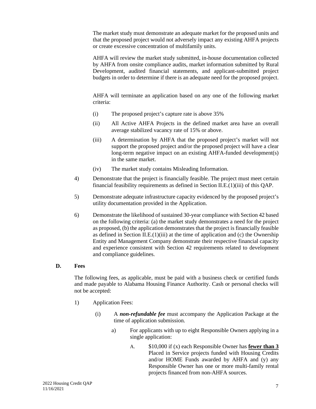The market study must demonstrate an adequate market for the proposed units and that the proposed project would not adversely impact any existing AHFA projects or create excessive concentration of multifamily units.

AHFA will review the market study submitted, in-house documentation collected by AHFA from onsite compliance audits, market information submitted by Rural Development, audited financial statements, and applicant-submitted project budgets in order to determine if there is an adequate need for the proposed project.

AHFA will terminate an application based on any one of the following market criteria:

- (i) The proposed project's capture rate is above 35%
- (ii) All Active AHFA Projects in the defined market area have an overall average stabilized vacancy rate of 15% or above.
- (iii) A determination by AHFA that the proposed project's market will not support the proposed project and/or the proposed project will have a clear long-term negative impact on an existing AHFA-funded development(s) in the same market.
- (iv) The market study contains Misleading Information.
- 4) Demonstrate that the project is financially feasible. The project must meet certain financial feasibility requirements as defined in Section II.E.(1)(iii) of this QAP.
- 5) Demonstrate adequate infrastructure capacity evidenced by the proposed project's utility documentation provided in the Application.
- 6) Demonstrate the likelihood of sustained 30-year compliance with Section 42 based on the following criteria: (a) the market study demonstrates a need for the project as proposed, (b) the application demonstrates that the project is financially feasible as defined in Section II.E. $(1)(iii)$  at the time of application and  $(c)$  the Ownership Entity and Management Company demonstrate their respective financial capacity and experience consistent with Section 42 requirements related to development and compliance guidelines.

#### **D. Fees**

The following fees, as applicable, must be paid with a business check or certified funds and made payable to Alabama Housing Finance Authority. Cash or personal checks will not be accepted:

- 1) Application Fees:
	- (i) A *non-refundable fee* must accompany the Application Package at the time of application submission.
		- a) For applicants with up to eight Responsible Owners applying in a single application:
			- A. \$10,000 if (x) each Responsible Owner has **fewer than 3** Placed in Service projects funded with Housing Credits and/or HOME Funds awarded by AHFA and (y) any Responsible Owner has one or more multi-family rental projects financed from non-AHFA sources.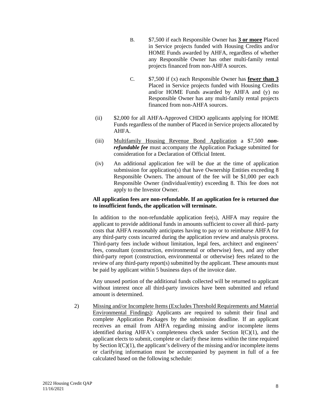- B. \$7,500 if each Responsible Owner has **3 or more** Placed in Service projects funded with Housing Credits and/or HOME Funds awarded by AHFA, regardless of whether any Responsible Owner has other multi-family rental projects financed from non-AHFA sources.
- C. \$7,500 if (x) each Responsible Owner has **fewer than 3** Placed in Service projects funded with Housing Credits and/or HOME Funds awarded by AHFA and (y) no Responsible Owner has any multi-family rental projects financed from non-AHFA sources.
- (ii) \$2,000 for all AHFA-Approved CHDO applicants applying for HOME Funds regardless of the number of Placed in Service projects allocated by AHFA.
- (iii) Multifamily Housing Revenue Bond Application a \$7,500 *nonrefundable fee* must accompany the Application Package submitted for consideration for a Declaration of Official Intent.
- (iv) An additional application fee will be due at the time of application submission for application(s) that have Ownership Entities exceeding 8 Responsible Owners. The amount of the fee will be \$1,000 per each Responsible Owner (individual/entity) exceeding 8. This fee does not apply to the Investor Owner.

## **All application fees are non-refundable. If an application fee is returned due to insufficient funds, the application will terminate.**

In addition to the non-refundable application fee(s), AHFA may require the applicant to provide additional funds in amounts sufficient to cover all third- party costs that AHFA reasonably anticipates having to pay or to reimburse AHFA for any third-party costs incurred during the application review and analysis process. Third-party fees include without limitation, legal fees, architect and engineers' fees, consultant (construction, environmental or otherwise) fees, and any other third-party report (construction, environmental or otherwise) fees related to the review of any third-party report(s) submitted by the applicant. These amounts must be paid by applicant within 5 business days of the invoice date.

Any unused portion of the additional funds collected will be returned to applicant without interest once all third-party invoices have been submitted and refund amount is determined.

2) Missing and/or Incomplete Items (Excludes Threshold Requirements and Material Environmental Findings): Applicants are required to submit their final and complete Application Packages by the submission deadline. If an applicant receives an email from AHFA regarding missing and/or incomplete items identified during AHFA's completeness check under Section  $I(C)(1)$ , and the applicant elects to submit, complete or clarify these items within the time required by Section  $I(C)(1)$ , the applicant's delivery of the missing and/or incomplete items or clarifying information must be accompanied by payment in full of a fee calculated based on the following schedule: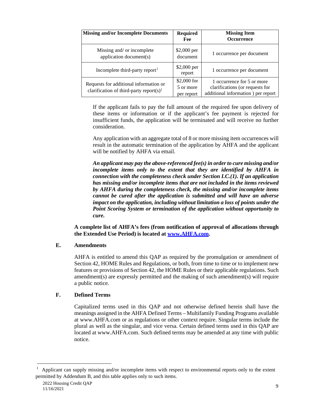| <b>Missing and/or Incomplete Documents</b>                                                    | <b>Required</b><br>Fee                  | <b>Missing Item</b><br><b>Occurrence</b>                                                            |
|-----------------------------------------------------------------------------------------------|-----------------------------------------|-----------------------------------------------------------------------------------------------------|
| Missing and/ or incomplete<br>application document(s)                                         | \$2,000 per<br>document                 | 1 occurrence per document                                                                           |
| Incomplete third-party report <sup>1</sup>                                                    | \$2,000 per<br>report                   | 1 occurrence per document                                                                           |
| Requests for additional information or<br>clarification of third-party report(s) <sup>1</sup> | $$2,000$ for<br>5 or more<br>per report | 1 occurrence for 5 or more<br>clarifications (or requests for<br>additional information) per report |

If the applicant fails to pay the full amount of the required fee upon delivery of these items or information or if the applicant's fee payment is rejected for insufficient funds, the application will be terminated and will receive no further consideration.

Any application with an aggregate total of 8 or more missing item occurrences will result in the automatic termination of the application by AHFA and the applicant will be notified by AHFA via email.

*An applicant may pay the above-referenced fee(s) in order to cure missing and/or incomplete items only to the extent that they are identified by AHFA in connection with the completeness check under Section I.C.(1). If an application has missing and/or incomplete items that are not included in the items reviewed by AHFA during the completeness check, the missing and/or incomplete items cannot be cured after the application is submitted and will have an adverse impact on the application, including without limitation a loss of points under the Point Scoring System or termination of the application without opportunity to cure.*

**A complete list of AHFA's fees (from notification of approval of allocations through the Extended Use Period) is located at www.AHFA.com.** 

#### **E. Amendments**

AHFA is entitled to amend this QAP as required by the promulgation or amendment of Section 42, HOME Rules and Regulations, or both, from time to time or to implement new features or provisions of Section 42, the HOME Rules or their applicable regulations. Such amendment(s) are expressly permitted and the making of such amendment(s) will require a public notice.

## **F. Defined Terms**

Capitalized terms used in this QAP and not otherwise defined herein shall have the meanings assigned in the AHFA Defined Terms – Multifamily Funding Programs available at www.AHFA.com or as regulations or other context require. Singular terms include the plural as well as the singular, and vice versa. Certain defined terms used in this QAP are located at www.AHFA.com. Such defined terms may be amended at any time with public notice.

<span id="page-10-0"></span><sup>1</sup> Applicant can supply missing and/or incomplete items with respect to environmental reports only to the extent permitted by Addendum B, and this table applies only to such items.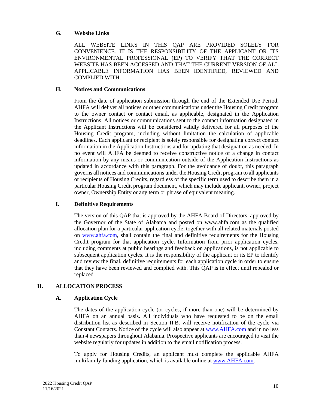### **G. Website Links**

ALL WEBSITE LINKS IN THIS QAP ARE PROVIDED SOLELY FOR CONVENIENCE. IT IS THE RESPONSIBILITY OF THE APPLICANT OR ITS ENVIRONMENTAL PROFESSIONAL (EP) TO VERIFY THAT THE CORRECT WEBSITE HAS BEEN ACCESSED AND THAT THE CURRENT VERSION OF ALL APPLICABLE INFORMATION HAS BEEN IDENTIFIED, REVIEWED AND COMPLIED WITH.

### **H. Notices and Communications**

From the date of application submission through the end of the Extended Use Period, AHFA will deliver all notices or other communications under the Housing Credit program to the owner contact or contact email, as applicable, designated in the Application Instructions. All notices or communications sent to the contact information designated in the Applicant Instructions will be considered validly delivered for all purposes of the Housing Credit program, including without limitation the calculation of applicable deadlines. Each applicant or recipient is solely responsible for designating correct contact information in the Application Instructions and for updating that designation as needed. In no event will AHFA be deemed to receive constructive notice of a change in contact information by any means or communication outside of the Application Instructions as updated in accordance with this paragraph. For the avoidance of doubt, this paragraph governs all notices and communications under the Housing Credit program to all applicants or recipients of Housing Credits, regardless of the specific term used to describe them in a particular Housing Credit program document, which may include applicant, owner, project owner, Ownership Entity or any term or phrase of equivalent meaning.

## **I. Definitive Requirements**

The version of this QAP that is approved by the AHFA Board of Directors, approved by the Governor of the State of Alabama and posted on www.ahfa.com as the qualified allocation plan for a particular application cycle, together with all related materials posted on www.ahfa.com, shall contain the final and definitive requirements for the Housing Credit program for that application cycle. Information from prior application cycles, including comments at public hearings and feedback on applications, is not applicable to subsequent application cycles. It is the responsibility of the applicant or its EP to identify and review the final, definitive requirements for each application cycle in order to ensure that they have been reviewed and complied with. This QAP is in effect until repealed or replaced.

## **II. ALLOCATION PROCESS**

#### **A. Application Cycle**

The dates of the application cycle (or cycles, if more than one) will be determined by AHFA on an annual basis. All individuals who have requested to be on the email distribution list as described in Section II.B. will receive notification of the cycle via Constant Contacts. Notice of the cycle will also appear at www.AHFA.com and in no less than 4 newspapers throughout Alabama. Prospective applicants are encouraged to visit the website regularly for updates in addition to the email notification process.

To apply for Housing Credits, an applicant must complete the applicable AHFA multifamily funding application, which is available online at www.AHFA.com.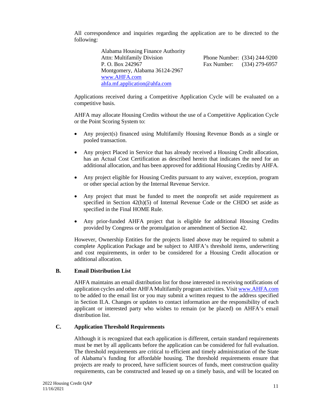All correspondence and inquiries regarding the application are to be directed to the following:

| <b>Alabama Housing Finance Authority</b> |                              |  |  |  |  |  |
|------------------------------------------|------------------------------|--|--|--|--|--|
| <b>Attn: Multifamily Division</b>        | Phone Number: (334) 244-9200 |  |  |  |  |  |
| P. O. Box 242967                         | Fax Number: (334) 279-6957   |  |  |  |  |  |
| Montgomery, Alabama 36124-2967           |                              |  |  |  |  |  |
| www.AHFA.com                             |                              |  |  |  |  |  |
| ahfa.mf.application@ahfa.com             |                              |  |  |  |  |  |

Applications received during a Competitive Application Cycle will be evaluated on a competitive basis.

AHFA may allocate Housing Credits without the use of a Competitive Application Cycle or the Point Scoring System to:

- Any project(s) financed using Multifamily Housing Revenue Bonds as a single or pooled transaction.
- Any project Placed in Service that has already received a Housing Credit allocation, has an Actual Cost Certification as described herein that indicates the need for an additional allocation, and has been approved for additional Housing Credits by AHFA.
- Any project eligible for Housing Credits pursuant to any waiver, exception, program or other special action by the Internal Revenue Service.
- Any project that must be funded to meet the nonprofit set aside requirement as specified in Section  $42(h)(5)$  of Internal Revenue Code or the CHDO set aside as specified in the Final HOME Rule.
- Any prior-funded AHFA project that is eligible for additional Housing Credits provided by Congress or the promulgation or amendment of Section 42.

However, Ownership Entities for the projects listed above may be required to submit a complete Application Package and be subject to AHFA's threshold items, underwriting and cost requirements, in order to be considered for a Housing Credit allocation or additional allocation.

#### **B. Email Distribution List**

AHFA maintains an email distribution list for those interested in receiving notifications of application cycles and other AHFA Multifamily program activities. Visit www.AHFA.com to be added to the email list or you may submit a written request to the address specified in Section II.A. Changes or updates to contact information are the responsibility of each applicant or interested party who wishes to remain (or be placed) on AHFA's email distribution list.

## **C. Application Threshold Requirements**

Although it is recognized that each application is different, certain standard requirements must be met by all applicants before the application can be considered for full evaluation. The threshold requirements are critical to efficient and timely administration of the State of Alabama's funding for affordable housing. The threshold requirements ensure that projects are ready to proceed, have sufficient sources of funds, meet construction quality requirements, can be constructed and leased up on a timely basis, and will be located on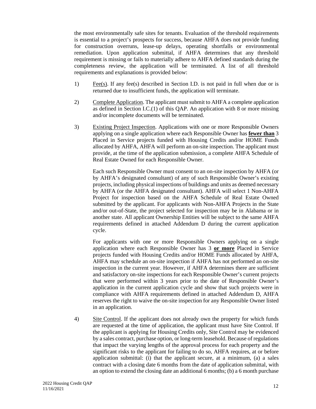the most environmentally safe sites for tenants. Evaluation of the threshold requirements is essential to a project's prospects for success, because AHFA does not provide funding for construction overruns, lease-up delays, operating shortfalls or environmental remediation. Upon application submittal, if AHFA determines that any threshold requirement is missing or fails to materially adhere to AHFA defined standards during the completeness review, the application will be terminated. A list of all threshold requirements and explanations is provided below:

- 1) Fee(s). If any fee(s) described in Section I.D. is not paid in full when due or is returned due to insufficient funds, the application will terminate.
- 2) Complete Application. The applicant must submit to AHFA a complete application as defined in Section I.C.(1) of this QAP. An application with 8 or more missing and/or incomplete documents will be terminated.
- 3) Existing Project Inspection. Applications with one or more Responsible Owners applying on a single application where each Responsible Owner has **fewer than** 3 Placed in Service projects funded with Housing Credits and/or HOME Funds allocated by AHFA, AHFA will perform an on-site inspection. The applicant must provide, at the time of the application submission, a complete AHFA Schedule of Real Estate Owned for each Responsible Owner.

Each such Responsible Owner must consent to an on-site inspection by AHFA (or by AHFA's designated consultant) of any of such Responsible Owner's existing projects, including physical inspections of buildings and units as deemed necessary by AHFA (or the AHFA designated consultant). AHFA will select 1 Non-AHFA Project for inspection based on the AHFA Schedule of Real Estate Owned submitted by the applicant. For applicants with Non-AHFA Projects in the State and/or out-of-State, the project selected for inspection may be in Alabama or in another state. All applicant Ownership Entities will be subject to the same AHFA requirements defined in attached Addendum D during the current application cycle.

For applicants with one or more Responsible Owners applying on a single application where each Responsible Owner has 3 **or more** Placed in Service projects funded with Housing Credits and/or HOME Funds allocated by AHFA, AHFA may schedule an on-site inspection if AHFA has not performed an on-site inspection in the current year. However, if AHFA determines there are sufficient and satisfactory on-site inspections for each Responsible Owner's current projects that were performed within 3 years prior to the date of Responsible Owner's application in the current application cycle and show that such projects were in compliance with AHFA requirements defined in attached Addendum D, AHFA reserves the right to waive the on-site inspection for any Responsible Owner listed in an application.

4) Site Control. If the applicant does not already own the property for which funds are requested at the time of application, the applicant must have Site Control. If the applicant is applying for Housing Credits only, Site Control may be evidenced by a sales contract, purchase option, or long-term leasehold. Because of regulations that impact the varying lengths of the approval process for each property and the significant risks to the applicant for failing to do so, AHFA requires, at or before application submittal: (i) that the applicant secure, at a minimum, (a) a sales contract with a closing date 6 months from the date of application submittal, with an option to extend the closing date an additional 6 months; (b) a 6 month purchase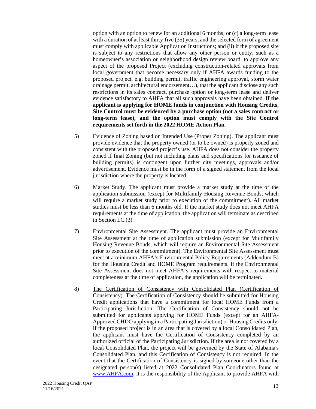option with an option to renew for an additional 6 months; or (c) a long-term lease with a duration of at least thirty-five (35) years, and the selected form of agreement must comply with applicable Application Instructions; and (ii) if the proposed site is subject to any restrictions that allow any other person or entity, such as a homeowner's association or neighborhood design review board, to approve any aspect of the proposed Project (excluding construction-related approvals from local government that become necessary only if AHFA awards funding to the proposed project, e.g. building permit, traffic engineering approval, storm water drainage permit, architectural endorsement…), that the applicant disclose any such restrictions in its sales contract, purchase option or long-term lease and deliver evidence satisfactory to AHFA that all such approvals have been obtained. **If the applicant is applying for HOME funds in conjunction with Housing Credits, Site Control must be evidenced by a purchase option (not a sales contract or long-term lease), and the option must comply with the Site Control requirements set forth in the 2022 HOME Action Plan.**

- 5) Evidence of Zoning based on Intended Use (Proper Zoning). The applicant must provide evidence that the property owned (or to be owned) is properly zoned and consistent with the proposed project's use. AHFA does not consider the property zoned if final Zoning (but not including plans and specifications for issuance of building permits) is contingent upon further city meetings, approvals and/or advertisement. Evidence must be in the form of a signed statement from the local jurisdiction where the property is located.
- 6) Market Study. The applicant must provide a market study at the time of the application submission (except for Multifamily Housing Revenue Bonds, which will require a market study prior to execution of the commitment). All market studies must be less than 6 months old. If the market study does not meet AHFA requirements at the time of application, the application will terminate as described in Section I.C.(3).
- 7) Environmental Site Assessment. The applicant must provide an Environmental Site Assessment at the time of application submission (except for Multifamily Housing Revenue Bonds, which will require an Environmental Site Assessment prior to execution of the commitment). The Environmental Site Assessment must meet at a minimum AHFA's Environmental Policy Requirements (Addendum B) for the Housing Credit and HOME Program requirements. If the Environmental Site Assessment does not meet AHFA's requirements with respect to material completeness at the time of application, the application will be terminated.
- 8) The Certification of Consistency with Consolidated Plan (Certification of Consistency). The Certification of Consistency should be submitted for Housing Credit applications that have a commitment for local HOME Funds from a Participating Jurisdiction. The Certification of Consistency should not be submitted for applicants applying for HOME Funds (except for an AHFA-Approved CHDO applying in a Participating Jurisdiction) or Housing Credits only. If the proposed project is in an area that is covered by a local Consolidated Plan, the applicant must have the Certification of Consistency completed by an authorized official of the Participating Jurisdiction. If the area is not covered by a local Consolidated Plan, the project will be governed by the State of Alabama's Consolidated Plan, and this Certification of Consistency is not required. In the event that the Certification of Consistency is signed by someone other than the designated person(s) listed at 2022 Consolidated Plan Coordinators found at www.AHFA.com, it is the responsibility of the Applicant to provide AHFA with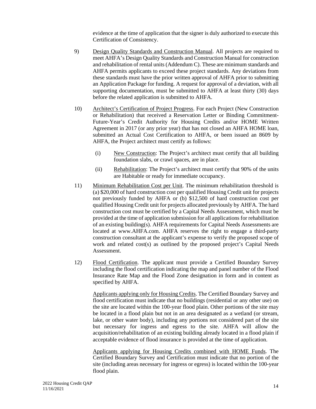evidence at the time of application that the signer is duly authorized to execute this Certification of Consistency.

- 9) Design Quality Standards and Construction Manual. All projects are required to meet AHFA's Design Quality Standards and Construction Manual for construction and rehabilitation of rental units (Addendum C). These are minimum standards and AHFA permits applicants to exceed these project standards. Any deviations from these standards must have the prior written approval of AHFA prior to submitting an Application Package for funding. A request for approval of a deviation, with all supporting documentation, must be submitted to AHFA at least thirty (30) days before the related application is submitted to AHFA.
- 10) Architect's Certification of Project Progress. For each Project (New Construction or Rehabilitation) that received a Reservation Letter or Binding Commitment-Future-Year's Credit Authority for Housing Credits and/or HOME Written Agreement in 2017 (or any prior year) that has not closed an AHFA HOME loan, submitted an Actual Cost Certification to AHFA, or been issued an 8609 by AHFA, the Project architect must certify as follows:
	- (i) New Construction: The Project's architect must certify that all building foundation slabs, or crawl spaces, are in place.
	- (ii) Rehabilitation: The Project's architect must certify that 90% of the units are Habitable or ready for immediate occupancy.
- 11) Minimum Rehabilitation Cost per Unit. The minimum rehabilitation threshold is (a) \$20,000 of hard construction cost per qualified Housing Credit unit for projects not previously funded by AHFA or (b) \$12,500 of hard construction cost per qualified Housing Credit unit for projects allocated previously by AHFA. The hard construction cost must be certified by a Capital Needs Assessment, which must be provided at the time of application submission for all applications for rehabilitation of an existing building(s). AHFA requirements for Capital Needs Assessments are located at www.AHFA.com. AHFA reserves the right to engage a third-party construction consultant at the applicant's expense to verify the proposed scope of work and related cost(s) as outlined by the proposed project's Capital Needs Assessment.
- 12) Flood Certification. The applicant must provide a Certified Boundary Survey including the flood certification indicating the map and panel number of the Flood Insurance Rate Map and the Flood Zone designation in form and in content as specified by AHFA.

Applicants applying only for Housing Credits. The Certified Boundary Survey and flood certification must indicate that no buildings (residential or any other use) on the site are located within the 100-year flood plain. Other portions of the site may be located in a flood plain but not in an area designated as a wetland (or stream, lake, or other water body), including any portions not considered part of the site but necessary for ingress and egress to the site. AHFA will allow the acquisition/rehabilitation of an existing building already located in a flood plain if acceptable evidence of flood insurance is provided at the time of application.

Applicants applying for Housing Credits combined with HOME Funds. The Certified Boundary Survey and Certification must indicate that no portion of the site (including areas necessary for ingress or egress) is located within the 100-year flood plain.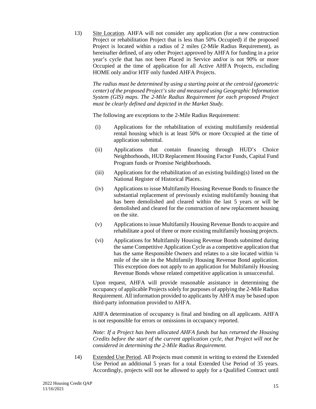13) Site Location. AHFA will not consider any application (for a new construction Project or rehabilitation Project that is less than 50% Occupied) if the proposed Project is located within a radius of 2 miles (2-Mile Radius Requirement), as hereinafter defined, of any other Project approved by AHFA for funding in a prior year's cycle that has not been Placed in Service and/or is not 90% or more Occupied at the time of application for all Active AHFA Projects, excluding HOME only and/or HTF only funded AHFA Projects.

*The radius must be determined by using a starting point at the centroid (geometric center) of the proposed Project's site and measured using Geographic Information System (GIS) maps. The 2-Mile Radius Requirement for each proposed Project must be clearly defined and depicted in the Market Study.* 

The following are exceptions to the 2-Mile Radius Requirement:

- (i) Applications for the rehabilitation of existing multifamily residential rental housing which is at least 50% or more Occupied at the time of application submittal.
- (ii) Applications that contain financing through HUD's Choice Neighborhoods, HUD Replacement Housing Factor Funds, Capital Fund Program funds or Promise Neighborhoods.
- (iii) Applications for the rehabilitation of an existing building(s) listed on the National Register of Historical Places.
- (iv) Applications to issue Multifamily Housing Revenue Bonds to finance the substantial replacement of previously existing multifamily housing that has been demolished and cleared within the last 5 years or will be demolished and cleared for the construction of new replacement housing on the site.
- (v) Applications to issue Multifamily Housing Revenue Bonds to acquire and rehabilitate a pool of three or more existing multifamily housing projects.
- (vi) Applications for Multifamily Housing Revenue Bonds submitted during the same Competitive Application Cycle as a competitive application that has the same Responsible Owners and relates to a site located within  $\frac{1}{4}$ mile of the site in the Multifamily Housing Revenue Bond application. This exception does not apply to an application for Multifamily Housing Revenue Bonds whose related competitive application is unsuccessful.

Upon request, AHFA will provide reasonable assistance in determining the occupancy of applicable Projects solely for purposes of applying the 2-Mile Radius Requirement. All information provided to applicants by AHFA may be based upon third-party information provided to AHFA.

AHFA determination of occupancy is final and binding on all applicants. AHFA is not responsible for errors or omissions in occupancy reported.

*Note: If a Project has been allocated AHFA funds but has returned the Housing Credits before the start of the current application cycle, that Project will not be considered in determining the 2-Mile Radius Requirement.*

14) Extended Use Period. All Projects must commit in writing to extend the Extended Use Period an additional 5 years for a total Extended Use Period of 35 years. Accordingly, projects will not be allowed to apply for a Qualified Contract until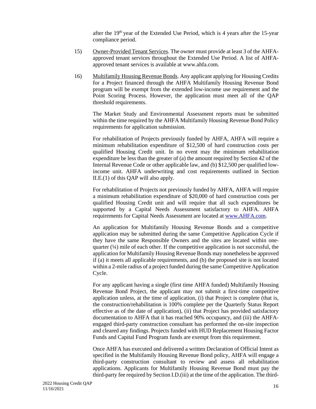after the  $19<sup>th</sup>$  year of the Extended Use Period, which is 4 years after the 15-year compliance period.

- 15) Owner-Provided Tenant Services. The owner must provide at least 3 of the AHFAapproved tenant services throughout the Extended Use Period. A list of AHFAapproved tenant services is available at www.ahfa.com.
- 16) Multifamily Housing Revenue Bonds. Any applicant applying for Housing Credits for a Project financed through the AHFA Multifamily Housing Revenue Bond program will be exempt from the extended low-income use requirement and the Point Scoring Process. However, the application must meet all of the QAP threshold requirements.

The Market Study and Environmental Assessment reports must be submitted within the time required by the AHFA Multifamily Housing Revenue Bond Policy requirements for application submission.

For rehabilitation of Projects previously funded by AHFA, AHFA will require a minimum rehabilitation expenditure of \$12,500 of hard construction costs per qualified Housing Credit unit. In no event may the minimum rehabilitation expenditure be less than the greater of (a) the amount required by Section 42 of the Internal Revenue Code or other applicable law, and (b) \$12,500 per qualified lowincome unit. AHFA underwriting and cost requirements outlined in Section II.E.(1) of this QAP will also apply.

For rehabilitation of Projects not previously funded by AHFA, AHFA will require a minimum rehabilitation expenditure of \$20,000 of hard construction costs per qualified Housing Credit unit and will require that all such expenditures be supported by a Capital Needs Assessment satisfactory to AHFA. AHFA requirements for Capital Needs Assessment are located at www.AHFA.com.

An application for Multifamily Housing Revenue Bonds and a competitive application may be submitted during the same Competitive Application Cycle if they have the same Responsible Owners and the sites are located within onequarter  $(½)$  mile of each other. If the competitive application is not successful, the application for Multifamily Housing Revenue Bonds may nonetheless be approved if (a) it meets all applicable requirements, and (b) the proposed site is not located within a 2-mile radius of a project funded during the same Competitive Application Cycle.

For any applicant having a single (first time AHFA funded) Multifamily Housing Revenue Bond Project, the applicant may not submit a first-time competitive application unless, at the time of application, (i) that Project is complete (that is, the construction/rehabilitation is 100% complete per the Quarterly Status Report effective as of the date of application), (ii) that Project has provided satisfactory documentation to AHFA that it has reached 90% occupancy, and (iii) the AHFAengaged third-party construction consultant has performed the on-site inspection and cleared any findings. Projects funded with HUD Replacement Housing Factor Funds and Capital Fund Program funds are exempt from this requirement.

Once AHFA has executed and delivered a written Declaration of Official Intent as specified in the Multifamily Housing Revenue Bond policy, AHFA will engage a third-party construction consultant to review and assess all rehabilitation applications. Applicants for Multifamily Housing Revenue Bond must pay the third-party fee required by Section I.D.(iii) at the time of the application. The third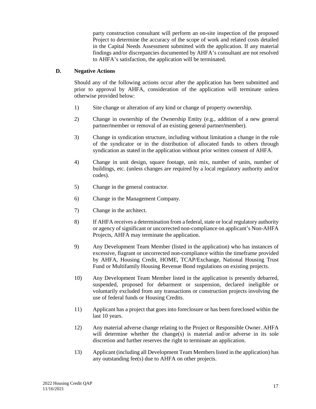party construction consultant will perform an on-site inspection of the proposed Project to determine the accuracy of the scope of work and related costs detailed in the Capital Needs Assessment submitted with the application. If any material findings and/or discrepancies documented by AHFA's consultant are not resolved to AHFA's satisfaction, the application will be terminated.

#### **D. Negative Actions**

Should any of the following actions occur after the application has been submitted and prior to approval by AHFA, consideration of the application will terminate unless otherwise provided below:

- 1) Site change or alteration of any kind or change of property ownership.
- 2) Change in ownership of the Ownership Entity (e.g., addition of a new general partner**/**member or removal of an existing general partner**/**member).
- 3) Change in syndication structure, including without limitation a change in the role of the syndicator or in the distribution of allocated funds to others through syndication as stated in the application without prior written consent of AHFA.
- 4) Change in unit design, square footage, unit mix, number of units, number of buildings, etc. (unless changes are required by a local regulatory authority and/or codes).
- 5) Change in the general contractor.
- 6) Change in the Management Company.
- 7) Change in the architect.
- 8) If AHFA receives a determination from a federal, state or local regulatory authority or agency of significant or uncorrected non-compliance on applicant's Non-AHFA Projects, AHFA may terminate the application.
- 9) Any Development Team Member (listed in the application) who has instances of excessive, flagrant or uncorrected non-compliance within the timeframe provided by AHFA, Housing Credit, HOME, TCAP/Exchange, National Housing Trust Fund or Multifamily Housing Revenue Bond regulations on existing projects.
- 10) Any Development Team Member listed in the application is presently debarred, suspended, proposed for debarment or suspension, declared ineligible or voluntarily excluded from any transactions or construction projects involving the use of federal funds or Housing Credits.
- 11) Applicant has a project that goes into foreclosure or has been foreclosed within the last 10 years.
- 12) Any material adverse change relating to the Project or Responsible Owner. AHFA will determine whether the change(s) is material and/or adverse in its sole discretion and further reserves the right to terminate an application.
- 13) Applicant (including all Development Team Members listed in the application) has any outstanding fee(s) due to AHFA on other projects.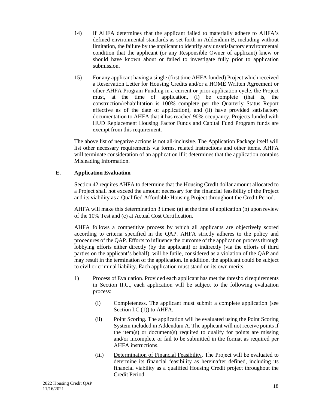- 14) If AHFA determines that the applicant failed to materially adhere to AHFA's defined environmental standards as set forth in Addendum B, including without limitation, the failure by the applicant to identify any unsatisfactory environmental condition that the applicant (or any Responsible Owner of applicant) knew or should have known about or failed to investigate fully prior to application submission.
- 15) For any applicant having a single (first time AHFA funded) Project which received a Reservation Letter for Housing Credits and/or a HOME Written Agreement or other AHFA Program Funding in a current or prior application cycle, the Project must, at the time of application, (i) be complete (that is, the construction/rehabilitation is 100% complete per the Quarterly Status Report effective as of the date of application), and (ii) have provided satisfactory documentation to AHFA that it has reached 90% occupancy. Projects funded with HUD Replacement Housing Factor Funds and Capital Fund Program funds are exempt from this requirement.

The above list of negative actions is not all-inclusive. The Application Package itself will list other necessary requirements via forms, related instructions and other items. AHFA will terminate consideration of an application if it determines that the application contains Misleading Information.

## **E. Application Evaluation**

Section 42 requires AHFA to determine that the Housing Credit dollar amount allocated to a Project shall not exceed the amount necessary for the financial feasibility of the Project and its viability as a Qualified Affordable Housing Project throughout the Credit Period.

AHFA will make this determination 3 times: (a) at the time of application (b) upon review of the 10% Test and (c) at Actual Cost Certification.

AHFA follows a competitive process by which all applicants are objectively scored according to criteria specified in the QAP. AHFA strictly adheres to the policy and procedures of the QAP. Efforts to influence the outcome of the application process through lobbying efforts either directly (by the applicant) or indirectly (via the efforts of third parties on the applicant's behalf), will be futile, considered as a violation of the QAP and may result in the termination of the application. In addition, the applicant could be subject to civil or criminal liability. Each application must stand on its own merits.

- 1) Process of Evaluation. Provided each applicant has met the threshold requirements in Section II.C., each application will be subject to the following evaluation process:
	- (i) Completeness. The applicant must submit a complete application (see Section I.C.(1)) to AHFA.
	- (ii) Point Scoring. The application will be evaluated using the Point Scoring System included in Addendum A. The applicant will not receive points if the item(s) or document(s) required to qualify for points are missing and/or incomplete or fail to be submitted in the format as required per AHFA instructions.
	- (iii) Determination of Financial Feasibility. The Project will be evaluated to determine its financial feasibility as hereinafter defined, including its financial viability as a qualified Housing Credit project throughout the Credit Period.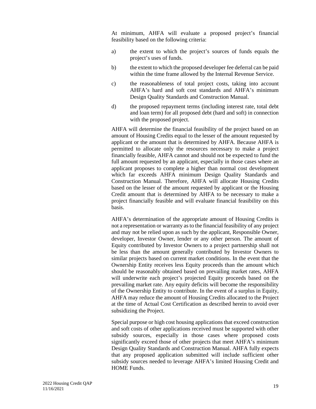At minimum, AHFA will evaluate a proposed project's financial feasibility based on the following criteria:

- a) the extent to which the project's sources of funds equals the project's uses of funds.
- b) the extent to which the proposed developer fee deferral can be paid within the time frame allowed by the Internal Revenue Service.
- c) the reasonableness of total project costs, taking into account AHFA's hard and soft cost standards and AHFA's minimum Design Quality Standards and Construction Manual.
- d) the proposed repayment terms (including interest rate, total debt and loan term) for all proposed debt (hard and soft) in connection with the proposed project.

AHFA will determine the financial feasibility of the project based on an amount of Housing Credits equal to the lesser of the amount requested by applicant or the amount that is determined by AHFA. Because AHFA is permitted to allocate only the resources necessary to make a project financially feasible, AHFA cannot and should not be expected to fund the full amount requested by an applicant, especially in those cases where an applicant proposes to complete a higher than normal cost development which far exceeds AHFA minimum Design Quality Standards and Construction Manual. Therefore, AHFA will allocate Housing Credits based on the lesser of the amount requested by applicant or the Housing Credit amount that is determined by AHFA to be necessary to make a project financially feasible and will evaluate financial feasibility on this basis.

AHFA's determination of the appropriate amount of Housing Credits is not a representation or warranty as to the financial feasibility of any project and may not be relied upon as such by the applicant, Responsible Owner, developer, Investor Owner, lender or any other person. The amount of Equity contributed by Investor Owners to a project partnership shall not be less than the amount generally contributed by Investor Owners to similar projects based on current market conditions. In the event that the Ownership Entity receives less Equity proceeds than the amount which should be reasonably obtained based on prevailing market rates, AHFA will underwrite each project's projected Equity proceeds based on the prevailing market rate. Any equity deficits will become the responsibility of the Ownership Entity to contribute. In the event of a surplus in Equity, AHFA may reduce the amount of Housing Credits allocated to the Project at the time of Actual Cost Certification as described herein to avoid over subsidizing the Project.

Special purpose or high cost housing applications that exceed construction and soft costs of other applications received must be supported with other subsidy sources, especially in those cases where proposed costs significantly exceed those of other projects that meet AHFA's minimum Design Quality Standards and Construction Manual. AHFA fully expects that any proposed application submitted will include sufficient other subsidy sources needed to leverage AHFA's limited Housing Credit and HOME Funds.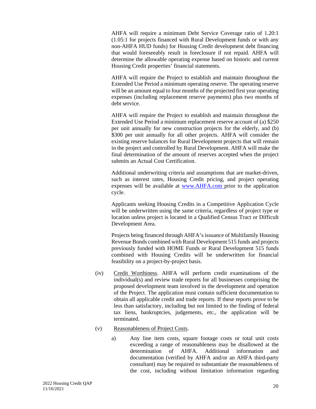AHFA will require a minimum Debt Service Coverage ratio of 1.20:1 (1.05:1 for projects financed with Rural Development funds or with any non-AHFA HUD funds) for Housing Credit development debt financing that would foreseeably result in foreclosure if not repaid. AHFA will determine the allowable operating expense based on historic and current Housing Credit properties' financial statements.

AHFA will require the Project to establish and maintain throughout the Extended Use Period a minimum operating reserve. The operating reserve will be an amount equal to four months of the projected first year operating expenses (including replacement reserve payments) plus two months of debt service.

AHFA will require the Project to establish and maintain throughout the Extended Use Period a minimum replacement reserve account of (a) \$250 per unit annually for new construction projects for the elderly, and (b) \$300 per unit annually for all other projects. AHFA will consider the existing reserve balances for Rural Development projects that will remain in the project and controlled by Rural Development. AHFA will make the final determination of the amount of reserves accepted when the project submits an Actual Cost Certification.

Additional underwriting criteria and assumptions that are market-driven, such as interest rates, Housing Credit pricing, and project operating expenses will be available at www.AHFA.com prior to the application cycle.

Applicants seeking Housing Credits in a Competitive Application Cycle will be underwritten using the same criteria, regardless of project type or location unless project is located in a Qualified Census Tract or Difficult Development Area.

Projects being financed through AHFA's issuance of Multifamily Housing Revenue Bonds combined with Rural Development 515 funds and projects previously funded with HOME Funds or Rural Development 515 funds combined with Housing Credits will be underwritten for financial feasibility on a project-by-project basis.

- (iv) Credit Worthiness. AHFA will perform credit examinations of the individual(s) and review trade reports for all businesses comprising the proposed development team involved in the development and operation of the Project. The application must contain sufficient documentation to obtain all applicable credit and trade reports. If these reports prove to be less than satisfactory, including but not limited to the finding of federal tax liens, bankruptcies, judgements, etc., the application will be terminated.
- (v) Reasonableness of Project Costs.
	- a) Any line item costs, square footage costs or total unit costs exceeding a range of reasonableness may be disallowed at the determination of AHFA. Additional information and documentation (verified by AHFA and/or an AHFA third-party consultant) may be required to substantiate the reasonableness of the cost, including without limitation information regarding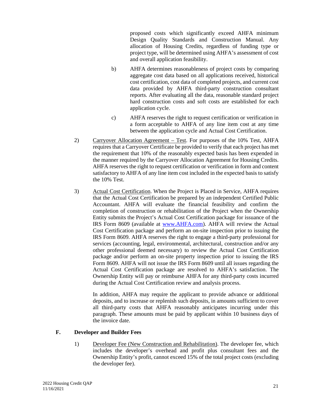proposed costs which significantly exceed AHFA minimum Design Quality Standards and Construction Manual. Any allocation of Housing Credits, regardless of funding type or project type, will be determined using AHFA's assessment of cost and overall application feasibility.

- b) AHFA determines reasonableness of project costs by comparing aggregate cost data based on all applications received, historical cost certification, cost data of completed projects, and current cost data provided by AHFA third-party construction consultant reports. After evaluating all the data, reasonable standard project hard construction costs and soft costs are established for each application cycle.
- c) AHFA reserves the right to request certification or verification in a form acceptable to AHFA of any line item cost at any time between the application cycle and Actual Cost Certification.
- 2) Carryover Allocation Agreement Test. For purposes of the 10% Test, AHFA requires that a Carryover Certificate be provided to verify that each project has met the requirement that 10% of the reasonably expected basis has been expended in the manner required by the Carryover Allocation Agreement for Housing Credits. AHFA reserves the right to request certification or verification in form and content satisfactory to AHFA of any line item cost included in the expected basis to satisfy the 10% Test.
- 3) Actual Cost Certification. When the Project is Placed in Service, AHFA requires that the Actual Cost Certification be prepared by an independent Certified Public Accountant. AHFA will evaluate the financial feasibility and confirm the completion of construction or rehabilitation of the Project when the Ownership Entity submits the Project's Actual Cost Certification package for issuance of the IRS Form 8609 (available at www.AHFA.com). AHFA will review the Actual Cost Certification package and perform an on-site inspection prior to issuing the IRS Form 8609. AHFA reserves the right to engage a third-party professional for services (accounting, legal, environmental, architectural, construction and/or any other professional deemed necessary) to review the Actual Cost Certification package and/or perform an on-site property inspection prior to issuing the IRS Form 8609. AHFA will not issue the IRS Form 8609 until all issues regarding the Actual Cost Certification package are resolved to AHFA's satisfaction. The Ownership Entity will pay or reimburse AHFA for any third-party costs incurred during the Actual Cost Certification review and analysis process.

In addition, AHFA may require the applicant to provide advance or additional deposits, and to increase or replenish such deposits, in amounts sufficient to cover all third-party costs that AHFA reasonably anticipates incurring under this paragraph. These amounts must be paid by applicant within 10 business days of the invoice date.

## **F. Developer and Builder Fees**

1) Developer Fee (New Construction and Rehabilitation). The developer fee, which includes the developer's overhead and profit plus consultant fees and the Ownership Entity's profit, cannot exceed 15% of the total project costs (excluding the developer fee).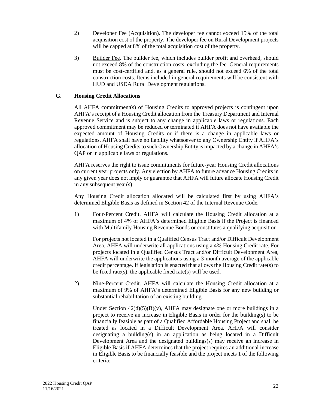- 2) Developer Fee (Acquisition). The developer fee cannot exceed 15% of the total acquisition cost of the property. The developer fee on Rural Development projects will be capped at 8% of the total acquisition cost of the property.
- 3) Builder Fee. The builder fee, which includes builder profit and overhead, should not exceed 8% of the construction costs, excluding the fee. General requirements must be cost-certified and, as a general rule, should not exceed 6% of the total construction costs. Items included in general requirements will be consistent with HUD and USDA Rural Development regulations.

## **G. Housing Credit Allocations**

All AHFA commitment(s) of Housing Credits to approved projects is contingent upon AHFA's receipt of a Housing Credit allocation from the Treasury Department and Internal Revenue Service and is subject to any change in applicable laws or regulations. Each approved commitment may be reduced or terminated if AHFA does not have available the expected amount of Housing Credits or if there is a change in applicable laws or regulations. AHFA shall have no liability whatsoever to any Ownership Entity if AHFA's allocation of Housing Credits to such Ownership Entity is impacted by a change in AHFA's QAP or in applicable laws or regulations.

AHFA reserves the right to issue commitments for future-year Housing Credit allocations on current year projects only. Any election by AHFA to future advance Housing Credits in any given year does not imply or guarantee that AHFA will future allocate Housing Credit in any subsequent year(s).

Any Housing Credit allocation allocated will be calculated first by using AHFA's determined Eligible Basis as defined in Section 42 of the Internal Revenue Code.

1) Four-Percent Credit. AHFA will calculate the Housing Credit allocation at a maximum of 4% of AHFA's determined Eligible Basis if the Project is financed with Multifamily Housing Revenue Bonds or constitutes a qualifying acquisition.

For projects not located in a Qualified Census Tract and/or Difficult Development Area, AHFA will underwrite all applications using a 4% Housing Credit rate. For projects located in a Qualified Census Tract and/or Difficult Development Area, AHFA will underwrite the applications using a 3-month average of the applicable credit percentage. If legislation is enacted that allows the Housing Credit rate(s) to be fixed rate(s), the applicable fixed rate(s) will be used.

2) Nine-Percent Credit. AHFA will calculate the Housing Credit allocation at a maximum of 9% of AHFA's determined Eligible Basis for any new building or substantial rehabilitation of an existing building.

Under Section  $42(d)(5)(B)(v)$ , AHFA may designate one or more buildings in a project to receive an increase in Eligible Basis in order for the building(s) to be financially feasible as part of a Qualified Affordable Housing Project and shall be treated as located in a Difficult Development Area. AHFA will consider designating a building(s) in an application as being located in a Difficult Development Area and the designated buildings(s) may receive an increase in Eligible Basis if AHFA determines that the project requires an additional increase in Eligible Basis to be financially feasible and the project meets 1 of the following criteria: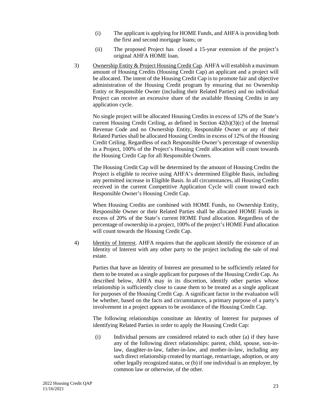- (i) The applicant is applying for HOME Funds, and AHFA is providing both the first and second mortgage loans; or
- (ii) The proposed Project has closed a 15-year extension of the project's original AHFA HOME loan.
- 3) Ownership Entity & Project Housing Credit Cap. AHFA will establish a maximum amount of Housing Credits (Housing Credit Cap) an applicant and a project will be allocated. The intent of the Housing Credit Cap is to promote fair and objective administration of the Housing Credit program by ensuring that no Ownership Entity or Responsible Owner (including their Related Parties) and no individual Project can receive an excessive share of the available Housing Credits in any application cycle.

No single project will be allocated Housing Credits in excess of 12% of the State's current Housing Credit Ceiling, as defined in Section  $42(h)(3)(c)$  of the Internal Revenue Code and no Ownership Entity, Responsible Owner or any of their Related Parties shall be allocated Housing Credits in excess of 12% of the Housing Credit Ceiling. Regardless of each Responsible Owner's percentage of ownership in a Project, 100% of the Project's Housing Credit allocation will count towards the Housing Credit Cap for all Responsible Owners.

The Housing Credit Cap will be determined by the amount of Housing Credits the Project is eligible to receive using AHFA's determined Eligible Basis, including any permitted increase in Eligible Basis. In all circumstances, all Housing Credits received in the current Competitive Application Cycle will count toward each Responsible Owner's Housing Credit Cap.

When Housing Credits are combined with HOME Funds, no Ownership Entity, Responsible Owner or their Related Parties shall be allocated HOME Funds in excess of 20% of the State's current HOME Fund allocation. Regardless of the percentage of ownership in a project, 100% of the project's HOME Fund allocation will count towards the Housing Credit Cap.

4) Identity of Interest. AHFA requires that the applicant identify the existence of an Identity of Interest with any other party to the project including the sale of real estate.

Parties that have an Identity of Interest are presumed to be sufficiently related for them to be treated as a single applicant for purposes of the Housing Credit Cap. As described below, AHFA may in its discretion, identify other parties whose relationship is sufficiently close to cause them to be treated as a single applicant for purposes of the Housing Credit Cap. A significant factor in the evaluation will be whether, based on the facts and circumstances, a primary purpose of a party's involvement in a project appears to be avoidance of the Housing Credit Cap.

The following relationships constitute an Identity of Interest for purposes of identifying Related Parties in order to apply the Housing Credit Cap:

(i) Individual persons are considered related to each other (a) if they have any of the following direct relationships: parent, child, spouse, son-inlaw, daughter-in-law, father-in-law, and mother-in-law, including any such direct relationship created by marriage, remarriage, adoption, or any other legally recognized status, or (b) if one individual is an employer, by common law or otherwise, of the other.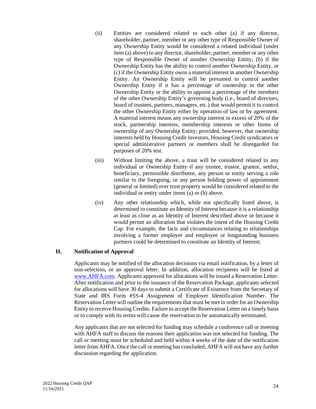- (ii) Entities are considered related to each other (a) if any director, shareholder, partner, member or any other type of Responsible Owner of any Ownership Entity would be considered a related individual (under item (a) above) to any director, shareholder, partner, member or any other type of Responsible Owner of another Ownership Entity, (b) if the Ownership Entity has the ability to control another Ownership Entity, or (c) if the Ownership Entity owns a material interest in another Ownership Entity. An Ownership Entity will be presumed to control another Ownership Entity if it has a percentage of ownership in the other Ownership Entity or the ability to appoint a percentage of the members of the other Ownership Entity's governing body (i.e., board of directors, board of trustees, partners, managers, etc.) that would permit it to control the other Ownership Entity either by operation of law or by agreement. A material interest means any ownership interest in excess of 20% of the stock, partnership interests, membership interests or other forms of ownership of any Ownership Entity; provided, however, that ownership interests held by Housing Credit investors, Housing Credit syndicators or special administrative partners or members shall be disregarded for purposes of 20% test.
- (iii) Without limiting the above, a trust will be considered related to any individual or Ownership Entity if any trustee, trustor, grantor, settlor, beneficiary, permissible distributee, any person or entity serving a role similar to the foregoing, or any person holding power of appointment (general or limited) over trust property would be considered related to the individual or entity under items (a) or (b) above.
- (iv) Any other relationship which, while not specifically listed above, is determined to constitute an Identity of Interest because it is a relationship at least as close as an Identity of Interest described above or because it would permit an allocation that violates the intent of the Housing Credit Cap. For example, the facts and circumstances relating to relationships involving a former employer and employee or longstanding business partners could be determined to constitute an Identity of Interest.

## **H. Notification of Approval**

Applicants may be notified of the allocation decisions via email notification, by a letter of non-selection, or an approval letter. In addition, allocation recipients will be listed at www.AHFA.com. Applicants approved for allocations will be issued a Reservation Letter. After notification and prior to the issuance of the Reservation Package, applicants selected for allocations will have 30 days to submit a Certificate of Existence from the Secretary of State and IRS Form #SS-4 Assignment of Employer Identification Number. The Reservation Letter will outline the requirements that must be met in order for an Ownership Entity to receive Housing Credits. Failure to accept the Reservation Letter on a timely basis or to comply with its terms will cause the reservation to be automatically terminated.

Any applicants that are not selected for funding may schedule a conference call or meeting with AHFA staff to discuss the reasons their application was not selected for funding. The call or meeting must be scheduled and held within 4 weeks of the date of the notification letter from AHFA. Once the call or meeting has concluded, AHFA will not have any further discussion regarding the application.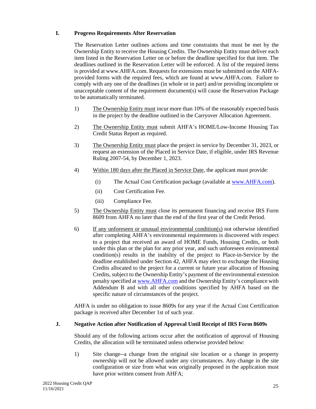## **I. Progress Requirements After Reservation**

The Reservation Letter outlines actions and time constraints that must be met by the Ownership Entity to receive the Housing Credits. The Ownership Entity must deliver each item listed in the Reservation Letter on or before the deadline specified for that item. The deadlines outlined in the Reservation Letter will be enforced. A list of the required items is provided at www.AHFA.com. Requests for extensions must be submitted on the AHFAprovided forms with the required fees, which are found at www.AHFA.com. Failure to comply with any one of the deadlines (in whole or in part) and/or providing incomplete or unacceptable content of the requirement document(s) will cause the Reservation Package to be automatically terminated.

- 1) The Ownership Entity must incur more than 10% of the reasonably expected basis in the project by the deadline outlined in the Carryover Allocation Agreement.
- 2) The Ownership Entity must submit AHFA's HOME/Low-Income Housing Tax Credit Status Report as required.
- 3) The Ownership Entity must place the project in service by December 31, 2023, or request an extension of the Placed in Service Date, if eligible, under IRS Revenue Ruling 2007-54, by December 1, 2023.
- 4) Within 180 days after the Placed in Service Date, the applicant must provide:
	- (i) The Actual Cost Certification package (available at www.AHFA.com).
	- (ii) Cost Certification Fee.
	- (iii) Compliance Fee.
- 5) The Ownership Entity must close its permanent financing and receive IRS Form 8609 from AHFA no later than the end of the first year of the Credit Period.
- 6) If any unforeseen or unusual environmental condition(s) not otherwise identified after completing AHFA's environmental requirements is discovered with respect to a project that received an award of HOME Funds, Housing Credits, or both under this plan or the plan for any prior year, and such unforeseen environmental condition(s) results in the inability of the project to Place-in-Service by the deadline established under Section 42, AHFA may elect to exchange the Housing Credits allocated to the project for a current or future year allocation of Housing Credits, subject to the Ownership Entity's payment of the environmental extension penalty specified at www.AHFA.com and the Ownership Entity's compliance with Addendum B and with all other conditions specified by AHFA based on the specific nature of circumstances of the project.

AHFA is under no obligation to issue 8609s for any year if the Actual Cost Certification package is received after December 1st of such year.

## **J. Negative Action after Notification of Approval Until Receipt of IRS Form 8609s**

Should any of the following actions occur after the notification of approval of Housing Credits, the allocation will be terminated unless otherwise provided below:

1) Site change--a change from the original site location or a change in property ownership will not be allowed under any circumstances. Any change in the site configuration or size from what was originally proposed in the application must have prior written consent from AHFA;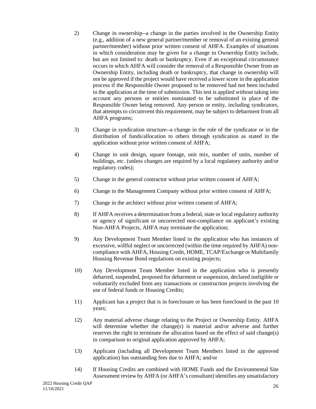- 2) Change in ownership--a change in the parties involved in the Ownership Entity (e.g., addition of a new general partner**/**member or removal of an existing general partner**/**member) without prior written consent of AHFA. Examples of situations in which consideration may be given for a change in Ownership Entity include, but are not limited to: death or bankruptcy. Even if an exceptional circumstance occurs in which AHFA will consider the removal of a Responsible Owner from an Ownership Entity, including death or bankruptcy, that change in ownership will not be approved if the project would have received a lower score in the application process if the Responsible Owner proposed to be removed had not been included in the application at the time of submission. This test is applied without taking into account any persons or entities nominated to be substituted in place of the Responsible Owner being removed. Any person or entity, including syndicators, that attempts to circumvent this requirement, may be subject to debarment from all AHFA programs;
- 3) Change in syndication structure--a change in the role of the syndicator or in the distribution of funds/allocation to others through syndication as stated in the application without prior written consent of AHFA;
- 4) Change in unit design, square footage, unit mix, number of units, number of buildings, etc. (unless changes are required by a local regulatory authority and/or regulatory codes);
- 5) Change in the general contractor without prior written consent of AHFA;
- 6) Change in the Management Company without prior written consent of AHFA;
- 7) Change in the architect without prior written consent of AHFA;
- 8) If AHFA receives a determination from a federal, state or local regulatory authority or agency of significant or uncorrected non-compliance on applicant's existing Non-AHFA Projects, AHFA may terminate the application;
- 9) Any Development Team Member listed in the application who has instances of excessive, willful neglect or uncorrected (within the time required by AHFA) noncompliance with AHFA, Housing Credit, HOME, TCAP/Exchange or Multifamily Housing Revenue Bond regulations on existing projects;
- 10) Any Development Team Member listed in the application who is presently debarred, suspended, proposed for debarment or suspension, declared ineligible or voluntarily excluded from any transactions or construction projects involving the use of federal funds or Housing Credits;
- 11) Applicant has a project that is in foreclosure or has been foreclosed in the past 10 years;
- 12) Any material adverse change relating to the Project or Ownership Entity. AHFA will determine whether the change(s) is material and/or adverse and further reserves the right to terminate the allocation based on the effect of said change(s) in comparison to original application approved by AHFA;
- 13) Applicant (including all Development Team Members listed in the approved application) has outstanding fees due to AHFA; and/or
- 14) If Housing Credits are combined with HOME Funds and the Environmental Site Assessment review by AHFA (or AHFA's consultant) identifies any unsatisfactory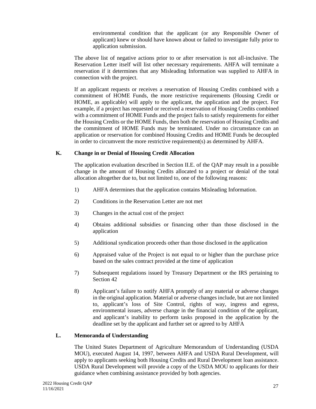environmental condition that the applicant (or any Responsible Owner of applicant) knew or should have known about or failed to investigate fully prior to application submission.

The above list of negative actions prior to or after reservation is not all-inclusive. The Reservation Letter itself will list other necessary requirements. AHFA will terminate a reservation if it determines that any Misleading Information was supplied to AHFA in connection with the project.

If an applicant requests or receives a reservation of Housing Credits combined with a commitment of HOME Funds, the more restrictive requirements (Housing Credit or HOME, as applicable) will apply to the applicant, the application and the project. For example, if a project has requested or received a reservation of Housing Credits combined with a commitment of HOME Funds and the project fails to satisfy requirements for either the Housing Credits or the HOME Funds, then both the reservation of Housing Credits and the commitment of HOME Funds may be terminated. Under no circumstance can an application or reservation for combined Housing Credits and HOME Funds be decoupled in order to circumvent the more restrictive requirement(s) as determined by AHFA.

### **K. Change in or Denial of Housing Credit Allocation**

The application evaluation described in Section II.E. of the QAP may result in a possible change in the amount of Housing Credits allocated to a project or denial of the total allocation altogether due to, but not limited to, one of the following reasons:

- 1) AHFA determines that the application contains Misleading Information.
- 2) Conditions in the Reservation Letter are not met
- 3) Changes in the actual cost of the project
- 4) Obtains additional subsidies or financing other than those disclosed in the application
- 5) Additional syndication proceeds other than those disclosed in the application
- 6) Appraised value of the Project is not equal to or higher than the purchase price based on the sales contract provided at the time of application
- 7) Subsequent regulations issued by Treasury Department or the IRS pertaining to Section 42
- 8) Applicant's failure to notify AHFA promptly of any material or adverse changes in the original application. Material or adverse changes include, but are not limited to, applicant's loss of Site Control, rights of way, ingress and egress, environmental issues, adverse change in the financial condition of the applicant, and applicant's inability to perform tasks proposed in the application by the deadline set by the applicant and further set or agreed to by AHFA

## **L. Memoranda of Understanding**

The United States Department of Agriculture Memorandum of Understanding (USDA MOU), executed August 14, 1997, between AHFA and USDA Rural Development, will apply to applicants seeking both Housing Credits and Rural Development loan assistance. USDA Rural Development will provide a copy of the USDA MOU to applicants for their guidance when combining assistance provided by both agencies.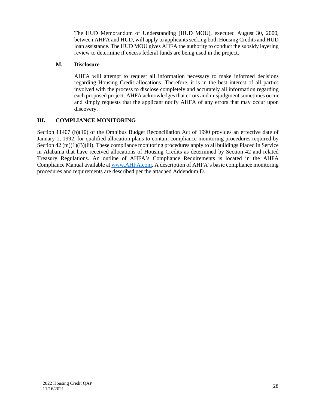The HUD Memorandum of Understanding (HUD MOU), executed August 30, 2000, between AHFA and HUD, will apply to applicants seeking both Housing Credits and HUD loan assistance. The HUD MOU gives AHFA the authority to conduct the subsidy layering review to determine if excess federal funds are being used in the project.

## **M. Disclosure**

AHFA will attempt to request all information necessary to make informed decisions regarding Housing Credit allocations. Therefore, it is in the best interest of all parties involved with the process to disclose completely and accurately all information regarding each proposed project. AHFA acknowledges that errors and misjudgment sometimes occur and simply requests that the applicant notify AHFA of any errors that may occur upon discovery.

### **III. COMPLIANCE MONITORING**

Section 11407 (b)(10) of the Omnibus Budget Reconciliation Act of 1990 provides an effective date of January 1, 1992, for qualified allocation plans to contain compliance monitoring procedures required by Section  $42 \text{ (m)}(1)(B)$ (iii). These compliance monitoring procedures apply to all buildings Placed in Service in Alabama that have received allocations of Housing Credits as determined by Section 42 and related Treasury Regulations. An outline of AHFA's Compliance Requirements is located in the AHFA Compliance Manual available at www.AHFA.com. A description of AHFA's basic compliance monitoring procedures and requirements are described per the attached Addendum D.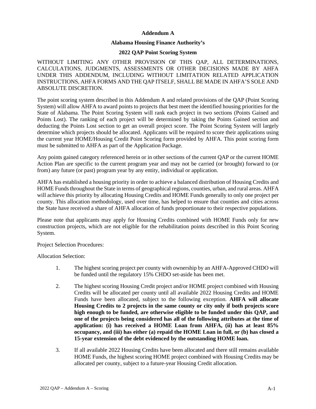#### **Addendum A**

#### **Alabama Housing Finance Authority's**

#### **2022 QAP Point Scoring System**

WITHOUT LIMITING ANY OTHER PROVISION OF THIS QAP, ALL DETERMINATIONS, CALCULATIONS, JUDGMENTS, ASSESSMENTS OR OTHER DECISIONS MADE BY AHFA UNDER THIS ADDENDUM, INCLUDING WITHOUT LIMITATION RELATED APPLICATION INSTRUCTIONS, AHFA FORMS AND THE QAP ITSELF, SHALL BE MADE IN AHFA'S SOLE AND ABSOLUTE DISCRETION.

The point scoring system described in this Addendum A and related provisions of the QAP (Point Scoring System) will allow AHFA to award points to projects that best meet the identified housing priorities for the State of Alabama. The Point Scoring System will rank each project in two sections (Points Gained and Points Lost). The ranking of each project will be determined by taking the Points Gained section and deducting the Points Lost section to get an overall project score. The Point Scoring System will largely determine which projects should be allocated. Applicants will be required to score their applications using the current year HOME/Housing Credit Point Scoring form provided by AHFA. This point scoring form must be submitted to AHFA as part of the Application Package.

Any points gained category referenced herein or in other sections of the current QAP or the current HOME Action Plan are specific to the current program year and may not be carried (or brought) forward to (or from) any future (or past) program year by any entity, individual or application.

AHFA has established a housing priority in order to achieve a balanced distribution of Housing Credits and HOME Funds throughout the State in terms of geographical regions, counties, urban, and rural areas. AHFA will achieve this priority by allocating Housing Credits and HOME Funds generally to only one project per county. This allocation methodology, used over time, has helped to ensure that counties and cities across the State have received a share of AHFA allocation of funds proportionate to their respective populations.

Please note that applicants may apply for Housing Credits combined with HOME Funds only for new construction projects, which are not eligible for the rehabilitation points described in this Point Scoring System.

Project Selection Procedures:

Allocation Selection:

- 1. The highest scoring project per county with ownership by an AHFA-Approved CHDO will be funded until the regulatory 15% CHDO set-aside has been met.
- 2. The highest scoring Housing Credit project and/or HOME project combined with Housing Credits will be allocated per county until all available 2022 Housing Credits and HOME Funds have been allocated, subject to the following exception. **AHFA will allocate Housing Credits to 2 projects in the same county or city only if both projects score high enough to be funded, are otherwise eligible to be funded under this QAP, and one of the projects being considered has all of the following attributes at the time of application: (i) has received a HOME Loan from AHFA, (ii) has at least 85% occupancy, and (iii) has either (a) repaid the HOME Loan in full, or (b) has closed a 15-year extension of the debt evidenced by the outstanding HOME loan.**
- 3. If all available 2022 Housing Credits have been allocated and there still remains available HOME Funds, the highest scoring HOME project combined with Housing Credits may be allocated per county, subject to a future-year Housing Credit allocation.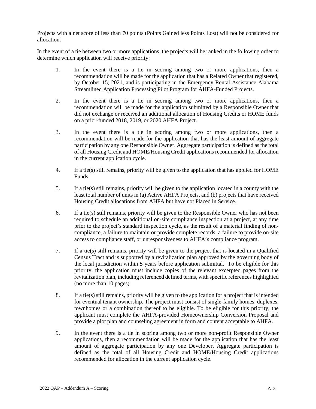Projects with a net score of less than 70 points (Points Gained less Points Lost) will not be considered for allocation.

In the event of a tie between two or more applications, the projects will be ranked in the following order to determine which application will receive priority:

- 1. In the event there is a tie in scoring among two or more applications, then a recommendation will be made for the application that has a Related Owner that registered, by October 15, 2021, and is participating in the Emergency Rental Assistance Alabama Streamlined Application Processing Pilot Program for AHFA-Funded Projects.
- 2. In the event there is a tie in scoring among two or more applications, then a recommendation will be made for the application submitted by a Responsible Owner that did not exchange or received an additional allocation of Housing Credits or HOME funds on a prior-funded 2018, 2019, or 2020 AHFA Project.
- 3. In the event there is a tie in scoring among two or more applications, then a recommendation will be made for the application that has the least amount of aggregate participation by any one Responsible Owner. Aggregate participation is defined as the total of all Housing Credit and HOME/Housing Credit applications recommended for allocation in the current application cycle.
- 4. If a tie(s) still remains, priority will be given to the application that has applied for HOME Funds.
- 5. If a tie(s) still remains, priority will be given to the application located in a county with the least total number of units in (a) Active AHFA Projects, and (b) projects that have received Housing Credit allocations from AHFA but have not Placed in Service.
- 6. If a tie(s) still remains, priority will be given to the Responsible Owner who has not been required to schedule an additional on-site compliance inspection at a project, at any time prior to the project's standard inspection cycle, as the result of a material finding of noncompliance, a failure to maintain or provide complete records, a failure to provide on-site access to compliance staff, or unresponsiveness to AHFA's compliance program.
- 7. If a tie(s) still remains, priority will be given to the project that is located in a Qualified Census Tract and is supported by a revitalization plan approved by the governing body of the local jurisdiction within 5 years before application submittal. To be eligible for this priority, the application must include copies of the relevant excerpted pages from the revitalization plan, including referenced defined terms, with specific references highlighted (no more than 10 pages).
- 8. If a tie(s) still remains, priority will be given to the application for a project that is intended for eventual tenant ownership. The project must consist of single-family homes, duplexes, townhomes or a combination thereof to be eligible. To be eligible for this priority, the applicant must complete the AHFA-provided Homeownership Conversion Proposal and provide a plot plan and counseling agreement in form and content acceptable to AHFA.
- 9. In the event there is a tie in scoring among two or more non-profit Responsible Owner applications, then a recommendation will be made for the application that has the least amount of aggregate participation by any one Developer. Aggregate participation is defined as the total of all Housing Credit and HOME/Housing Credit applications recommended for allocation in the current application cycle.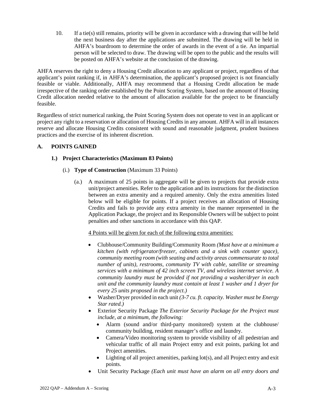10. If a tie(s) still remains, priority will be given in accordance with a drawing that will be held the next business day after the applications are submitted. The drawing will be held in AHFA's boardroom to determine the order of awards in the event of a tie. An impartial person will be selected to draw. The drawing will be open to the public and the results will be posted on AHFA's website at the conclusion of the drawing.

AHFA reserves the right to deny a Housing Credit allocation to any applicant or project, regardless of that applicant's point ranking if, in AHFA's determination, the applicant's proposed project is not financially feasible or viable. Additionally, AHFA may recommend that a Housing Credit allocation be made irrespective of the ranking order established by the Point Scoring System, based on the amount of Housing Credit allocation needed relative to the amount of allocation available for the project to be financially feasible.

Regardless of strict numerical ranking, the Point Scoring System does not operate to vest in an applicant or project any right to a reservation or allocation of Housing Credits in any amount. AHFA will in all instances reserve and allocate Housing Credits consistent with sound and reasonable judgment, prudent business practices and the exercise of its inherent discretion.

## **A. POINTS GAINED**

### **1.) Project Characteristics (Maximum 83 Points)**

- (i.) **Type of Construction** (Maximum 33 Points)
	- (a.) A maximum of 25 points in aggregate will be given to projects that provide extra unit/project amenities. Refer to the application and its instructions for the distinction between an extra amenity and a required amenity. Only the extra amenities listed below will be eligible for points. If a project receives an allocation of Housing Credits and fails to provide any extra amenity in the manner represented in the Application Package, the project and its Responsible Owners will be subject to point penalties and other sanctions in accordance with this QAP.

#### 4 Points will be given for each of the following extra amenities:

- Clubhouse/Community Building/Community Room *(Must have at a minimum a kitchen (with refrigerator/freezer, cabinets and a sink with counter space), community meeting room (with seating and activity areas commensurate to total number of units), restrooms, community TV with cable, satellite or streaming services with a minimum of 42 inch screen TV, and wireless internet service. A community laundry must be provided if not providing a washer/dryer in each unit and the community laundry must contain at least 1 washer and 1 dryer for every 25 units proposed in the project.)*
- Washer/Dryer provided in each unit *(3-7 cu. ft. capacity. Washer must be Energy Star rated.)*
- Exterior Security Package *The Exterior Security Package for the Project must include, at a minimum, the following:*
	- Alarm (sound and/or third-party monitored) system at the clubhouse/ community building, resident manager's office and laundry.
	- Camera/Video monitoring system to provide visibility of all pedestrian and vehicular traffic of all main Project entry and exit points, parking lot and Project amenities.
	- Lighting of all project amenities, parking lot(s), and all Project entry and exit points.
- Unit Security Package *(Each unit must have an alarm on all entry doors and*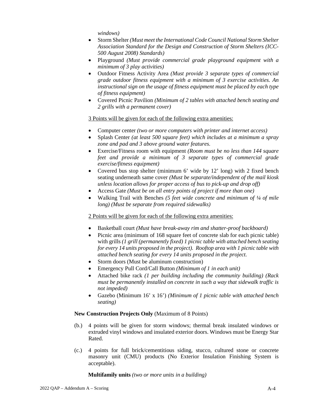*windows)*

- Storm Shelter *(Must meet the International Code Council National Storm Shelter Association Standard for the Design and Construction of Storm Shelters (ICC-500 August 2008) Standards)*
- Playground *(Must provide commercial grade playground equipment with a minimum of 3 play activities)*
- Outdoor Fitness Activity Area *(Must provide 3 separate types of commercial grade outdoor fitness equipment with a minimum of 3 exercise activities. An instructional sign on the usage of fitness equipment must be placed by each type of fitness equipment)*
- Covered Picnic Pavilion *(Minimum of 2 tables with attached bench seating and 2 grills with a permanent cover)*

#### 3 Points will be given for each of the following extra amenities:

- Computer center *(two or more computers with printer and internet access)*
- Splash Center *(at least 500 square feet) which includes at a minimum a spray zone and pad and 3 above ground water features.*
- Exercise/Fitness room with equipment *(Room must be no less than 144 square feet and provide a minimum of 3 separate types of commercial grade exercise/fitness equipment)*
- Covered bus stop shelter (minimum 6' wide by 12' long) with 2 fixed bench seating underneath same cover *(Must be separate/independent of the mail kiosk unless location allows for proper access of bus to pick-up and drop off)*
- Access Gate *(Must be on all entry points of project if more than one)*
- Walking Trail with Benches *(5 feet wide concrete and minimum of ¼ of mile long) (Must be separate from required sidewalks)*

#### 2 Points will be given for each of the following extra amenities:

- Basketball court *(Must have break-away rim and shatter-proof backboard)*
- Picnic area (minimum of 168 square feet of concrete slab for each picnic table) with grills *(1 grill (permanently fixed) 1 picnic table with attached bench seating for every 14 units proposed in the project). Rooftop area with 1 picnic table with attached bench seating for every 14 units proposed in the project.*
- Storm doors (Must be aluminum construction)
- Emergency Pull Cord/Call Button *(Minimum of 1 in each unit)*
- Attached bike rack *(1 per building including the community building) (Rack must be permanently installed on concrete in such a way that sidewalk traffic is not impeded)*
- Gazebo (Minimum 16' x 16') *(Minimum of 1 picnic table with attached bench seating)*

#### **New Construction Projects Only** (Maximum of 8 Points)

- (b.) 4 points will be given for storm windows; thermal break insulated windows or extruded vinyl windows and insulated exterior doors. Windows must be Energy Star Rated.
- (c.) 4 points for full brick/cementitious siding, stucco, cultured stone or concrete masonry unit (CMU) products (No Exterior Insulation Finishing System is acceptable).

**Multifamily units** *(two or more units in a building)*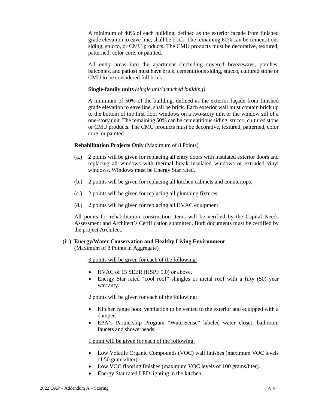A minimum of 40% of each building, defined as the exterior façade from finished grade elevation to eave line, shall be brick. The remaining 60% can be cementitious siding, stucco, or CMU products. The CMU products must be decorative, textured, patterned, color core, or painted.

All entry areas into the apartment (including covered breezeways, porches, balconies, and patios) must have brick, cementitious siding, stucco, cultured stone or CMU to be considered full brick.

#### **Single-family units** *(single unit/detached building)*

A minimum of 50% of the building, defined as the exterior façade from finished grade elevation to eave line, shall be brick. Each exterior wall must contain brick up to the bottom of the first floor windows on a two-story unit or the window sill of a one-story unit. The remaining 50% can be cementitious siding, stucco, cultured stone or CMU products. The CMU products must be decorative, textured, patterned, color core, or painted.

#### **Rehabilitation Projects Only** (Maximum of 8 Points)

- (a.) 2 points will be given for replacing all entry doors with insulated exterior doors and replacing all windows with thermal break insulated windows or extruded vinyl windows. Windows must be Energy Star rated.
- (b.) 2 points will be given for replacing all kitchen cabinets and countertops.
- (c.) 2 points will be given for replacing all plumbing fixtures.
- (d.) 2 points will be given for replacing all HVAC equipment

All points for rehabilitation construction items will be verified by the Capital Needs Assessment and Architect's Certification submitted. Both documents must be certified by the project Architect.

#### (ii.) **Energy/Water Conservation and Healthy Living Environment** (Maximum of 8 Points in Aggregate)

3 points will be given for each of the following:

- HVAC of 15 SEER (HSPF 9.0) or above.
- Energy Star rated "cool roof" shingles or metal roof with a fifty (50) year warranty.

2 points will be given for each of the following:

- Kitchen range hood ventilation to be vented to the exterior and equipped with a damper.
- EPA's Partnership Program "WaterSense" labeled water closet, bathroom faucets and showerheads.

1 point will be given for each of the following:

- Low Volatile Organic Compounds (VOC) wall finishes (maximum VOC levels of 50 grams/liter).
- Low VOC flooring finishes (maximum VOC levels of 100 grams/liter).
- Energy Star rated LED lighting in the kitchen.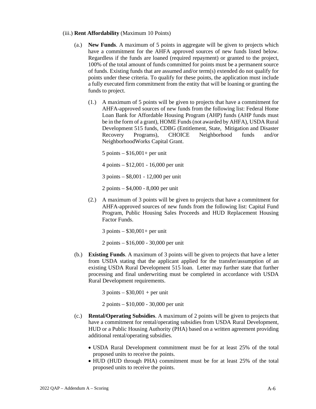- (iii.) **Rent Affordability** (Maximum 10 Points)
	- (a.) **New Funds**. A maximum of 5 points in aggregate will be given to projects which have a commitment for the AHFA approved sources of new funds listed below. Regardless if the funds are loaned (required repayment) or granted to the project, 100% of the total amount of funds committed for points must be a permanent source of funds. Existing funds that are assumed and/or term(s) extended do not qualify for points under these criteria. To qualify for these points, the application must include a fully executed firm commitment from the entity that will be loaning or granting the funds to project.
		- (1.) A maximum of 5 points will be given to projects that have a commitment for AHFA-approved sources of new funds from the following list: Federal Home Loan Bank for Affordable Housing Program (AHP) funds (AHP funds must be in the form of a grant), HOME Funds (not awarded by AHFA), USDA Rural Development 515 funds, CDBG (Entitlement, State, Mitigation and Disaster Recovery Programs), CHOICE Neighborhood funds and/or NeighborhoodWorks Capital Grant.

 $5$  points  $-$  \$16,001+ per unit

4 points – \$12,001 - 16,000 per unit

3 points – \$8,001 - 12,000 per unit

2 points – \$4,000 - 8,000 per unit

(2.) A maximum of 3 points will be given to projects that have a commitment for AHFA-approved sources of new funds from the following list: Capital Fund Program, Public Housing Sales Proceeds and HUD Replacement Housing Factor Funds.

3 points – \$30,001+ per unit

2 points – \$16,000 - 30,000 per unit

(b.) **Existing Funds**. A maximum of 3 points will be given to projects that have a letter from USDA stating that the applicant applied for the transfer/assumption of an existing USDA Rural Development 515 loan. Letter may further state that further processing and final underwriting must be completed in accordance with USDA Rural Development requirements.

 $3$  points –  $$30,001 + per$  unit

2 points – \$10,000 - 30,000 per unit

- (c.) **Rental/Operating Subsidies**. A maximum of 2 points will be given to projects that have a commitment for rental/operating subsidies from USDA Rural Development, HUD or a Public Housing Authority (PHA) based on a written agreement providing additional rental/operating subsidies.
	- USDA Rural Development commitment must be for at least 25% of the total proposed units to receive the points.
	- HUD (HUD through PHA) commitment must be for at least 25% of the total proposed units to receive the points.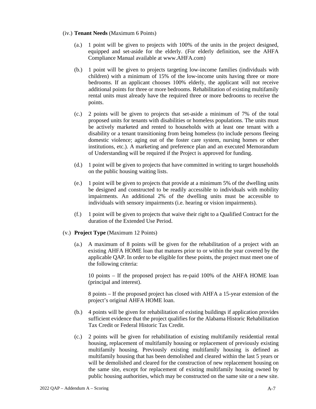#### (iv.) **Tenant Needs** (Maximum 6 Points)

- (a.) 1 point will be given to projects with 100% of the units in the project designed, equipped and set-aside for the elderly. (For elderly definition, see the AHFA Compliance Manual available at www.AHFA.com)
- (b.) 1 point will be given to projects targeting low-income families (individuals with children) with a minimum of 15% of the low-income units having three or more bedrooms. If an applicant chooses 100% elderly, the applicant will not receive additional points for three or more bedrooms. Rehabilitation of existing multifamily rental units must already have the required three or more bedrooms to receive the points.
- (c.) 2 points will be given to projects that set-aside a minimum of 7% of the total proposed units for tenants with disabilities or homeless populations. The units must be actively marketed and rented to households with at least one tenant with a disability or a tenant transitioning from being homeless (to include persons fleeing domestic violence; aging out of the foster care system, nursing homes or other institutions, etc.). A marketing and preference plan and an executed Memorandum of Understanding will be required if the Project is approved for funding.
- (d.) 1 point will be given to projects that have committed in writing to target households on the public housing waiting lists.
- (e.) 1 point will be given to projects that provide at a minimum 5% of the dwelling units be designed and constructed to be readily accessible to individuals with mobility impairments. An additional 2% of the dwelling units must be accessible to individuals with sensory impairments (i.e. hearing or vision impairments).
- (f.) 1 point will be given to projects that waive their right to a Qualified Contract for the duration of the Extended Use Period.
- (v.) **Project Type** (Maximum 12 Points)
	- (a.) A maximum of 8 points will be given for the rehabilitation of a project with an existing AHFA HOME loan that matures prior to or within the year covered by the applicable QAP. In order to be eligible for these points, the project must meet one of the following criteria:

10 points – If the proposed project has re-paid 100% of the AHFA HOME loan (principal and interest).

8 points – If the proposed project has closed with AHFA a 15-year extension of the project's original AHFA HOME loan.

- (b.) 4 points will be given for rehabilitation of existing buildings if application provides sufficient evidence that the project qualifies for the Alabama Historic Rehabilitation Tax Credit or Federal Historic Tax Credit.
- (c.) 2 points will be given for rehabilitation of existing multifamily residential rental housing, replacement of multifamily housing or replacement of previously existing multifamily housing. Previously existing multifamily housing is defined as multifamily housing that has been demolished and cleared within the last 5 years or will be demolished and cleared for the construction of new replacement housing on the same site, except for replacement of existing multifamily housing owned by public housing authorities, which may be constructed on the same site or a new site.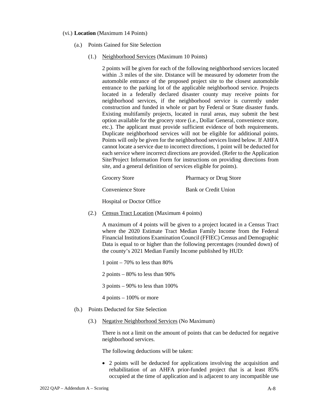#### (vi.) **Location** (Maximum 14 Points)

- (a.) Points Gained for Site Selection
	- (1.) Neighborhood Services (Maximum 10 Points)

2 points will be given for each of the following neighborhood services located within .3 miles of the site. Distance will be measured by odometer from the automobile entrance of the proposed project site to the closest automobile entrance to the parking lot of the applicable neighborhood service. Projects located in a federally declared disaster county may receive points for neighborhood services, if the neighborhood service is currently under construction and funded in whole or part by Federal or State disaster funds. Existing multifamily projects, located in rural areas, may submit the best option available for the grocery store (i.e., Dollar General, convenience store, etc.). The applicant must provide sufficient evidence of both requirements. Duplicate neighborhood services will not be eligible for additional points. Points will only be given for the neighborhood services listed below. If AHFA cannot locate a service due to incorrect directions, 1 point will be deducted for each service where incorrect directions are provided. (Refer to the Application Site/Project Information Form for instructions on providing directions from site, and a general definition of services eligible for points).

| <b>Grocery Store</b> | <b>Pharmacy or Drug Store</b> |
|----------------------|-------------------------------|
| Convenience Store    | <b>Bank or Credit Union</b>   |

Hospital or Doctor Office

(2.) Census Tract Location (Maximum 4 points)

A maximum of 4 points will be given to a project located in a Census Tract where the 2020 Estimate Tract Median Family Income from the Federal Financial Institutions Examination Council (FFIEC) Census and Demographic Data is equal to or higher than the following percentages (rounded down) of the county's 2021 Median Family Income published by HUD:

- 1 point 70% to less than 80%
- 2 points 80% to less than 90%
- 3 points 90% to less than 100%
- $4$  points  $-100\%$  or more
- (b.) Points Deducted for Site Selection
	- (3.) Negative Neighborhood Services (No Maximum)

There is not a limit on the amount of points that can be deducted for negative neighborhood services.

The following deductions will be taken:

• 2 points will be deducted for applications involving the acquisition and rehabilitation of an AHFA prior-funded project that is at least 85% occupied at the time of application and is adjacent to any incompatible use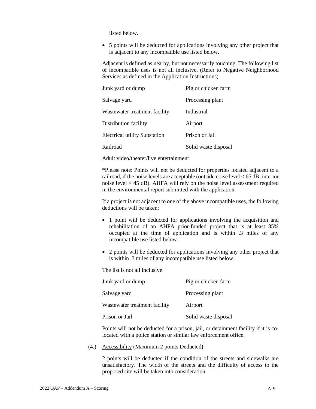listed below.

• 5 points will be deducted for applications involving any other project that is adjacent to any incompatible use listed below.

Adjacent is defined as nearby, but not necessarily touching. The following list of incompatible uses is not all inclusive. (Refer to Negative Neighborhood Services as defined in the Application Instructions)

| Junk yard or dump                    | Pig or chicken farm  |
|--------------------------------------|----------------------|
| Salvage yard                         | Processing plant     |
| Wastewater treatment facility        | Industrial           |
| Distribution facility                | Airport              |
| <b>Electrical utility Substation</b> | Prison or Jail       |
| Railroad                             | Solid waste disposal |

Adult video/theater/live entertainment

\*Please note: Points will not be deducted for properties located adjacent to a railroad, if the noise levels are acceptable (outside noise level  $< 65$  dB; interior noise level < 45 dB). AHFA will rely on the noise level assessment required in the environmental report submitted with the application.

If a project is not adjacent to one of the above incompatible uses, the following deductions will be taken:

- 1 point will be deducted for applications involving the acquisition and rehabilitation of an AHFA prior-funded project that is at least 85% occupied at the time of application and is within .3 miles of any incompatible use listed below.
- 2 points will be deducted for applications involving any other project that is within .3 miles of any incompatible use listed below.

The list is not all inclusive.

| Junk yard or dump             | Pig or chicken farm  |
|-------------------------------|----------------------|
| Salvage yard                  | Processing plant     |
| Wastewater treatment facility | Airport              |
| Prison or Jail                | Solid waste disposal |

Points will not be deducted for a prison, jail, or detainment facility if it is colocated with a police station or similar law enforcement office.

(4.) Accessibility (Maximum 2 points Deducted**)** 

2 points will be deducted if the condition of the streets and sidewalks are unsatisfactory. The width of the streets and the difficulty of access to the proposed site will be taken into consideration.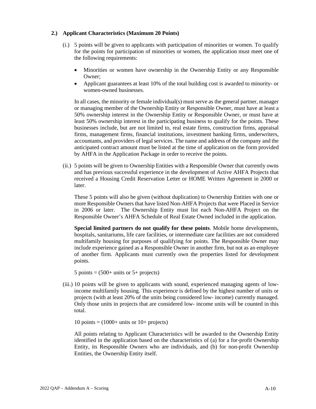#### **2.) Applicant Characteristics (Maximum 20 Points)**

- (i.) 5 points will be given to applicants with participation of minorities or women. To qualify for the points for participation of minorities or women, the application must meet one of the following requirements:
	- Minorities or women have ownership in the Ownership Entity or any Responsible Owner;
	- Applicant guarantees at least 10% of the total building cost is awarded to minority- or women-owned businesses.

In all cases, the minority or female individual(s) must serve as the general partner, manager or managing member of the Ownership Entity or Responsible Owner, must have at least a 50% ownership interest in the Ownership Entity or Responsible Owner, or must have at least 50% ownership interest in the participating business to qualify for the points. These businesses include, but are not limited to, real estate firms, construction firms, appraisal firms, management firms, financial institutions, investment banking firms, underwriters, accountants, and providers of legal services. The name and address of the company and the anticipated contract amount must be listed at the time of application on the form provided by AHFA in the Application Package in order to receive the points.

(ii.) 5 points will be given to Ownership Entities with a Responsible Owner that currently owns and has previous successful experience in the development of Active AHFA Projects that received a Housing Credit Reservation Letter or HOME Written Agreement in 2000 or later.

These 5 points will also be given (without duplication) to Ownership Entities with one or more Responsible Owners that have listed Non-AHFA Projects that were Placed in Service in 2006 or later. The Ownership Entity must list each Non-AHFA Project on the Responsible Owner's AHFA Schedule of Real Estate Owned included in the application.

**Special limited partners do not qualify for these points**. Mobile home developments, hospitals, sanitariums, life care facilities, or intermediate care facilities are not considered multifamily housing for purposes of qualifying for points. The Responsible Owner may include experience gained as a Responsible Owner in another firm, but not as an employee of another firm. Applicants must currently own the properties listed for development points.

5 points  $= (500+$  units or 5+ projects)

(iii.) 10 points will be given to applicants with sound, experienced managing agents of lowincome multifamily housing. This experience is defined by the highest number of units or projects (with at least 20% of the units being considered low- income) currently managed. Only those units in projects that are considered low- income units will be counted in this total.

10 points  $= (1000 + \text{units or } 10 + \text{projects})$ 

All points relating to Applicant Characteristics will be awarded to the Ownership Entity identified in the application based on the characteristics of (a) for a for-profit Ownership Entity, its Responsible Owners who are individuals, and (b) for non-profit Ownership Entities, the Ownership Entity itself.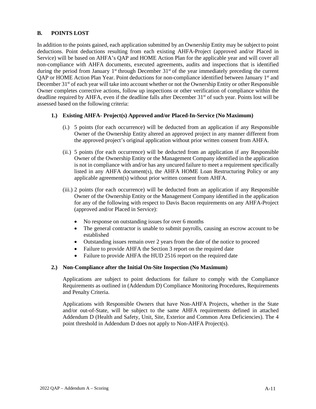## **B. POINTS LOST**

In addition to the points gained, each application submitted by an Ownership Entity may be subject to point deductions. Point deductions resulting from each existing AHFA-Project (approved and/or Placed in Service) will be based on AHFA's QAP and HOME Action Plan for the applicable year and will cover all non-compliance with AHFA documents, executed agreements, audits and inspections that is identified during the period from January  $1<sup>st</sup>$  through December  $31<sup>st</sup>$  of the year immediately preceding the current QAP or HOME Action Plan Year. Point deductions for non-compliance identified between January 1st and December 31<sup>st</sup> of each year will take into account whether or not the Ownership Entity or other Responsible Owner completes corrective actions, follow up inspections or other verification of compliance within the deadline required by AHFA, even if the deadline falls after December  $31<sup>st</sup>$  of such year. Points lost will be assessed based on the following criteria:

# **1.) Existing AHFA- Project(s) Approved and/or Placed-In-Service (No Maximum)**

- (i.) 5 points (for each occurrence) will be deducted from an application if any Responsible Owner of the Ownership Entity altered an approved project in any manner different from the approved project's original application without prior written consent from AHFA.
- (ii.) 5 points (for each occurrence) will be deducted from an application if any Responsible Owner of the Ownership Entity or the Management Company identified in the application is not in compliance with and/or has any uncured failure to meet a requirement specifically listed in any AHFA document(s), the AHFA HOME Loan Restructuring Policy or any applicable agreement(s) without prior written consent from AHFA.
- (iii.) 2 points (for each occurrence) will be deducted from an application if any Responsible Owner of the Ownership Entity or the Management Company identified in the application for any of the following with respect to Davis Bacon requirements on any AHFA-Project (approved and/or Placed in Service):
	- No response on outstanding issues for over 6 months
	- The general contractor is unable to submit payrolls, causing an escrow account to be established
	- Outstanding issues remain over 2 years from the date of the notice to proceed
	- Failure to provide AHFA the Section 3 report on the required date
	- Failure to provide AHFA the HUD 2516 report on the required date

## **2.) Non-Compliance after the Initial On-Site Inspection (No Maximum)**

Applications are subject to point deductions for failure to comply with the Compliance Requirements as outlined in (Addendum D) Compliance Monitoring Procedures, Requirements and Penalty Criteria.

Applications with Responsible Owners that have Non-AHFA Projects, whether in the State and/or out-of-State, will be subject to the same AHFA requirements defined in attached Addendum D (Health and Safety, Unit, Site, Exterior and Common Area Deficiencies). The 4 point threshold in Addendum D does not apply to Non-AHFA Project(s).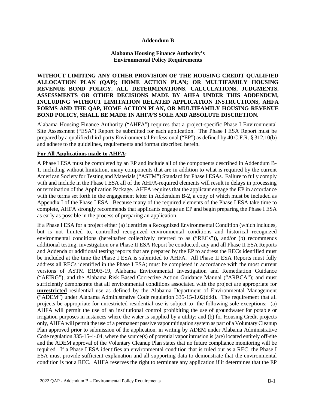#### **Addendum B**

## **Alabama Housing Finance Authority's Environmental Policy Requirements**

**WITHOUT LIMITING ANY OTHER PROVISION OF THE HOUSING CREDIT QUALIFIED ALLOCATION PLAN (QAP); HOME ACTION PLAN; OR MULTIFAMILY HOUSING REVENUE BOND POLICY, ALL DETERMINATIONS, CALCULATIONS, JUDGMENTS, ASSESSMENTS OR OTHER DECISIONS MADE BY AHFA UNDER THIS ADDENDUM, INCLUDING WITHOUT LIMITATION RELATED APPLICATION INSTRUCTIONS, AHFA FORMS AND THE QAP, HOME ACTION PLAN, OR MULTIFAMILY HOUSING REVENUE BOND POLICY, SHALL BE MADE IN AHFA'S SOLE AND ABSOLUTE DISCRETION.**

Alabama Housing Finance Authority ("AHFA") requires that a project-specific Phase I Environmental Site Assessment ("ESA") Report be submitted for each application. The Phase I ESA Report must be prepared by a qualified third-party Environmental Professional ("EP") as defined by 40 C.F.R. § 312.10(b) and adhere to the guidelines, requirements and format described herein.

#### **For All Applications made to AHFA:**

A Phase I ESA must be completed by an EP and include all of the components described in Addendum B-1, including without limitation, many components that are in addition to what is required by the current American Society for Testing and Materials ("ASTM") Standard for Phase I ESAs. Failure to fully comply with and include in the Phase I ESA all of the AHFA-required elements will result in delays in processing or termination of the Application Package. AHFA requires that the applicant engage the EP in accordance with the terms set forth in the engagement letter in Addendum B-2, a copy of which must be included as Appendix I of the Phase I ESA. Because many of the required elements of the Phase I ESA take time to complete, AHFA strongly recommends that applicants engage an EP and begin preparing the Phase I ESA as early as possible in the process of preparing an application.

If a Phase I ESA for a project either (a) identifies a Recognized Environmental Condition (which includes, but is not limited to, controlled recognized environmental conditions and historical recognized environmental conditions (hereinafter collectively referred to as ("RECs")), and/or (b) recommends additional testing, investigation or a Phase II ESA Report be conducted, any and all Phase II ESA Reports and Addenda or additional testing reports that are prepared by the EP to address the RECs identified must be included at the time the Phase I ESA is submitted to AHFA. All Phase II ESA Reports must fully address all RECs identified in the Phase I ESA; must be completed in accordance with the most current versions of ASTM E1903-19, Alabama Environmental Investigation and Remediation Guidance ("AEIRG"), and the Alabama Risk Based Corrective Action Guidance Manual ("ARBCA"); and must sufficiently demonstrate that all environmental conditions associated with the project are appropriate for **unrestricted** residential use as defined by the Alabama Department of Environmental Management ("ADEM") under Alabama Administrative Code regulation 335-15-1.02(ddd). The requirement that all projects be appropriate for unrestricted residential use is subject to the following sole exceptions: (a) AHFA will permit the use of an institutional control prohibiting the use of groundwater for potable or irrigation purposes in instances where the water is supplied by a utility; and (b) for Housing Credit projects only, AHFA will permit the use of a permanent passive vapor mitigation system as part of a Voluntary Cleanup Plan approved prior to submission of the application, in writing by ADEM under Alabama Administrative Code regulation 335-15-4-.04, where the source(s) of potential vapor intrusion is (are) located entirely off-site and the ADEM approval of the Voluntary Cleanup Plan states that no future compliance monitoring will be required. If a Phase I ESA identifies an environmental condition that is ruled out as a REC, the Phase I ESA must provide sufficient explanation and all supporting data to demonstrate that the environmental condition is not a REC. AHFA reserves the right to terminate any application if it determines that the EP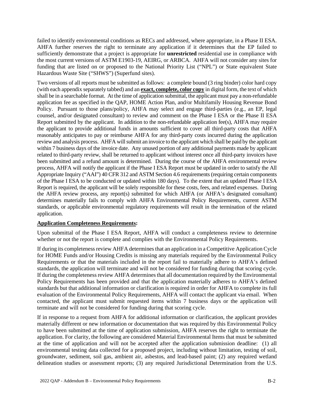failed to identify environmental conditions as RECs and addressed, where appropriate, in a Phase II ESA. AHFA further reserves the right to terminate any application if it determines that the EP failed to sufficiently demonstrate that a project is appropriate for **unrestricted** residential use in compliance with the most current versions of ASTM E1903-19, AEIRG, or ARBCA. AHFA will not consider any sites for funding that are listed on or proposed to the National Priority List ("NPL") or State equivalent State Hazardous Waste Site ("SHWS") (Superfund sites).

Two versions of all reports must be submitted as follows: a complete bound (3 ring binder) color hard copy (with each appendix separately tabbed) and an **exact, complete, color copy** in digital form, the text of which shall be in a searchable format. At the time of application submittal, the applicant must pay a non-refundable application fee as specified in the QAP, HOME Action Plan, and/or Multifamily Housing Revenue Bond Policy. Pursuant to those plans/policy, AHFA may select and engage third-parties (e.g., an EP, legal counsel, and/or designated consultant) to review and comment on the Phase I ESA or the Phase II ESA Report submitted by the applicant. In addition to the non-refundable application fee(s), AHFA may require the applicant to provide additional funds in amounts sufficient to cover all third-party costs that AHFA reasonably anticipates to pay or reimburse AHFA for any third-party costs incurred during the application review and analysis process. AHFA will submit an invoice to the applicant which shall be paid by the applicant within 7 business days of the invoice date. Any unused portion of any additional payments made by applicant related to third-party review, shall be returned to applicant without interest once all third-party invoices have been submitted and a refund amount is determined. During the course of the AHFA environmental review process, AHFA will notify the applicant if the Phase I ESA Report must be updated in order to satisfy the All Appropriate Inquiry ("AAI") 40 CFR 312 and ASTM Section 4.6 requirements (requiring certain components of the Phase I ESA to be conducted or updated within 180 days). To the extent that an updated Phase I ESA Report is required, the applicant will be solely responsible for these costs, fees, and related expenses. During the AHFA review process, any report(s) submitted for which AHFA (or AHFA's designated consultant) determines materially fails to comply with AHFA Environmental Policy Requirements, current ASTM standards, or applicable environmental regulatory requirements will result in the termination of the related application.

## **Application Completeness Requirements:**

Upon submittal of the Phase I ESA Report, AHFA will conduct a completeness review to determine whether or not the report is complete and complies with the Environmental Policy Requirements.

If during its completeness review AHFA determines that an application in a Competitive Application Cycle for HOME Funds and/or Housing Credits is missing any materials required by the Environmental Policy Requirements or that the materials included in the report fail to materially adhere to AHFA's defined standards, the application will terminate and will not be considered for funding during that scoring cycle. If during the completeness review AHFA determines that all documentation required by the Environmental Policy Requirements has been provided and that the application materially adheres to AHFA's defined standards but that additional information or clarification is required in order for AHFA to complete its full evaluation of the Environmental Policy Requirements, AHFA will contact the applicant via email. When contacted, the applicant must submit requested items within 7 business days or the application will terminate and will not be considered for funding during that scoring cycle.

If in response to a request from AHFA for additional information or clarification, the applicant provides materially different or new information or documentation that was required by this Environmental Policy to have been submitted at the time of application submission, AHFA reserves the right to terminate the application. For clarity, the following are considered Material Environmental Items that must be submitted at the time of application and will not be accepted after the application submission deadline: (1) all environmental testing data collected for a proposed project, including without limitation, testing of soil, groundwater, sediment, soil gas, ambient air, asbestos, and lead-based paint; (2) any required wetland delineation studies or assessment reports; (3) any required Jurisdictional Determination from the U.S.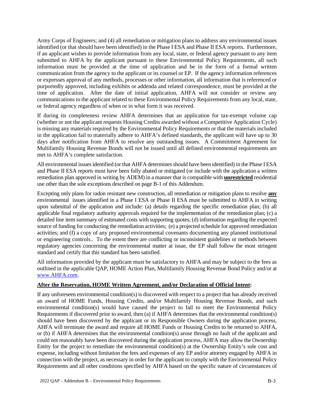Army Corps of Engineers; and (4) all remediation or mitigation plans to address any environmental issues identified (or that should have been identified) in the Phase I ESA and Phase II ESA reports. Furthermore, if an applicant wishes to provide information from any local, state, or federal agency pursuant to any item submitted to AHFA by the applicant pursuant to these Environmental Policy Requirements, all such information must be provided at the time of application and be in the form of a formal written communication from the agency to the applicant or its counsel or EP. If the agency information references or expresses approval of any methods, processes or other information, all information that is referenced or purportedly approved, including exhibits or addenda and related correspondence, must be provided at the time of application. After the date of initial application, AHFA will not consider or review any communications to the applicant related to these Environmental Policy Requirements from any local, state, or federal agency regardless of when or in what form it was received.

If during its completeness review AHFA determines that an application for tax-exempt volume cap (whether or not the applicant requests Housing Credits awarded without a Competitive Application Cycle) is missing any materials required by the Environmental Policy Requirements or that the materials included in the application fail to materially adhere to AHFA's defined standards, the applicant will have up to 30 days after notification from AHFA to resolve any outstanding issues. A Commitment Agreement for Multifamily Housing Revenue Bonds will not be issued until all defined environmental requirements are met to AHFA's complete satisfaction.

All environmental issues identified (or that AHFA determines should have been identified) in the Phase I ESA and Phase II ESA reports must have been fully abated or mitigated (or include with the application a written remediation plan approved in writing by ADEM) in a manner that is compatible with **unrestricted** residential use other than the sole exceptions described on page B-1 of this Addendum.

Excepting only plans for radon resistant new construction, all remediation or mitigation plans to resolve **any** environmental issues identified in a Phase I ESA or Phase II ESA must be submitted to AHFA in writing upon submittal of the application and include: (a) details regarding the specific remediation plan; (b) all applicable final regulatory authority approvals required for the implementation of the remediation plan; (c) a detailed line item summary of estimated costs with supporting quotes; (d) information regarding the expected source of funding for conducting the remediation activities; (e) a projected schedule for approved remediation activities; and (f) a copy of any proposed environmental covenants documenting any planned institutional or engineering controls.. To the extent there are conflicting or inconsistent guidelines or methods between regulatory agencies concerning the environmental matter at issue, the EP shall follow the most stringent standard and certify that this standard has been satisfied.

All information provided by the applicant must be satisfactory to AHFA and may be subject to the fees as outlined in the applicable QAP, HOME Action Plan, Multifamily Housing Revenue Bond Policy and/or at www.AHFA.com.

#### **After the Reservation, HOME Written Agreement, and/or Declaration of Official Intent:**

If any unforeseen environmental condition(s) is discovered with respect to a project that has already received an award of HOME Funds, Housing Credits, and/or Multifamily Housing Revenue Bonds, and such environmental condition(s) would have caused the project to fail to meet the Environmental Policy Requirements if discovered prior to award, then (a) if AHFA determines that the environmental condition(s) should have been discovered by the applicant or its Responsible Owners during the application process, AHFA will terminate the award and require all HOME Funds or Housing Credits to be returned to AHFA, or (b) if AHFA determines that the environmental condition(s) arose through no fault of the applicant and could not reasonably have been discovered during the application process, AHFA may allow the Ownership Entity for the project to remediate the environmental condition(s) at the Ownership Entity's sole cost and expense, including without limitation the fees and expenses of any EP and/or attorney engaged by AHFA in connection with the project, as necessary in order for the applicant to comply with the Environmental Policy Requirements and all other conditions specified by AHFA based on the specific nature of circumstances of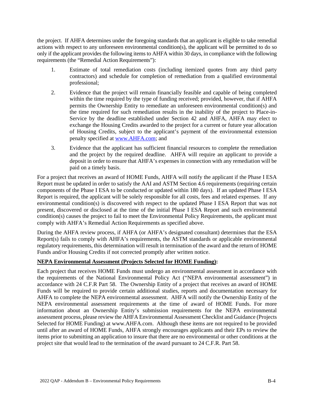the project. If AHFA determines under the foregoing standards that an applicant is eligible to take remedial actions with respect to any unforeseen environmental condition(s), the applicant will be permitted to do so only if the applicant provides the following items to AHFA within 30 days, in compliance with the following requirements (the "Remedial Action Requirements"):

- 1. Estimate of total remediation costs (including itemized quotes from any third party contractors) and schedule for completion of remediation from a qualified environmental professional;
- 2. Evidence that the project will remain financially feasible and capable of being completed within the time required by the type of funding received; provided, however, that if AHFA permits the Ownership Entity to remediate an unforeseen environmental condition(s) and the time required for such remediation results in the inability of the project to Place-in-Service by the deadline established under Section 42 and AHFA, AHFA may elect to exchange the Housing Credits awarded to the project for a current or future year allocation of Housing Credits, subject to the applicant's payment of the environmental extension penalty specified at www.AHFA.com; and
- 3. Evidence that the applicant has sufficient financial resources to complete the remediation and the project by the required deadline. AHFA will require an applicant to provide a deposit in order to ensure that AHFA's expenses in connection with any remediation will be paid on a timely basis.

For a project that receives an award of HOME Funds, AHFA will notify the applicant if the Phase I ESA Report must be updated in order to satisfy the AAI and ASTM Section 4.6 requirements (requiring certain components of the Phase I ESA to be conducted or updated within 180 days). If an updated Phase I ESA Report is required, the applicant will be solely responsible for all costs, fees and related expenses. If any environmental condition(s) is discovered with respect to the updated Phase I ESA Report that was not present, discovered or disclosed at the time of the initial Phase I ESA Report and such environmental condition(s) causes the project to fail to meet the Environmental Policy Requirements, the applicant must comply with AHFA's Remedial Action Requirements as specified above.

During the AHFA review process, if AHFA (or AHFA's designated consultant) determines that the ESA Report(s) fails to comply with AHFA's requirements, the ASTM standards or applicable environmental regulatory requirements, this determination will result in termination of the award and the return of HOME Funds and/or Housing Credits if not corrected promptly after written notice.

## **NEPA Environmental Assessment (Projects Selected for HOME Funding):**

Each project that receives HOME Funds must undergo an environmental assessment in accordance with the requirements of the National Environmental Policy Act ("NEPA environmental assessment") in accordance with 24 C.F.R Part 58. The Ownership Entity of a project that receives an award of HOME Funds will be required to provide certain additional studies, reports and documentation necessary for AHFA to complete the NEPA environmental assessment. AHFA will notify the Ownership Entity of the NEPA environmental assessment requirements at the time of award of HOME Funds. For more information about an Ownership Entity's submission requirements for the NEPA environmental assessment process, please review the AHFA Environmental Assessment Checklist and Guidance (Projects Selected for HOME Funding) at www.AHFA.com. Although these items are not required to be provided until after an award of HOME Funds, AHFA strongly encourages applicants and their EPs to review the items prior to submitting an application to insure that there are no environmental or other conditions at the project site that would lead to the termination of the award pursuant to 24 C.F.R. Part 58.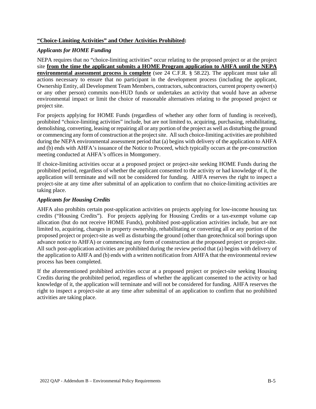# **"Choice-Limiting Activities" and Other Activities Prohibited:**

## *Applicants for HOME Funding*

NEPA requires that no "choice-limiting activities" occur relating to the proposed project or at the project site **from the time the applicant submits a HOME Program application to AHFA until the NEPA environmental assessment process is complete** (see 24 C.F.R. § 58.22). The applicant must take all actions necessary to ensure that no participant in the development process (including the applicant, Ownership Entity, all Development Team Members, contractors, subcontractors, current property owner(s) or any other person) commits non-HUD funds or undertakes an activity that would have an adverse environmental impact or limit the choice of reasonable alternatives relating to the proposed project or project site.

For projects applying for HOME Funds (regardless of whether any other form of funding is received), prohibited "choice-limiting activities" include, but are not limited to, acquiring, purchasing, rehabilitating, demolishing, converting, leasing or repairing all or any portion of the project as well as disturbing the ground or commencing any form of construction at the project site. All such choice-limiting activities are prohibited during the NEPA environmental assessment period that (a) begins with delivery of the application to AHFA and (b) ends with AHFA's issuance of the Notice to Proceed, which typically occurs at the pre-construction meeting conducted at AHFA's offices in Montgomery.

If choice-limiting activities occur at a proposed project or project-site seeking HOME Funds during the prohibited period, regardless of whether the applicant consented to the activity or had knowledge of it, the application will terminate and will not be considered for funding. AHFA reserves the right to inspect a project-site at any time after submittal of an application to confirm that no choice-limiting activities are taking place.

## *Applicants for Housing Credits*

AHFA also prohibits certain post-application activities on projects applying for low-income housing tax credits ("Housing Credits"). For projects applying for Housing Credits or a tax-exempt volume cap allocation (but do not receive HOME Funds), prohibited post-application activities include, but are not limited to, acquiring, changes in property ownership, rehabilitating or converting all or any portion of the proposed project or project-site as well as disturbing the ground (other than geotechnical soil borings upon advance notice to AHFA) or commencing any form of construction at the proposed project or project-site. All such post-application activities are prohibited during the review period that (a) begins with delivery of the application to AHFA and (b) ends with a written notification from AHFA that the environmental review process has been completed.

If the aforementioned prohibited activities occur at a proposed project or project-site seeking Housing Credits during the prohibited period, regardless of whether the applicant consented to the activity or had knowledge of it, the application will terminate and will not be considered for funding. AHFA reserves the right to inspect a project-site at any time after submittal of an application to confirm that no prohibited activities are taking place.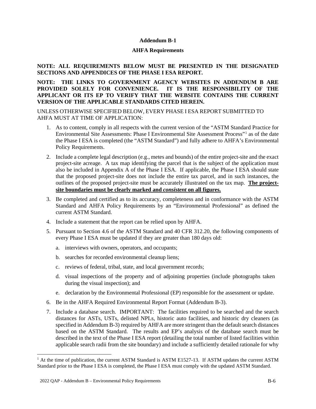#### **Addendum B-1**

#### **AHFA Requirements**

## **NOTE: ALL REQUIREMENTS BELOW MUST BE PRESENTED IN THE DESIGNATED SECTIONS AND APPENDICES OF THE PHASE I ESA REPORT.**

# **NOTE: THE LINKS TO GOVERNMENT AGENCY WEBSITES IN ADDENDUM B ARE PROVIDED SOLELY FOR CONVENIENCE. IT IS THE RESPONSIBILITY OF THE APPLICANT OR ITS EP TO VERIFY THAT THE WEBSITE CONTAINS THE CURRENT VERSION OF THE APPLICABLE STANDARDS CITED HEREIN.**

UNLESS OTHERWISE SPECIFIED BELOW, EVERY PHASE I ESA REPORT SUBMITTED TO AHFA MUST AT TIME OF APPLICATION:

- 1. As to content, comply in all respects with the current version of the "ASTM Standard Practice for Environmental Site Assessments: Phase I Environmental Site Assessment Process"[1](#page-46-0) as of the date the Phase I ESA is completed (the "ASTM Standard") and fully adhere to AHFA's Environmental Policy Requirements.
- 2. Include a complete legal description (e.g., metes and bounds) of the entire project-site and the exact project-site acreage. A tax map identifying the parcel that is the subject of the application must also be included in Appendix A of the Phase I ESA. If applicable, the Phase I ESA should state that the proposed project-site does not include the entire tax parcel, and in such instances, the outlines of the proposed project-site must be accurately illustrated on the tax map. **The projectsite boundaries must be clearly marked and** *consistent* **on all figures.**
- 3. Be completed and certified as to its accuracy, completeness and in conformance with the ASTM Standard and AHFA Policy Requirements by an "Environmental Professional" as defined the current ASTM Standard.
- 4. Include a statement that the report can be relied upon by AHFA.
- 5. Pursuant to Section 4.6 of the ASTM Standard and 40 CFR 312.20, the following components of every Phase I ESA must be updated if they are greater than 180 days old:
	- a. interviews with owners, operators, and occupants;
	- b. searches for recorded environmental cleanup liens;
	- c. reviews of federal, tribal, state, and local government records;
	- d. visual inspections of the property and of adjoining properties (include photographs taken during the visual inspection); and
	- e. declaration by the Environmental Professional (EP) responsible for the assessment or update.
- 6. Be in the AHFA Required Environmental Report Format (Addendum B-3).
- 7. Include a database search. IMPORTANT: The facilities required to be searched and the search distances for ASTs, USTs, delisted NPLs, historic auto facilities, and historic dry cleaners (as specified in Addendum B-3) required by AHFA are more stringent than the default search distances based on the ASTM Standard. The results and EP's analysis of the database search must be described in the text of the Phase I ESA report (detailing the total number of listed facilities within applicable search radii from the site boundary) and include a sufficiently detailed rationale for why

<span id="page-46-0"></span> $<sup>1</sup>$  At the time of publication, the current ASTM Standard is ASTM E1527-13. If ASTM updates the current ASTM</sup> Standard prior to the Phase I ESA is completed, the Phase I ESA must comply with the updated ASTM Standard.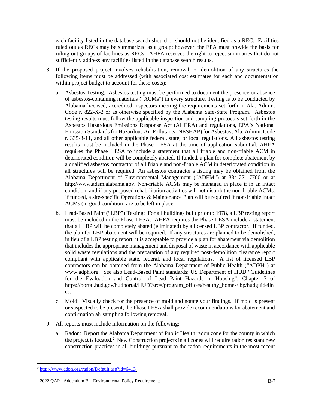each facility listed in the database search should or should not be identified as a REC. Facilities ruled out as RECs may be summarized as a group; however, the EPA must provide the basis for ruling out groups of facilities as RECs. AHFA reserves the right to reject summaries that do not sufficiently address any facilities listed in the database search results.

- 8. If the proposed project involves rehabilitation, removal, or demolition of any structures the following items must be addressed (with associated cost estimates for each and documentation within project budget to account for these costs):
	- a. Asbestos Testing: Asbestos testing must be performed to document the presence or absence of asbestos-containing materials ("ACMs") in every structure. Testing is to be conducted by Alabama licensed, accredited inspectors meeting the requirements set forth in Ala. Admin. Code r. 822-X-2 or as otherwise specified by the Alabama Safe-State Program. Asbestos testing results must follow the applicable inspection and sampling protocols set forth in the Asbestos Hazardous Emissions Response Act (AHERA) and regulations, EPA's National Emission Standards for Hazardous Air Pollutants (NESHAP) for Asbestos, Ala. Admin. Code r. 335-3-11, and all other applicable federal, state, or local regulations. All asbestos testing results must be included in the Phase I ESA at the time of application submittal. AHFA requires the Phase I ESA to include a statement that all friable and non-friable ACM in deteriorated condition will be completely abated. If funded, a plan for complete abatement by a qualified asbestos contractor of all friable and non-friable ACM in deteriorated condition in all structures will be required. An asbestos contractor's listing may be obtained from the Alabama Department of Environmental Management ("ADEM") at 334-271-7700 or at http://www.adem.alabama.gov. Non-friable ACMs may be managed in place if in an intact condition, and if any proposed rehabilitation activities will not disturb the non-friable ACMs. If funded, a site-specific Operations & Maintenance Plan will be required if non-friable intact ACMs (in good condition) are to be left in place.
	- b. Lead-Based Paint ("LBP") Testing: For all buildings built prior to 1978, a LBP testing report must be included in the Phase I ESA. AHFA requires the Phase I ESA include a statement that all LBP will be completely abated (eliminated) by a licensed LBP contractor. If funded, the plan for LBP abatement will be required. If any structures are planned to be demolished, in lieu of a LBP testing report, it is acceptable to provide a plan for abatement via demolition that includes the appropriate management and disposal of waste in accordance with applicable solid waste regulations and the preparation of any required post-demolition clearance report compliant with applicable state, federal, and local regulations. A list of licensed LBP contractors can be obtained from the Alabama Department of Public Health ("ADPH") at www.adph.org. See also Lead-Based Paint standards: US Department of HUD "Guidelines for the Evaluation and Control of Lead Paint Hazards in Housing": Chapter 7 of https://portal.hud.gov/hudportal/HUD?src=/program\_offices/healthy\_homes/lbp/hudguidelin es.
	- c. Mold: Visually check for the presence of mold and notate your findings. If mold is present or suspected to be present, the Phase I ESA shall provide recommendations for abatement and confirmation air sampling following removal.
- 9. All reports must include information on the following:
	- a. Radon: Report the Alabama Department of Public Health radon zone for the county in which the project is located.<sup>[2](#page-47-0)</sup> New Construction projects in all zones will require radon resistant new construction practices in all buildings pursuant to the radon requirements in the most recent

<span id="page-47-0"></span><sup>&</sup>lt;sup>2</sup> http://www.adph.org/radon/Default.asp?id=6413

<sup>2022</sup> QAP - Addendum B – Environmental Policy Requirements B-7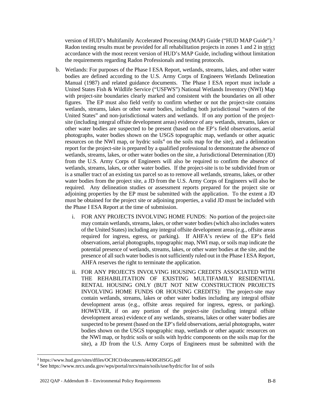version of HUD's Multifamily Accelerated Processing (MAP) Guide ("HUD MAP Guide").<sup>[3](#page-48-0)</sup> Radon testing results must be provided for all rehabilitation projects in zones 1 and 2 in strict accordance with the most recent version of HUD's MAP Guide, including without limitation the requirements regarding Radon Professionals and testing protocols.

- b. Wetlands: For purposes of the Phase I ESA Report, wetlands, streams, lakes, and other water bodies are defined according to the U.S. Army Corps of Engineers Wetlands Delineation Manual (1987) and related guidance documents. The Phase I ESA report must include a United States Fish & Wildlife Service ("USFWS") National Wetlands Inventory (NWI) Map with project-site boundaries clearly marked and consistent with the boundaries on all other figures. The EP must also field verify to confirm whether or not the project-site contains wetlands, streams, lakes or other water bodies, including both jurisdictional "waters of the United States" and non-jurisdictional waters and wetlands. If on any portion of the projectsite (including integral offsite development areas) evidence of any wetlands, streams, lakes or other water bodies are suspected to be present (based on the EP's field observations, aerial photographs, water bodies shown on the USGS topographic map, wetlands or other aquatic resources on the NWI map, or hydric soils<sup>[4](#page-48-1)</sup> on the soils map for the site), and a delineation report for the project-site is prepared by a qualified professional to demonstrate the absence of wetlands, streams, lakes, or other water bodies on the site, a Jurisdictional Determination (JD) from the U.S. Army Corps of Engineers will also be required to confirm the absence of wetlands, streams, lakes, or other water bodies. If the project-site is to be subdivided from or is a smaller tract of an existing tax parcel so as to remove all wetlands, streams, lakes, or other water bodies from the project site, a JD from the U.S. Army Corps of Engineers will also be required. Any delineation studies or assessment reports prepared for the project site or adjoining properties by the EP must be submitted with the application. To the extent a JD must be obtained for the project site or adjoining properties, a valid JD must be included with the Phase I ESA Report at the time of submission.
	- i. FOR ANY PROJECTS INVOLVING HOME FUNDS: No portion of the project-site may contain wetlands, streams, lakes, or other water bodies (which also includes waters of the United States) including any integral offsite development areas (e.g., offsite areas required for ingress, egress, or parking). If AHFA's review of the EP's field observations, aerial photographs, topographic map, NWI map, or soils map indicate the potential presence of wetlands, streams, lakes, or other water bodies at the site, and the presence of all such water bodies is not sufficiently ruled out in the Phase I ESA Report, AHFA reserves the right to terminate the application.
	- ii. FOR ANY PROJECTS INVOLVING HOUSING CREDITS ASSOCIATED WITH THE REHABILITATION OF EXISTING MULTIFAMILY RESIDENTIAL RENTAL HOUSING ONLY (BUT NOT NEW CONSTRUCTION PROJECTS INVOLVING HOME FUNDS OR HOUSING CREDITS): The project-site may contain wetlands, streams, lakes or other water bodies including any integral offsite development areas (e.g., offsite areas required for ingress, egress, or parking). HOWEVER, if on any portion of the project-site (including integral offsite development areas) evidence of any wetlands, streams, lakes or other water bodies are suspected to be present (based on the EP's field observations, aerial photographs, water bodies shown on the USGS topographic map, wetlands or other aquatic resources on the NWI map, or hydric soils or soils with hydric components on the soils map for the site), a JD from the U.S. Army Corps of Engineers must be submitted with the

<span id="page-48-1"></span><span id="page-48-0"></span><sup>&</sup>lt;sup>3</sup> https://www.hud.gov/sites/dfiles/OCHCO/documents/4430GHSGG.pdf<br><sup>4</sup> See https://www.nrcs.usda.gov/wps/portal/nrcs/main/soils/use/hydric/for list of soils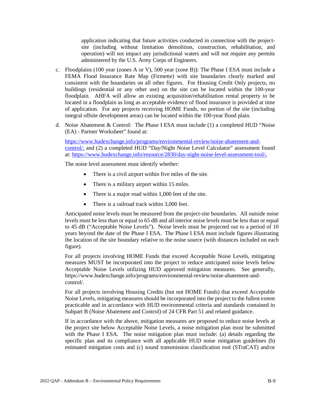application indicating that future activities conducted in connection with the projectsite (including without limitation demolition, construction, rehabilitation, and operation) will not impact any jurisdictional waters and will not require any permits administered by the U.S. Army Corps of Engineers.

- c. Floodplains (100 year (zones A or V), 500 year (zone B)): The Phase I ESA must include a FEMA Flood Insurance Rate Map (Firmette) with site boundaries clearly marked and consistent with the boundaries on all other figures. For Housing Credit Only projects, no buildings (residential or any other use) on the site can be located within the 100-year floodplain. AHFA will allow an existing acquisition/rehabilitation rental property to be located in a floodplain as long as acceptable evidence of flood insurance is provided at time of application. For any projects receiving HOME Funds, no portion of the site (including integral offsite development areas) can be located within the 100-year flood plain.
- d. Noise Abatement & Control: The Phase I ESA must include (1) a completed HUD "Noise (EA) - Partner Worksheet" found at:

https://www.hudexchange.info/programs/environmental-review/noise-abatement-andcontrol/; and (2) a completed HUD "Day/Night Noise Level Calculator" assessment found at: https://www.hudexchange.info/resource/2830/day-night-noise-level-assessment-tool/**.** 

The noise level assessment must identify whether:

- There is a civil airport within five miles of the site.
- There is a military airport within 15 miles.
- There is a major road within 1,000 feet of the site.
- There is a railroad track within 3,000 feet.

Anticipated noise levels must be measured from the project-site boundaries. All outside noise levels must be less than or equal to 65 dB and all interior noise levels must be less than or equal to 45 dB ("Acceptable Noise Levels"). Noise levels must be projected out to a period of 10 years beyond the date of the Phase I ESA. The Phase I ESA must include figures illustrating the location of the site boundary relative to the noise source (with distances included on each figure).

For all projects involving HOME Funds that exceed Acceptable Noise Levels, mitigating measures MUST be incorporated into the project to reduce anticipated noise levels below Acceptable Noise Levels utilizing HUD approved mitigation measures. See generally, https://www.hudexchange.info/programs/environmental-review/noise-abatement-andcontrol/.

For all projects involving Housing Credits (but not HOME Funds) that exceed Acceptable Noise Levels, mitigating measures should be incorporated into the project to the fullest extent practicable and in accordance with HUD environmental criteria and standards contained in Subpart B (Noise Abatement and Control) of 24 CFR Part 51 and related guidance.

If in accordance with the above, mitigation measures are proposed to reduce noise levels at the project site below Acceptable Noise Levels, a noise mitigation plan must be submitted with the Phase I ESA. The noise mitigation plan must include: (a) details regarding the specific plan and its compliance with all applicable HUD noise mitigation guidelines (b) estimated mitigation costs and (c) sound transmission classification tool (STraCAT) and/or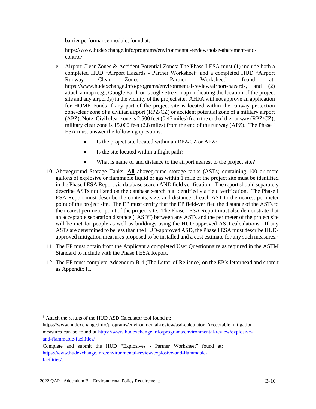barrier performance module; found at:

https://www.hudexchange.info/programs/environmental-review/noise-abatement-andcontrol/.

- e. Airport Clear Zones & Accident Potential Zones: The Phase I ESA must (1) include both a completed HUD "Airport Hazards - Partner Worksheet" and a completed HUD "Airport Runway Clear Zones – Partner Worksheet" found at: https://www.hudexchange.info/programs/environmental-review/airport-hazards, and (2) attach a map (e.g., Google Earth or Google Street map) indicating the location of the project site and any airport( $s$ ) in the vicinity of the project site. AHFA will not approve an application for HOME Funds if any part of the project site is located within the runway protection zone/clear zone of a civilian airport (RPZ/CZ) or accident potential zone of a military airport (APZ). Note: Civil clear zone is 2,500 feet (0.47 miles) from the end of the runway (RPZ/CZ); military clear zone is 15,000 feet (2.8 miles) from the end of the runway (APZ). The Phase I ESA must answer the following questions:
	- Is the project site located within an RPZ/CZ or APZ?
	- Is the site located within a flight path?
	- What is name of and distance to the airport nearest to the project site?
- 10. Aboveground Storage Tanks: **All** aboveground storage tanks (ASTs) containing 100 or more gallons of explosive or flammable liquid or gas within 1 mile of the project site must be identified in the Phase I ESA Report via database search AND field verification. The report should separately describe ASTs not listed on the database search but identified via field verification. The Phase I ESA Report must describe the contents, size, and distance of each AST to the nearest perimeter point of the project site. The EP must certify that the EP field-verified the distance of the ASTs to the nearest perimeter point of the project site. The Phase I ESA Report must also demonstrate that an acceptable separation distance ("ASD") between any ASTs and the perimeter of the project site will be met for people as well as buildings using the HUD-approved ASD calculations. If any ASTs are determined to be less than the HUD-approved ASD, the Phase I ESA must describe HUD-approved mitigation measures proposed to be installed and a cost estimate for any such measures.<sup>[5](#page-50-0)</sup>
- 11. The EP must obtain from the Applicant a completed User Questionnaire as required in the ASTM Standard to include with the Phase I ESA Report.
- 12. The EP must complete Addendum B-4 (The Letter of Reliance) on the EP's letterhead and submit as Appendix H.

<span id="page-50-0"></span><sup>5</sup> Attach the results of the HUD ASD Calculator tool found at:

https://www.hudexchange.info/programs/environmental-review/asd-calculator. Acceptable mitigation measures can be found at https://www.hudexchange.info/programs/environmental-review/explosiveand-flammable-facilities/

Complete and submit the HUD "Explosives - Partner Worksheet" found at: https://www.hudexchange.info/environmental-review/explosive-and-flammablefacilities/.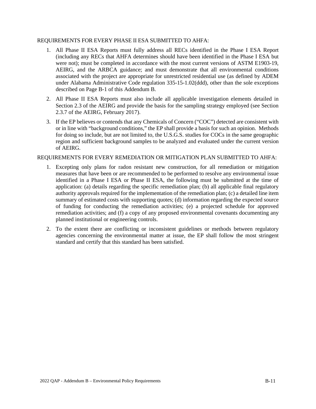#### REQUIREMENTS FOR EVERY PHASE II ESA SUBMITTED TO AHFA:

- 1. All Phase II ESA Reports must fully address all RECs identified in the Phase I ESA Report (including any RECs that AHFA determines should have been identified in the Phase I ESA but were not); must be completed in accordance with the most current versions of ASTM E1903-19, AEIRG, and the ARBCA guidance; and must demonstrate that all environmental conditions associated with the project are appropriate for unrestricted residential use (as defined by ADEM under Alabama Administrative Code regulation 335-15-1.02(ddd), other than the sole exceptions described on Page B-1 of this Addendum B.
- 2. All Phase II ESA Reports must also include all applicable investigation elements detailed in Section 2.3 of the AEIRG and provide the basis for the sampling strategy employed (see Section 2.3.7 of the AEIRG, February 2017).
- 3. If the EP believes or contends that any Chemicals of Concern ("COC") detected are consistent with or in line with "background conditions," the EP shall provide a basis for such an opinion. Methods for doing so include, but are not limited to, the U.S.G.S. studies for COCs in the same geographic region and sufficient background samples to be analyzed and evaluated under the current version of AEIRG.

#### REQUIREMENTS FOR EVERY REMEDIATION OR MITIGATION PLAN SUBMITTED TO AHFA:

- 1. Excepting only plans for radon resistant new construction, for all remediation or mitigation measures that have been or are recommended to be performed to resolve any environmental issue identified in a Phase I ESA or Phase II ESA, the following must be submitted at the time of application: (a) details regarding the specific remediation plan; (b) all applicable final regulatory authority approvals required for the implementation of the remediation plan; (c) a detailed line item summary of estimated costs with supporting quotes; (d) information regarding the expected source of funding for conducting the remediation activities; (e) a projected schedule for approved remediation activities; and (f) a copy of any proposed environmental covenants documenting any planned institutional or engineering controls.
- 2. To the extent there are conflicting or inconsistent guidelines or methods between regulatory agencies concerning the environmental matter at issue, the EP shall follow the most stringent standard and certify that this standard has been satisfied.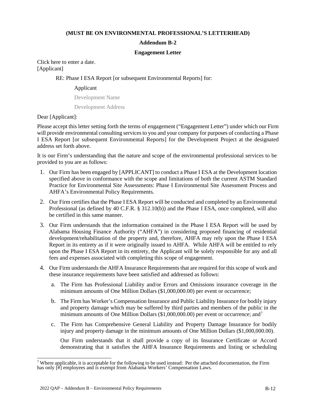### **(MUST BE ON ENVIRONMENTAL PROFESSIONAL'S LETTERHEAD)**

## **Addendum B-2**

#### **Engagement Letter**

Click here to enter a date. [Applicant]

## RE: Phase I ESA Report [or subsequent Environmental Reports] for:

#### Applicant

Development Name

Development Address

Dear [Applicant]:

Please accept this letter setting forth the terms of engagement ("Engagement Letter") under which our Firm will provide environmental consulting services to you and your company for purposes of conducting a Phase I ESA Report [or subsequent Environmental Reports] for the Development Project at the designated address set forth above.

It is our Firm's understanding that the nature and scope of the environmental professional services to be provided to you are as follows:

- 1. Our Firm has been engaged by [APPLICANT] to conduct a Phase I ESA at the Development location specified above in conformance with the scope and limitations of both the current ASTM Standard Practice for Environmental Site Assessments: Phase I Environmental Site Assessment Process and AHFA's Environmental Policy Requirements.
- 2. Our Firm certifies that the Phase I ESA Report will be conducted and completed by an Environmental Professional (as defined by 40 C.F.R. § 312.10(b)) and the Phase I ESA, once completed, will also be certified in this same manner.
- 3. Our Firm understands that the information contained in the Phase I ESA Report will be used by Alabama Housing Finance Authority ("AHFA") in considering proposed financing of residential development/rehabilitation of the property and, therefore, AHFA may rely upon the Phase I ESA Report in its entirety as if it were originally issued to AHFA. While AHFA will be entitled to rely upon the Phase I ESA Report in its entirety, the Applicant will be solely responsible for any and all fees and expenses associated with completing this scope of engagement.
- 4. Our Firm understands the AHFA Insurance Requirements that are required for this scope of work and these insurance requirements have been satisfied and addressed as follows:
	- a. The Firm has Professional Liability and/or Errors and Omissions insurance coverage in the minimum amounts of One Million Dollars (\$1,000,000.00) per event or occurrence;
	- b. The Firm has Worker's Compensation Insurance and Public Liability Insurance for bodily injury and property damage which may be suffered by third parties and members of the public in the minimum amounts of One Million Dollars ( $$1,000,000.00$ ) per event or occurrence; and<sup>7</sup>
	- c. The Firm has Comprehensive General Liability and Property Damage Insurance for bodily injury and property damage in the minimum amounts of One Million Dollars (\$1,000,000.00).

Our Firm understands that it shall provide a copy of its Insurance Certificate or Accord demonstrating that it satisfies the AHFA Insurance Requirements and listing or scheduling

<span id="page-52-0"></span><sup>&</sup>lt;sup>7</sup> Where applicable, it is acceptable for the following to be used instead: Per the attached documentation, the Firm has only [#] employees and is exempt from Alabama Workers' Compensation Laws.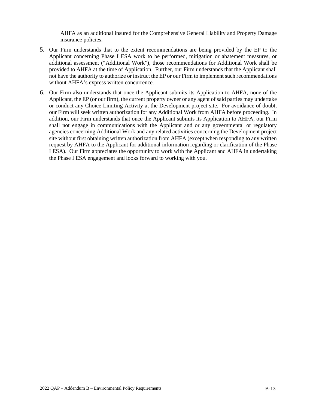AHFA as an additional insured for the Comprehensive General Liability and Property Damage insurance policies.

- 5. Our Firm understands that to the extent recommendations are being provided by the EP to the Applicant concerning Phase I ESA work to be performed, mitigation or abatement measures, or additional assessment ("Additional Work"), those recommendations for Additional Work shall be provided to AHFA at the time of Application. Further, our Firm understands that the Applicant shall not have the authority to authorize or instruct the EP or our Firm to implement such recommendations without AHFA's express written concurrence.
- 6. Our Firm also understands that once the Applicant submits its Application to AHFA, none of the Applicant, the EP (or our firm), the current property owner or any agent of said parties may undertake or conduct any Choice Limiting Activity at the Development project site. For avoidance of doubt, our Firm will seek written authorization for any Additional Work from AHFA before proceeding. In addition, our Firm understands that once the Applicant submits its Application to AHFA, our Firm shall not engage in communications with the Applicant and or any governmental or regulatory agencies concerning Additional Work and any related activities concerning the Development project site without first obtaining written authorization from AHFA (except when responding to any written request by AHFA to the Applicant for additional information regarding or clarification of the Phase I ESA). Our Firm appreciates the opportunity to work with the Applicant and AHFA in undertaking the Phase I ESA engagement and looks forward to working with you.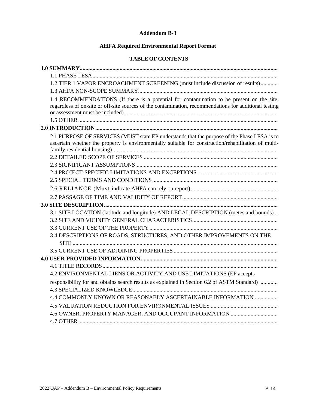## **Addendum B-3**

# **AHFA Required Environmental Report Format**

# **TABLE OF CONTENTS**

| 1.2 TIER 1 VAPOR ENCROACHMENT SCREENING (must include discussion of results)                                                                                                                         |
|------------------------------------------------------------------------------------------------------------------------------------------------------------------------------------------------------|
|                                                                                                                                                                                                      |
| 1.4 RECOMMENDATIONS (If there is a potential for contamination to be present on the site,<br>regardless of on-site or off-site sources of the contamination, recommendations for additional testing  |
|                                                                                                                                                                                                      |
| 2.1 PURPOSE OF SERVICES (MUST state EP understands that the purpose of the Phase I ESA is to<br>ascertain whether the property is environmentally suitable for construction/rehabilitation of multi- |
|                                                                                                                                                                                                      |
|                                                                                                                                                                                                      |
|                                                                                                                                                                                                      |
| 3.1 SITE LOCATION (latitude and longitude) AND LEGAL DESCRIPTION (metes and bounds)                                                                                                                  |
|                                                                                                                                                                                                      |
| 3.4 DESCRIPTIONS OF ROADS, STRUCTURES, AND OTHER IMPROVEMENTS ON THE                                                                                                                                 |
|                                                                                                                                                                                                      |
|                                                                                                                                                                                                      |
|                                                                                                                                                                                                      |
|                                                                                                                                                                                                      |
| 4.2 ENVIRONMENTAL LIENS OR ACTIVITY AND USE LIMITATIONS (EP accepts                                                                                                                                  |
| responsibility for and obtains search results as explained in Section 6.2 of ASTM Standard)<br>4.4 COMMONLY KNOWN OR REASONABLY ASCERTAINABLE INFORMATION                                            |
|                                                                                                                                                                                                      |
|                                                                                                                                                                                                      |
|                                                                                                                                                                                                      |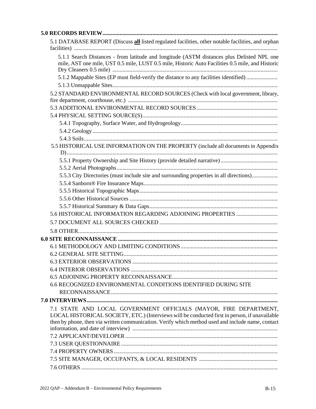| 5.1 DATABASE REPORT (Discuss all listed regulated facilities, other notable facilities, and orphan                                                                                             |  |
|------------------------------------------------------------------------------------------------------------------------------------------------------------------------------------------------|--|
|                                                                                                                                                                                                |  |
| 5.1.1 Search Distances - from latitude and longitude (ASTM distances plus Delisted NPL one<br>mile, AST one mile, UST 0.5 mile, LUST 0.5 mile, Historic Auto Facilities 0.5 mile, and Historic |  |
| 5.1.2 Mappable Sites (EP must field-verify the distance to any facilities identified)                                                                                                          |  |
|                                                                                                                                                                                                |  |
| 5.2 STANDARD ENVIRONMENTAL RECORD SOURCES (Check with local government, library,                                                                                                               |  |
|                                                                                                                                                                                                |  |
|                                                                                                                                                                                                |  |
|                                                                                                                                                                                                |  |
|                                                                                                                                                                                                |  |
|                                                                                                                                                                                                |  |
|                                                                                                                                                                                                |  |
| 5.5 HISTORICAL USE INFORMATION ON THE PROPERTY (include all documents in Appendix                                                                                                              |  |
|                                                                                                                                                                                                |  |
|                                                                                                                                                                                                |  |
| 5.5.3 City Directories (must include site and surrounding properties in all directions)                                                                                                        |  |
|                                                                                                                                                                                                |  |
|                                                                                                                                                                                                |  |
|                                                                                                                                                                                                |  |
|                                                                                                                                                                                                |  |
|                                                                                                                                                                                                |  |
|                                                                                                                                                                                                |  |
|                                                                                                                                                                                                |  |
|                                                                                                                                                                                                |  |
|                                                                                                                                                                                                |  |
|                                                                                                                                                                                                |  |
|                                                                                                                                                                                                |  |
|                                                                                                                                                                                                |  |
|                                                                                                                                                                                                |  |
| 6.6 RECOGNIZED ENVIRONMENTAL CONDITIONS IDENTIFIED DURING SITE                                                                                                                                 |  |
|                                                                                                                                                                                                |  |
|                                                                                                                                                                                                |  |
| 7.1 STATE AND LOCAL GOVERNMENT OFFICIALS (MAYOR, FIRE DEPARTMENT,                                                                                                                              |  |
| LOCAL HISTORICAL SOCIETY, ETC.) (Interviews will be conducted first in person, if unavailable                                                                                                  |  |
| then by phone, then via written communication. Verify which method used and include name, contact                                                                                              |  |
|                                                                                                                                                                                                |  |
|                                                                                                                                                                                                |  |
|                                                                                                                                                                                                |  |
|                                                                                                                                                                                                |  |
|                                                                                                                                                                                                |  |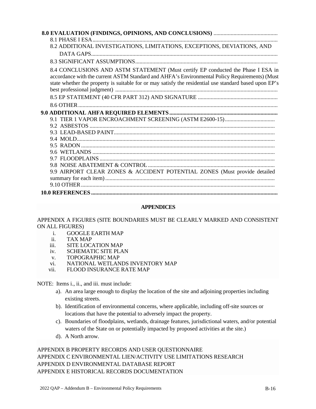| 8.2 ADDITIONAL INVESTIGATIONS, LIMITATIONS, EXCEPTIONS, DEVIATIONS, AND                                                                                                                                                                                                                     |
|---------------------------------------------------------------------------------------------------------------------------------------------------------------------------------------------------------------------------------------------------------------------------------------------|
|                                                                                                                                                                                                                                                                                             |
|                                                                                                                                                                                                                                                                                             |
| 8.4 CONCLUSIONS AND ASTM STATEMENT (Must certify EP conducted the Phase I ESA in<br>accordance with the current ASTM Standard and AHFA's Environmental Policy Requirements) (Must<br>state whether the property is suitable for or may satisfy the residential use standard based upon EP's |
|                                                                                                                                                                                                                                                                                             |
|                                                                                                                                                                                                                                                                                             |
|                                                                                                                                                                                                                                                                                             |
|                                                                                                                                                                                                                                                                                             |
|                                                                                                                                                                                                                                                                                             |
|                                                                                                                                                                                                                                                                                             |
|                                                                                                                                                                                                                                                                                             |
|                                                                                                                                                                                                                                                                                             |
|                                                                                                                                                                                                                                                                                             |
|                                                                                                                                                                                                                                                                                             |
|                                                                                                                                                                                                                                                                                             |
| 9.9 AIRPORT CLEAR ZONES & ACCIDENT POTENTIAL ZONES (Must provide detailed                                                                                                                                                                                                                   |
|                                                                                                                                                                                                                                                                                             |
|                                                                                                                                                                                                                                                                                             |
|                                                                                                                                                                                                                                                                                             |

## **APPENDICES**

# APPENDIX A FIGURES (SITE BOUNDARIES MUST BE CLEARLY MARKED AND CONSISTENT ON ALL FIGURES)

- i. GOOGLE EARTH MAP<br>ii. TAX MAP
- TAX MAP
- iii. SITE LOCATION MAP
- iv. SCHEMATIC SITE PLAN
- v. TOPOGRAPHIC MAP
- vi. NATIONAL WETLANDS INVENTORY MAP
- vii. FLOOD INSURANCE RATE MAP

NOTE: Items i., ii., and iii. must include:

- a). An area large enough to display the location of the site and adjoining properties including existing streets.
- b). Identification of environmental concerns, where applicable, including off-site sources or locations that have the potential to adversely impact the property.
- c). Boundaries of floodplains, wetlands, drainage features, jurisdictional waters, and/or potential waters of the State on or potentially impacted by proposed activities at the site.)
- d). A North arrow.

APPENDIX B PROPERTY RECORDS AND USER QUESTIONNAIRE APPENDIX C ENVIRONMENTAL LIEN/ACTIVITY USE LIMITATIONS RESEARCH APPENDIX D ENVIRONMENTAL DATABASE REPORT APPENDIX E HISTORICAL RECORDS DOCUMENTATION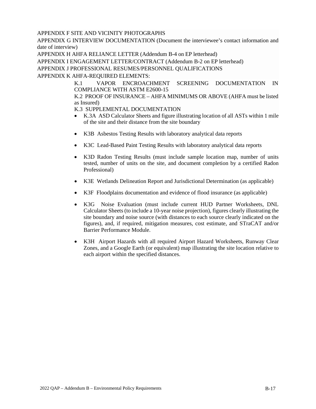# APPENDIX F SITE AND VICINITY PHOTOGRAPHS

APPENDIX G INTERVIEW DOCUMENTATION (Document the interviewee's contact information and date of interview)

APPENDIX H AHFA RELIANCE LETTER (Addendum B-4 on EP letterhead)

APPENDIX I ENGAGEMENT LETTER/CONTRACT (Addendum B-2 on EP letterhead)

APPENDIX J PROFESSIONAL RESUMES/PERSONNEL QUALIFICATIONS

APPENDIX K AHFA-REQUIRED ELEMENTS:

K.1 VAPOR ENCROACHMENT SCREENING DOCUMENTATION IN COMPLIANCE WITH ASTM E2600-15

K.2 PROOF OF INSURANCE – AHFA MINIMUMS OR ABOVE (AHFA must be listed as Insured)

K.3 SUPPLEMENTAL DOCUMENTATION

- K.3A ASD Calculator Sheets and figure illustrating location of all ASTs within 1 mile of the site and their distance from the site boundary
- K3B Asbestos Testing Results with laboratory analytical data reports
- K3C Lead-Based Paint Testing Results with laboratory analytical data reports
- K3D Radon Testing Results (must include sample location map, number of units tested, number of units on the site, and document completion by a certified Radon Professional)
- K3E Wetlands Delineation Report and Jurisdictional Determination (as applicable)
- K3F Floodplains documentation and evidence of flood insurance (as applicable)
- K3G Noise Evaluation (must include current HUD Partner Worksheets, DNL Calculator Sheets (to include a 10-year noise projection), figures clearly illustrating the site boundary and noise source (with distances to each source clearly indicated on the figures), and, if required, mitigation measures, cost estimate, and STraCAT and/or Barrier Performance Module.
- K3H Airport Hazards with all required Airport Hazard Worksheets, Runway Clear Zones, and a Google Earth (or equivalent) map illustrating the site location relative to each airport within the specified distances.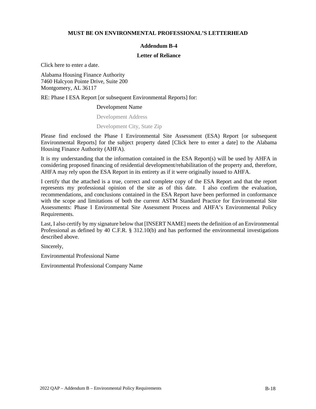#### **MUST BE ON ENVIRONMENTAL PROFESSIONAL'S LETTERHEAD**

## **Addendum B-4**

#### **Letter of Reliance**

Click here to enter a date.

Alabama Housing Finance Authority 7460 Halcyon Pointe Drive, Suite 200 Montgomery, AL 36117

RE: Phase I ESA Report [or subsequent Environmental Reports] for:

#### Development Name

Development Address

#### Development City, State Zip

Please find enclosed the Phase I Environmental Site Assessment (ESA) Report [or subsequent Environmental Reports] for the subject property dated [Click here to enter a date] to the Alabama Housing Finance Authority (AHFA).

It is my understanding that the information contained in the ESA Report(s) will be used by AHFA in considering proposed financing of residential development/rehabilitation of the property and, therefore, AHFA may rely upon the ESA Report in its entirety as if it were originally issued to AHFA.

I certify that the attached is a true, correct and complete copy of the ESA Report and that the report represents my professional opinion of the site as of this date. I also confirm the evaluation, recommendations, and conclusions contained in the ESA Report have been performed in conformance with the scope and limitations of both the current ASTM Standard Practice for Environmental Site Assessments: Phase I Environmental Site Assessment Process and AHFA's Environmental Policy Requirements.

Last, I also certify by my signature below that [INSERT NAME] meets the definition of an Environmental Professional as defined by 40 C.F.R. § 312.10(b) and has performed the environmental investigations described above.

Sincerely,

Environmental Professional Name

Environmental Professional Company Name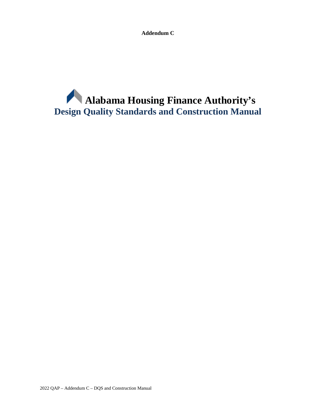**Addendum C**

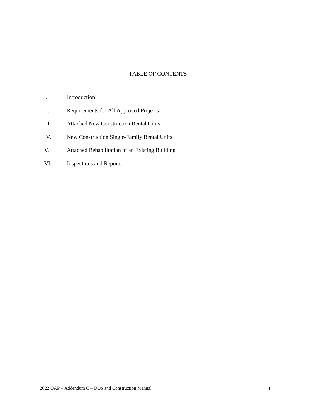# TABLE OF CONTENTS

- I. Introduction
- II. Requirements for All Approved Projects
- III. Attached New Construction Rental Units
- IV. New Construction Single-Family Rental Units
- V. Attached Rehabilitation of an Existing Building
- VI. Inspections and Reports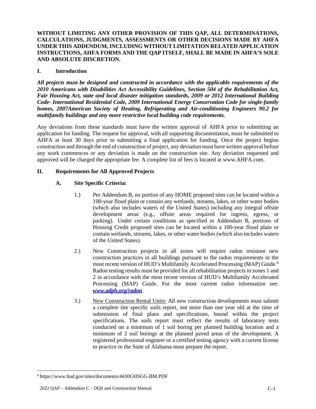**WITHOUT LIMITING ANY OTHER PROVISION OF THIS QAP, ALL DETERMINATIONS, CALCULATIONS, JUDGMENTS, ASSESSMENTS OR OTHER DECISIONS MADE BY AHFA UNDER THIS ADDENDUM, INCLUDING WITHOUT LIMITATION RELATED APPLICATION INSTRUCTIONS, AHFA FORMS AND THE QAP ITSELF, SHALL BE MADE IN AHFA'S SOLE AND ABSOLUTE DISCRETION.**

# **I. Introduction**

*All projects must be designed and constructed in accordance with the applicable requirements of the 2010 Americans with Disabilities Act Accessibility Guidelines, Section 504 of the Rehabilitation Act, Fair Housing Act, state and local disaster mitigation standards, 2009 or 2012 International Building Code- International Residential Code, 2009 International Energy Conservation Code for single-family homes, 2007American Society of Heating, Refrigerating and Air-conditioning Engineers 90.2 for multifamily buildings and any more restrictive local building code requirements.*

Any deviations from these standards must have the written approval of AHFA prior to submitting an application for funding. The request for approval, with all supporting documentation, must be submitted to AHFA at least 30 days prior to submitting a final application for funding. Once the project begins construction and through the end of construction of project, any deviation must have written approval before any work commences or any deviation is made on the construction site. Any deviation requested and approved will be charged the appropriate fee. A complete list of fees is located at www.AHFA.com.

# **II. Requirements for All Approved Projects**

# **A. Site Specific Criteria:**

- 1.) Per Addendum B, no portion of any HOME proposed sites can be located within a 100-year flood plain or contain any wetlands, streams, lakes, or other water bodies (which also includes waters of the United States) including any integral offsite development areas (e.g., offsite areas required for ingress, egress, or parking). Under certain conditions as specified in Addendum B, portions of Housing Credit proposed sites can be located within a 100-year flood plain or contain wetlands, streams, lakes, or other water bodies (which also includes waters of the United States).
- 2.) New Construction projects in all zones will require radon resistant new construction practices in all buildings pursuant to the radon requirements in the most recent version of HUD's Multifamily Accelerated Processing (MAP) Guide.<sup>[8](#page-61-0)</sup> Radon testing results must be provided for all rehabilitation projects in zones 1 and 2 in accordance with the most recent version of HUD's Multifamily Accelerated Processing (MAP) Guide. For the most current radon information see: *www.adph.org/radon.*
- 3.) New Construction Rental Units: All new construction developments must submit a complete site specific soils report, not more than one year old at the time of submission of final plans and specifications, bound within the project specifications. The soils report must reflect the results of laboratory tests conducted on a minimum of 1 soil boring per planned building location and a minimum of 2 soil borings at the planned paved areas of the development. A registered professional engineer or a certified testing agency with a current license to practice in the State of Alabama must prepare the report.

<span id="page-61-0"></span><sup>8</sup> https://www.hud.gov/sites/documents/4430GHSGG-BM.PDF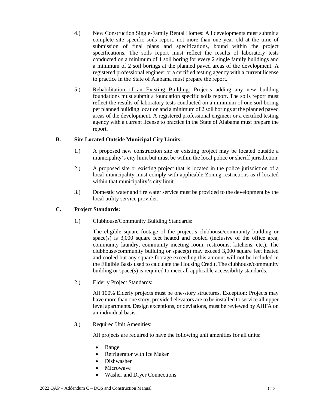- 4.) New Construction Single-Family Rental Homes: All developments must submit a complete site specific soils report, not more than one year old at the time of submission of final plans and specifications, bound within the project specifications. The soils report must reflect the results of laboratory tests conducted on a minimum of 1 soil boring for every 2 single family buildings and a minimum of 2 soil borings at the planned paved areas of the development. A registered professional engineer or a certified testing agency with a current license to practice in the State of Alabama must prepare the report.
- 5.) Rehabilitation of an Existing Building: Projects adding any new building foundations must submit a foundation specific soils report. The soils report must reflect the results of laboratory tests conducted on a minimum of one soil boring per planned building location and a minimum of 2 soil borings at the planned paved areas of the development. A registered professional engineer or a certified testing agency with a current license to practice in the State of Alabama must prepare the report.

# **B. Site Located Outside Municipal City Limits:**

- 1.) A proposed new construction site or existing project may be located outside a municipality's city limit but must be within the local police or sheriff jurisdiction.
- 2.) A proposed site or existing project that is located in the police jurisdiction of a local municipality must comply with applicable Zoning restrictions as if located within that municipality's city limit.
- 3.) Domestic water and fire water service must be provided to the development by the local utility service provider.

## **C. Project Standards:**

1.) Clubhouse/Community Building Standards:

The eligible square footage of the project's clubhouse/community building or space(s) is 3,000 square feet heated and cooled (inclusive of the office area, community laundry, community meeting room, restrooms, kitchens, etc.). The clubhouse/community building or space(s) may exceed  $3,000$  square feet heated and cooled but any square footage exceeding this amount will not be included in the Eligible Basis used to calculate the Housing Credit. The clubhouse/community building or space(s) is required to meet all applicable accessibility standards.

2.) Elderly Project Standards:

All 100% Elderly projects must be one-story structures. Exception: Projects may have more than one story, provided elevators are to be installed to service all upper level apartments. Design exceptions, or deviations, must be reviewed by AHFA on an individual basis.

3.) Required Unit Amenities:

All projects are required to have the following unit amenities for all units:

- Range
- Refrigerator with Ice Maker
- Dishwasher
- **Microwave**
- Washer and Dryer Connections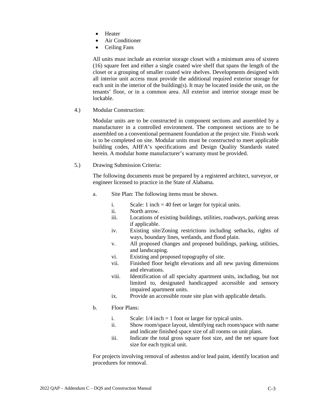- Heater
- Air Conditioner
- Ceiling Fans

All units must include an exterior storage closet with a minimum area of sixteen (16) square feet and either a single coated wire shelf that spans the length of the closet or a grouping of smaller coated wire shelves. Developments designed with all interior unit access must provide the additional required exterior storage for each unit in the interior of the building(s). It may be located inside the unit, on the tenants' floor, or in a common area. All exterior and interior storage must be lockable.

4.) Modular Construction:

Modular units are to be constructed in component sections and assembled by a manufacturer in a controlled environment. The component sections are to be assembled on a conventional permanent foundation at the project site. Finish work is to be completed on site. Modular units must be constructed to meet applicable building codes, AHFA's specifications and Design Quality Standards stated herein. A modular home manufacturer's warranty must be provided.

5.) Drawing Submission Criteria:

The following documents must be prepared by a registered architect, surveyor, or engineer licensed to practice in the State of Alabama.

- a. Site Plan: The following items must be shown.
	- i. Scale: 1 inch = 40 feet or larger for typical units.
	- ii. North arrow.
	- iii. Locations of existing buildings, utilities, roadways, parking areas if applicable.
	- iv. Existing site/Zoning restrictions including setbacks, rights of ways, boundary lines, wetlands, and flood plain.
	- v. All proposed changes and proposed buildings, parking, utilities, and landscaping.
	- vi. Existing and proposed topography of site.
	- vii. Finished floor height elevations and all new paving dimensions and elevations.
	- viii. Identification of all specialty apartment units, including, but not limited to, designated handicapped accessible and sensory impaired apartment units.
	- ix. Provide an accessible route site plan with applicable details.
- b. Floor Plans:
	- i. Scale:  $1/4$  inch = 1 foot or larger for typical units.
	- ii. Show room/space layout, identifying each room/space with name and indicate finished space size of all rooms on unit plans.
	- iii. Indicate the total gross square foot size, and the net square foot size for each typical unit.

For projects involving removal of asbestos and/or lead paint, identify location and procedures for removal.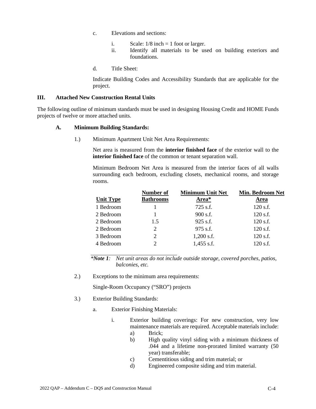- c. Elevations and sections:
	- i. Scale:  $1/8$  inch = 1 foot or larger.
	- ii. Identify all materials to be used on building exteriors and foundations.
- d. Title Sheet:

Indicate Building Codes and Accessibility Standards that are applicable for the project.

## **III. Attached New Construction Rental Units**

The following outline of minimum standards must be used in designing Housing Credit and HOME Funds projects of twelve or more attached units.

## **A. Minimum Building Standards:**

1.) Minimum Apartment Unit Net Area Requirements:

Net area is measured from the **interior finished face** of the exterior wall to the **interior finished face** of the common or tenant separation wall.

Minimum Bedroom Net Area is measured from the interior faces of all walls surrounding each bedroom, excluding closets, mechanical rooms, and storage rooms.

|                  | Number of        | <b>Minimum Unit Net</b> | <b>Min. Bedroom Net</b> |
|------------------|------------------|-------------------------|-------------------------|
| <b>Unit Type</b> | <b>Bathrooms</b> | Area*                   | Area                    |
| 1 Bedroom        |                  | $725$ s.f.              | 120 s.f.                |
| 2 Bedroom        |                  | $900$ s.f.              | 120 s.f.                |
| 2 Bedroom        | 1.5              | $925$ s.f.              | 120 s.f.                |
| 2 Bedroom        | 2                | $975$ s.f.              | 120 s.f.                |
| 3 Bedroom        | 2                | $1,200$ s.f.            | 120 s.f.                |
| 4 Bedroom        | 2                | $1,455$ s.f.            | $120$ s.f.              |

*\*Note 1: Net unit areas do not include outside storage, covered porches, patios, balconies, etc.* 

2.) Exceptions to the minimum area requirements:

Single-Room Occupancy ("SRO") projects

- 3.) Exterior Building Standards:
	- a. Exterior Finishing Materials:
		- i. Exterior building coverings: For new construction, very low maintenance materials are required. Acceptable materials include:
			- a) Brick;
			- b) High quality vinyl siding with a minimum thickness of .044 and a lifetime non-prorated limited warranty (50 year) transferable;
			- c) Cementitious siding and trim material; or
			- d) Engineered composite siding and trim material.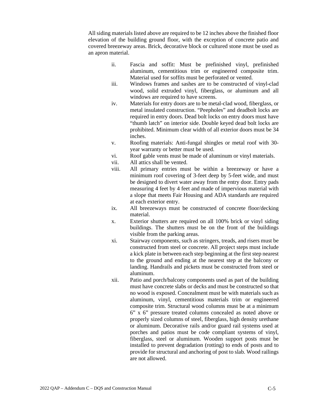All siding materials listed above are required to be 12 inches above the finished floor elevation of the building ground floor, with the exception of concrete patio and covered breezeway areas. Brick, decorative block or cultured stone must be used as an apron material.

- ii. Fascia and soffit: Must be prefinished vinyl, prefinished aluminum, cementitious trim or engineered composite trim. Material used for soffits must be perforated or vented.
- iii. Windows frames and sashes are to be constructed of vinyl-clad wood, solid extruded vinyl, fiberglass, or aluminum and all windows are required to have screens.
- iv. Materials for entry doors are to be metal-clad wood, fiberglass, or metal insulated construction. "Peepholes" and deadbolt locks are required in entry doors. Dead bolt locks on entry doors must have "thumb latch" on interior side. Double keyed dead bolt locks are prohibited. Minimum clear width of all exterior doors must be 34 inches.
- v. Roofing materials: Anti-fungal shingles or metal roof with 30 year warranty or better must be used.
- vi. Roof gable vents must be made of aluminum or vinyl materials.
- vii. All attics shall be vented.
- viii. All primary entries must be within a breezeway or have a minimum roof covering of 3-feet deep by 5-feet wide, and must be designed to divert water away from the entry door. Entry pads measuring 4 feet by 4 feet and made of impervious material with a slope that meets Fair Housing and ADA standards are required at each exterior entry.
- ix. All breezeways must be constructed of concrete floor/decking material.
- x. Exterior shutters are required on all 100% brick or vinyl siding buildings. The shutters must be on the front of the buildings visible from the parking areas.
- xi. Stairway components, such as stringers, treads, and risers must be constructed from steel or concrete. All project steps must include a kick plate in between each step beginning at the first step nearest to the ground and ending at the nearest step at the balcony or landing. Handrails and pickets must be constructed from steel or aluminum.
- xii. Patio and porch/balcony components used as part of the building must have concrete slabs or decks and must be constructed so that no wood is exposed. Concealment must be with materials such as aluminum, vinyl, cementitious materials trim or engineered composite trim. Structural wood columns must be at a minimum 6" x 6" pressure treated columns concealed as noted above or properly sized columns of steel, fiberglass, high density urethane or aluminum. Decorative rails and/or guard rail systems used at porches and patios must be code compliant systems of vinyl, fiberglass, steel or aluminum. Wooden support posts must be installed to prevent degradation (rotting) to ends of posts and to provide for structural and anchoring of post to slab. Wood railings are not allowed.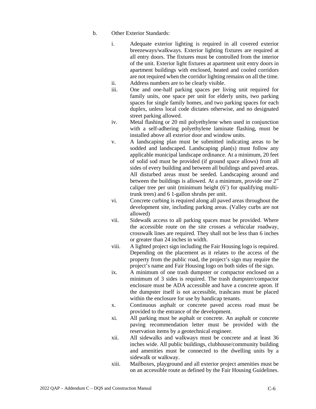- b. Other Exterior Standards:
	- i. Adequate exterior lighting is required in all covered exterior breezeways/walkways. Exterior lighting fixtures are required at all entry doors. The fixtures must be controlled from the interior of the unit. Exterior light fixtures at apartment unit entry doors in apartment buildings with enclosed, heated and cooled corridors are not required when the corridor lighting remains on all the time.
	- ii. Address numbers are to be clearly visible.
	- iii. One and one-half parking spaces per living unit required for family units, one space per unit for elderly units, two parking spaces for single family homes, and two parking spaces for each duplex, unless local code dictates otherwise, and no designated street parking allowed.
	- iv. Metal flashing or 20 mil polyethylene when used in conjunction with a self-adhering polyethylene laminate flashing, must be installed above all exterior door and window units.
	- v. A landscaping plan must be submitted indicating areas to be sodded and landscaped. Landscaping plan(s) must follow any applicable municipal landscape ordinance. At a minimum, 20 feet of solid sod must be provided (if ground space allows) from all sides of every building and between all buildings and paved areas. All disturbed areas must be seeded. Landscaping around and between the buildings is allowed. At a minimum, provide one 2" caliper tree per unit (minimum height (6') for qualifying multitrunk trees) and 6 1-gallon shrubs per unit.
	- vi. Concrete curbing is required along all paved areas throughout the development site, including parking areas. (Valley curbs are not allowed)
	- vii. Sidewalk access to all parking spaces must be provided. Where the accessible route on the site crosses a vehicular roadway, crosswalk lines are required. They shall not be less than 6 inches or greater than 24 inches in width.
	- viii. A lighted project sign including the Fair Housing logo is required. Depending on the placement as it relates to the access of the property from the public road, the project's sign may require the project's name and Fair Housing logo on both sides of the sign.
	- ix. A minimum of one trash dumpster or compactor enclosed on a minimum of 3 sides is required. The trash dumpster/compactor enclosure must be ADA accessible and have a concrete apron. If the dumpster itself is not accessible, trashcans must be placed within the enclosure for use by handicap tenants.
	- x. Continuous asphalt or concrete paved access road must be provided to the entrance of the development.
	- xi. All parking must be asphalt or concrete. An asphalt or concrete paving recommendation letter must be provided with the reservation items by a geotechnical engineer.
	- xii. All sidewalks and walkways must be concrete and at least 36 inches wide. All public buildings, clubhouse/community building and amenities must be connected to the dwelling units by a sidewalk or walkway.
	- xiii. Mailboxes, playground and all exterior project amenities must be on an accessible route as defined by the Fair Housing Guidelines.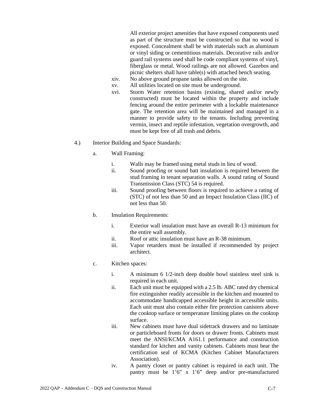All exterior project amenities that have exposed components used as part of the structure must be constructed so that no wood is exposed. Concealment shall be with materials such as aluminum or vinyl siding or cementitious materials. Decorative rails and/or guard rail systems used shall be code compliant systems of vinyl, fiberglass or metal. Wood railings are not allowed. Gazebos and picnic shelters shall have table(s) with attached bench seating.

- xiv. No above ground propane tanks allowed on the site.
- xv. All utilities located on site must be underground.
- xvi. Storm Water retention basins (existing, shared and/or newly constructed) must be located within the property and include fencing around the entire perimeter with a lockable maintenance gate. The retention area will be maintained and managed in a manner to provide safety to the tenants. Including preventing vermin, insect and reptile infestation, vegetation overgrowth, and must be kept free of all trash and debris.
- 4.) Interior Building and Space Standards:
	- a. Wall Framing:
		- i. Walls may be framed using metal studs in lieu of wood.
		- ii. Sound proofing or sound batt insulation is required between the stud framing in tenant separation walls. A sound rating of Sound Transmission Class (STC) 54 is required.
		- iii. Sound proofing between floors is required to achieve a rating of (STC) of not less than 50 and an Impact Insulation Class (IIC) of not less than 50.
	- b. Insulation Requirements:
		- i. Exterior wall insulation must have an overall R-13 minimum for the entire wall assembly.
		- ii. Roof or attic insulation must have an R-38 minimum.
		- iii. Vapor retarders must be installed if recommended by project architect.
	- c. Kitchen spaces:
		- i. A minimum 6 1/2-inch deep double bowl stainless steel sink is required in each unit.
		- ii. Each unit must be equipped with a 2.5 lb. ABC rated dry chemical fire extinguisher readily accessible in the kitchen and mounted to accommodate handicapped accessible height in accessible units. Each unit must also contain either fire protection canisters above the cooktop surface or temperature limiting plates on the cooktop surface.
		- iii. New cabinets must have dual sidetrack drawers and no laminate or particleboard fronts for doors or drawer fronts. Cabinets must meet the ANSI/KCMA A161.1 performance and construction standard for kitchen and vanity cabinets. Cabinets must bear the certification seal of KCMA (Kitchen Cabinet Manufacturers Association).
		- iv. A pantry closet or pantry cabinet is required in each unit. The pantry must be 1'6" x 1'6" deep and/or pre-manufactured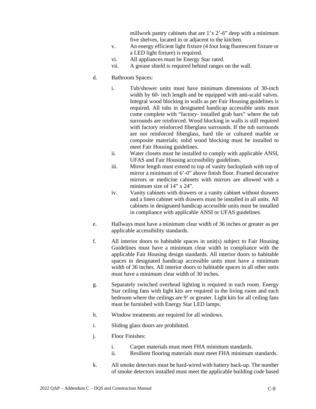millwork pantry cabinets that are 1'x 2'-6" deep with a minimum five shelves, located in or adjacent to the kitchen.

- v. An energy efficient light fixture (4 foot long fluorescent fixture or a LED light fixture) is required.
- vi. All appliances must be Energy Star rated.
- vii. A grease shield is required behind ranges on the wall.
- d. Bathroom Spaces:
	- i. Tub/shower units must have minimum dimensions of 30-inch width by 60- inch length and be equipped with anti-scald valves. Integral wood blocking in walls as per Fair Housing guidelines is required. All tubs in designated handicap accessible units must come complete with "factory- installed grab bars" where the tub surrounds are reinforced. Wood blocking in walls is still required with factory reinforced fiberglass surrounds. If the tub surrounds are not reinforced fiberglass, hard tile or cultured marble or composite materials; solid wood blocking must be installed to meet Fair Housing guidelines.
	- ii. Water closets must be installed to comply with applicable ANSI, UFAS and Fair Housing accessibility guidelines.
	- iii. Mirror length must extend to top of vanity backsplash with top of mirror a minimum of 6'-0" above finish floor. Framed decorative mirrors or medicine cabinets with mirrors are allowed with a minimum size of 14" x 24".
	- iv. Vanity cabinets with drawers or a vanity cabinet without drawers and a linen cabinet with drawers must be installed in all units. All cabinets in designated handicap accessible units must be installed in compliance with applicable ANSI or UFAS guidelines.
- e. Hallways must have a minimum clear width of 36 inches or greater as per applicable accessibility standards.
- f. All interior doors to habitable spaces in unit(s) subject to Fair Housing Guidelines must have a minimum clear width in compliance with the applicable Fair Housing design standards. All interior doors to habitable spaces in designated handicap accessible units must have a minimum width of 36 inches. All interior doors to habitable spaces in all other units must have a minimum clear width of 30 inches.
- g. Separately switched overhead lighting is required in each room. Energy Star ceiling fans with light kits are required in the living room and each bedroom where the ceilings are 9' or greater. Light kits for all ceiling fans must be furnished with Energy Star LED lamps.
- h. Window treatments are required for all windows.
- i. Sliding glass doors are prohibited.
- j. Floor Finishes:
	- i. Carpet materials must meet FHA minimum standards.
	- ii. Resilient flooring materials must meet FHA minimum standards.
- k. All smoke detectors must be hard-wired with battery back-up. The number of smoke detectors installed must meet the applicable building code based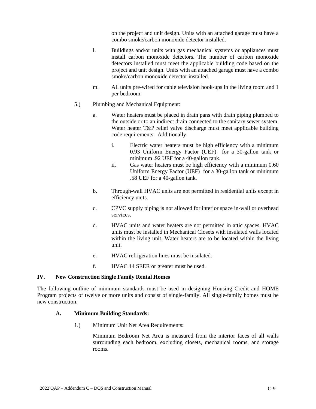on the project and unit design. Units with an attached garage must have a combo smoke/carbon monoxide detector installed.

- l. Buildings and/or units with gas mechanical systems or appliances must install carbon monoxide detectors. The number of carbon monoxide detectors installed must meet the applicable building code based on the project and unit design. Units with an attached garage must have a combo smoke/carbon monoxide detector installed.
- m. All units pre-wired for cable television hook-ups in the living room and 1 per bedroom.
- 5.) Plumbing and Mechanical Equipment:
	- a. Water heaters must be placed in drain pans with drain piping plumbed to the outside or to an indirect drain connected to the sanitary sewer system. Water heater T&P relief valve discharge must meet applicable building code requirements. Additionally:
		- i. Electric water heaters must be high efficiency with a minimum 0.93 Uniform Energy Factor (UEF) for a 30-gallon tank or minimum .92 UEF for a 40-gallon tank.
		- ii. Gas water heaters must be high efficiency with a minimum 0.60 Uniform Energy Factor (UEF) for a 30-gallon tank or minimum .58 UEF for a 40-gallon tank.
	- b. Through-wall HVAC units are not permitted in residential units except in efficiency units.
	- c. CPVC supply piping is not allowed for interior space in-wall or overhead services.
	- d. HVAC units and water heaters are not permitted in attic spaces. HVAC units must be installed in Mechanical Closets with insulated walls located within the living unit. Water heaters are to be located within the living unit.
	- e. HVAC refrigeration lines must be insulated.
	- f. HVAC 14 SEER or greater must be used.

# **IV. New Construction Single Family Rental Homes**

The following outline of minimum standards must be used in designing Housing Credit and HOME Program projects of twelve or more units and consist of single-family. All single-family homes must be new construction.

## **A. Minimum Building Standards:**

1.) Minimum Unit Net Area Requirements:

Minimum Bedroom Net Area is measured from the interior faces of all walls surrounding each bedroom, excluding closets, mechanical rooms, and storage rooms.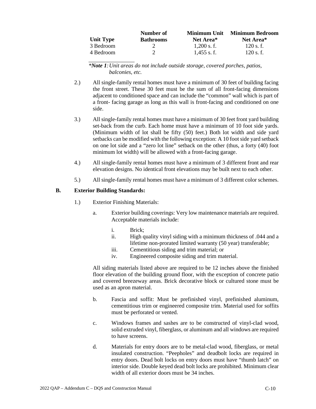|           | Number of        | Minimum Unit | <b>Minimum Bedroom</b> |
|-----------|------------------|--------------|------------------------|
| Unit Type | <b>Bathrooms</b> | Net Area*    | Net Area <sup>*</sup>  |
| 3 Bedroom |                  | $1.200$ s.f. | $120$ s. f.            |
| 4 Bedroom |                  | $1.455$ s.f. | $120$ s. f.            |

*\*Note 1:Unit areas do not include outside storage, covered porches, patios, balconies, etc.* 

- 2.) All single-family rental homes must have a minimum of 30 feet of building facing the front street. These 30 feet must be the sum of all front-facing dimensions adjacent to conditioned space and can include the "common" wall which is part of a front- facing garage as long as this wall is front-facing and conditioned on one side.
- 3.) All single-family rental homes must have a minimum of 30 feet front yard building set-back from the curb. Each home must have a minimum of 10 foot side yards. (Minimum width of lot shall be fifty (50) feet.) Both lot width and side yard setbacks can be modified with the following exception: A 10 foot side yard setback on one lot side and a "zero lot line" setback on the other (thus, a forty (40) foot minimum lot width) will be allowed with a front-facing garage.
- 4.) All single-family rental homes must have a minimum of 3 different front and rear elevation designs. No identical front elevations may be built next to each other.
- 5.) All single-family rental homes must have a minimum of 3 different color schemes.

#### **B. Exterior Building Standards:**

- 1.) Exterior Finishing Materials:
	- a. Exterior building coverings: Very low maintenance materials are required. Acceptable materials include:
		- i. Brick;
		- ii. High quality vinyl siding with a minimum thickness of .044 and a lifetime non-prorated limited warranty (50 year) transferable;
		- iii. Cementitious siding and trim material; or
		- iv. Engineered composite siding and trim material.

All siding materials listed above are required to be 12 inches above the finished floor elevation of the building ground floor, with the exception of concrete patio and covered breezeway areas. Brick decorative block or cultured stone must be used as an apron material.

- b. Fascia and soffit: Must be prefinished vinyl, prefinished aluminum, cementitious trim or engineered composite trim. Material used for soffits must be perforated or vented.
- c. Windows frames and sashes are to be constructed of vinyl-clad wood, solid extruded vinyl, fiberglass, or aluminum and all windows are required to have screens.
- d. Materials for entry doors are to be metal-clad wood, fiberglass, or metal insulated construction. "Peepholes" and deadbolt locks are required in entry doors. Dead bolt locks on entry doors must have "thumb latch" on interior side. Double keyed dead bolt locks are prohibited. Minimum clear width of all exterior doors must be 34 inches.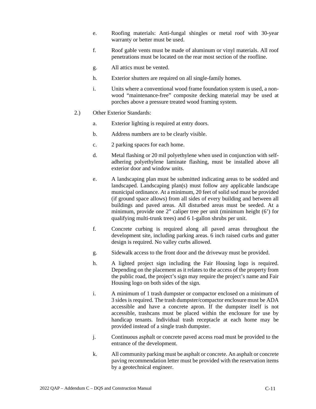- e. Roofing materials: Anti-fungal shingles or metal roof with 30-year warranty or better must be used.
- f. Roof gable vents must be made of aluminum or vinyl materials. All roof penetrations must be located on the rear most section of the roofline.
- g. All attics must be vented.
- h. Exterior shutters are required on all single-family homes.
- i. Units where a conventional wood frame foundation system is used, a nonwood "maintenance-free" composite decking material may be used at porches above a pressure treated wood framing system.
- 2.) Other Exterior Standards:
	- a. Exterior lighting is required at entry doors.
	- b. Address numbers are to be clearly visible.
	- c. 2 parking spaces for each home.
	- d. Metal flashing or 20 mil polyethylene when used in conjunction with selfadhering polyethylene laminate flashing, must be installed above all exterior door and window units.
	- e. A landscaping plan must be submitted indicating areas to be sodded and landscaped. Landscaping plan(s) must follow any applicable landscape municipal ordinance. At a minimum, 20 feet of solid sod must be provided (if ground space allows) from all sides of every building and between all buildings and paved areas. All disturbed areas must be seeded. At a minimum, provide one 2" caliper tree per unit (minimum height (6') for qualifying multi-trunk trees) and 6 1-gallon shrubs per unit.
	- f. Concrete curbing is required along all paved areas throughout the development site, including parking areas. 6 inch raised curbs and gutter design is required. No valley curbs allowed.
	- g. Sidewalk access to the front door and the driveway must be provided.
	- h. A lighted project sign including the Fair Housing logo is required. Depending on the placement as it relates to the access of the property from the public road, the project's sign may require the project's name and Fair Housing logo on both sides of the sign.
	- i. A minimum of 1 trash dumpster or compactor enclosed on a minimum of 3 sides is required. The trash dumpster/compactor enclosure must be ADA accessible and have a concrete apron. If the dumpster itself is not accessible, trashcans must be placed within the enclosure for use by handicap tenants. Individual trash receptacle at each home may be provided instead of a single trash dumpster.
	- j. Continuous asphalt or concrete paved access road must be provided to the entrance of the development.
	- k. All community parking must be asphalt or concrete. An asphalt or concrete paving recommendation letter must be provided with the reservation items by a geotechnical engineer.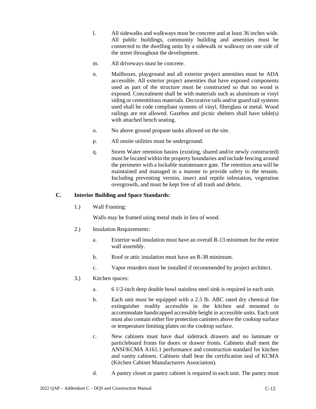- l. All sidewalks and walkways must be concrete and at least 36 inches wide. All public buildings, community building and amenities must be connected to the dwelling units by a sidewalk or walkway on one side of the street throughout the development.
- m. All driveways must be concrete.
- n. Mailboxes, playground and all exterior project amenities must be ADA accessible. All exterior project amenities that have exposed components used as part of the structure must be constructed so that no wood is exposed. Concealment shall be with materials such as aluminum or vinyl siding or cementitious materials. Decorative rails and/or guard rail systems used shall be code compliant systems of vinyl, fiberglass or metal. Wood railings are not allowed. Gazebos and picnic shelters shall have table(s) with attached bench seating.
- o. No above ground propane tanks allowed on the site.
- p. All onsite utilities must be underground.
- q. Storm Water retention basins (existing, shared and/or newly constructed) must be located within the property boundaries and include fencing around the perimeter with a lockable maintenance gate. The retention area will be maintained and managed in a manner to provide safety to the tenants. Including preventing vermin, insect and reptile infestation, vegetation overgrowth, and must be kept free of all trash and debris.

# **C. Interior Building and Space Standards:**

1.) Wall Framing:

Walls may be framed using metal studs in lieu of wood.

- 2.) Insulation Requirements:
	- a. Exterior wall insulation must have an overall R-13 minimum for the entire wall assembly.
	- b. Roof or attic insulation must have an R-38 minimum.
	- c. Vapor retarders must be installed if recommended by project architect.
- 3.) Kitchen spaces:
	- a. 6 1/2-inch deep double bowl stainless steel sink is required in each unit.
	- b. Each unit must be equipped with a 2.5 lb. ABC rated dry chemical fire extinguisher readily accessible in the kitchen and mounted to accommodate handicapped accessible height in accessible units. Each unit must also contain either fire protection canisters above the cooktop surface or temperature limiting plates on the cooktop surface.
	- c. New cabinets must have dual sidetrack drawers and no laminate or particleboard fronts for doors or drawer fronts. Cabinets shall meet the ANSI/KCMA A161.1 performance and construction standard for kitchen and vanity cabinets. Cabinets shall bear the certification seal of KCMA (Kitchen Cabinet Manufacturers Association).
	- d. A pantry closet or pantry cabinet is required in each unit. The pantry must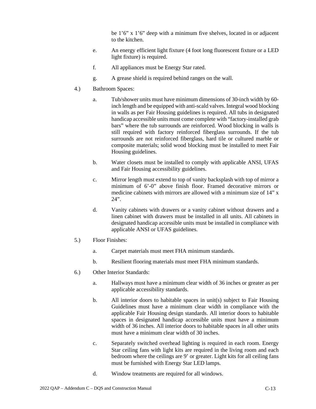be 1'6" x 1'6" deep with a minimum five shelves, located in or adjacent to the kitchen.

- e. An energy efficient light fixture (4 foot long fluorescent fixture or a LED light fixture) is required.
- f. All appliances must be Energy Star rated.
- g. A grease shield is required behind ranges on the wall.
- 4.) Bathroom Spaces:
	- a. Tub/shower units must have minimum dimensions of 30-inch width by 60 inch length and be equipped with anti-scald valves. Integral wood blocking in walls as per Fair Housing guidelines is required. All tubs in designated handicap accessible units must come complete with "factory-installed grab bars" where the tub surrounds are reinforced. Wood blocking in walls is still required with factory reinforced fiberglass surrounds. If the tub surrounds are not reinforced fiberglass, hard tile or cultured marble or composite materials; solid wood blocking must be installed to meet Fair Housing guidelines.
	- b. Water closets must be installed to comply with applicable ANSI, UFAS and Fair Housing accessibility guidelines.
	- c. Mirror length must extend to top of vanity backsplash with top of mirror a minimum of 6'-0" above finish floor. Framed decorative mirrors or medicine cabinets with mirrors are allowed with a minimum size of 14" x  $24$ ".
	- d. Vanity cabinets with drawers or a vanity cabinet without drawers and a linen cabinet with drawers must be installed in all units. All cabinets in designated handicap accessible units must be installed in compliance with applicable ANSI or UFAS guidelines.
- 5.) Floor Finishes:
	- a. Carpet materials must meet FHA minimum standards.
	- b. Resilient flooring materials must meet FHA minimum standards.
- 6.) Other Interior Standards:
	- a. Hallways must have a minimum clear width of 36 inches or greater as per applicable accessibility standards.
	- b. All interior doors to habitable spaces in unit(s) subject to Fair Housing Guidelines must have a minimum clear width in compliance with the applicable Fair Housing design standards. All interior doors to habitable spaces in designated handicap accessible units must have a minimum width of 36 inches. All interior doors to habitable spaces in all other units must have a minimum clear width of 30 inches.
	- c. Separately switched overhead lighting is required in each room. Energy Star ceiling fans with light kits are required in the living room and each bedroom where the ceilings are 9' or greater. Light kits for all ceiling fans must be furnished with Energy Star LED lamps.
	- d. Window treatments are required for all windows.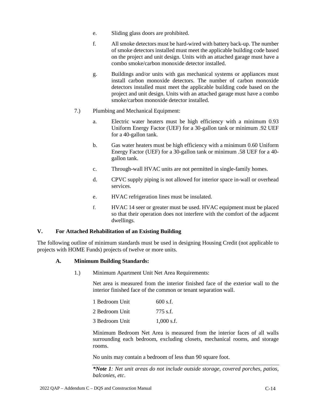- e. Sliding glass doors are prohibited.
- f. All smoke detectors must be hard-wired with battery back-up. The number of smoke detectors installed must meet the applicable building code based on the project and unit design. Units with an attached garage must have a combo smoke/carbon monoxide detector installed.
- g. Buildings and/or units with gas mechanical systems or appliances must install carbon monoxide detectors. The number of carbon monoxide detectors installed must meet the applicable building code based on the project and unit design. Units with an attached garage must have a combo smoke/carbon monoxide detector installed.
- 7.) Plumbing and Mechanical Equipment:
	- a. Electric water heaters must be high efficiency with a minimum 0.93 Uniform Energy Factor (UEF) for a 30-gallon tank or minimum .92 UEF for a 40-gallon tank.
	- b. Gas water heaters must be high efficiency with a minimum 0.60 Uniform Energy Factor (UEF) for a 30-gallon tank or minimum .58 UEF for a 40 gallon tank.
	- c. Through-wall HVAC units are not permitted in single-family homes.
	- d. CPVC supply piping is not allowed for interior space in-wall or overhead services.
	- e. HVAC refrigeration lines must be insulated.
	- f. HVAC 14 seer or greater must be used. HVAC equipment must be placed so that their operation does not interfere with the comfort of the adjacent dwellings.

# **V. For Attached Rehabilitation of an Existing Building**

The following outline of minimum standards must be used in designing Housing Credit (not applicable to projects with HOME Funds) projects of twelve or more units.

# **A. Minimum Building Standards:**

1.) Minimum Apartment Unit Net Area Requirements:

Net area is measured from the interior finished face of the exterior wall to the interior finished face of the common or tenant separation wall.

| 1 Bedroom Unit | $600$ s.f.   |
|----------------|--------------|
| 2 Bedroom Unit | $775$ s.f.   |
| 3 Bedroom Unit | $1,000$ s.f. |

Minimum Bedroom Net Area is measured from the interior faces of all walls surrounding each bedroom, excluding closets, mechanical rooms, and storage rooms.

No units may contain a bedroom of less than 90 square foot.

*\*Note 1: Net unit areas do not include outside storage, covered porches, patios, balconies, etc*.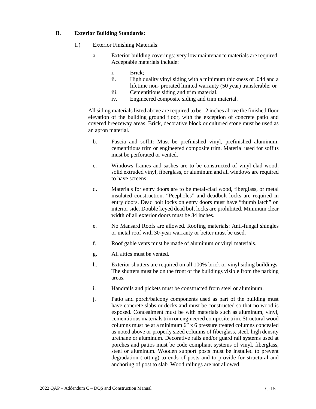## **B. Exterior Building Standards:**

- 1.) Exterior Finishing Materials:
	- a. Exterior building coverings: very low maintenance materials are required. Acceptable materials include:
		- i. Brick;
		- ii. High quality vinyl siding with a minimum thickness of .044 and a lifetime non- prorated limited warranty (50 year) transferable; or
		- iii. Cementitious siding and trim material.
		- iv. Engineered composite siding and trim material.

All siding materials listed above are required to be 12 inches above the finished floor elevation of the building ground floor, with the exception of concrete patio and covered breezeway areas. Brick, decorative block or cultured stone must be used as an apron material.

- b. Fascia and soffit: Must be prefinished vinyl, prefinished aluminum, cementitious trim or engineered composite trim. Material used for soffits must be perforated or vented.
- c. Windows frames and sashes are to be constructed of vinyl-clad wood, solid extruded vinyl, fiberglass, or aluminum and all windows are required to have screens.
- d. Materials for entry doors are to be metal-clad wood, fiberglass, or metal insulated construction. "Peepholes" and deadbolt locks are required in entry doors. Dead bolt locks on entry doors must have "thumb latch" on interior side. Double keyed dead bolt locks are prohibited. Minimum clear width of all exterior doors must be 34 inches.
- e. No Mansard Roofs are allowed. Roofing materials: Anti-fungal shingles or metal roof with 30-year warranty or better must be used.
- f. Roof gable vents must be made of aluminum or vinyl materials.
- g. All attics must be vented.
- h. Exterior shutters are required on all 100% brick or vinyl siding buildings. The shutters must be on the front of the buildings visible from the parking areas.
- i. Handrails and pickets must be constructed from steel or aluminum.
- j. Patio and porch/balcony components used as part of the building must have concrete slabs or decks and must be constructed so that no wood is exposed. Concealment must be with materials such as aluminum, vinyl, cementitious materials trim or engineered composite trim. Structural wood columns must be at a minimum 6" x 6 pressure treated columns concealed as noted above or properly sized columns of fiberglass, steel, high density urethane or aluminum. Decorative rails and/or guard rail systems used at porches and patios must be code compliant systems of vinyl, fiberglass, steel or aluminum. Wooden support posts must be installed to prevent degradation (rotting) to ends of posts and to provide for structural and anchoring of post to slab. Wood railings are not allowed.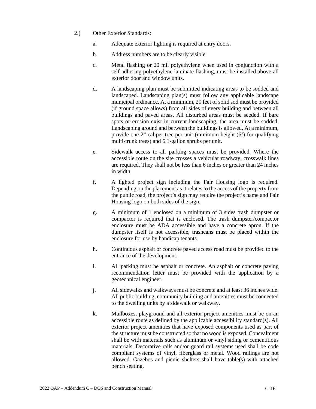- 2.) Other Exterior Standards:
	- a. Adequate exterior lighting is required at entry doors.
	- b. Address numbers are to be clearly visible.
	- c. Metal flashing or 20 mil polyethylene when used in conjunction with a self-adhering polyethylene laminate flashing, must be installed above all exterior door and window units.
	- d. A landscaping plan must be submitted indicating areas to be sodded and landscaped. Landscaping plan(s) must follow any applicable landscape municipal ordinance. At a minimum, 20 feet of solid sod must be provided (if ground space allows) from all sides of every building and between all buildings and paved areas. All disturbed areas must be seeded. If bare spots or erosion exist in current landscaping, the area must be sodded. Landscaping around and between the buildings is allowed. At a minimum, provide one 2" caliper tree per unit (minimum height (6') for qualifying multi-trunk trees) and 6 1-gallon shrubs per unit.
	- e. Sidewalk access to all parking spaces must be provided. Where the accessible route on the site crosses a vehicular roadway, crosswalk lines are required. They shall not be less than 6 inches or greater than 24 inches in width
	- f. A lighted project sign including the Fair Housing logo is required. Depending on the placement as it relates to the access of the property from the public road, the project's sign may require the project's name and Fair Housing logo on both sides of the sign.
	- g. A minimum of 1 enclosed on a minimum of 3 sides trash dumpster or compactor is required that is enclosed. The trash dumpster/compactor enclosure must be ADA accessible and have a concrete apron. If the dumpster itself is not accessible, trashcans must be placed within the enclosure for use by handicap tenants.
	- h. Continuous asphalt or concrete paved access road must be provided to the entrance of the development.
	- i. All parking must be asphalt or concrete. An asphalt or concrete paving recommendation letter must be provided with the application by a geotechnical engineer.
	- j. All sidewalks and walkways must be concrete and at least 36 inches wide. All public building, community building and amenities must be connected to the dwelling units by a sidewalk or walkway.
	- k. Mailboxes, playground and all exterior project amenities must be on an accessible route as defined by the applicable accessibility standard(s). All exterior project amenities that have exposed components used as part of the structure must be constructed so that no wood is exposed. Concealment shall be with materials such as aluminum or vinyl siding or cementitious materials. Decorative rails and/or guard rail systems used shall be code compliant systems of vinyl, fiberglass or metal. Wood railings are not allowed. Gazebos and picnic shelters shall have table(s) with attached bench seating.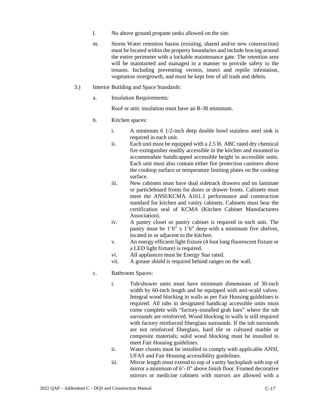- l. No above ground propane tanks allowed on the site.
- m. Storm Water retention basins (existing, shared and/or new construction) must be located within the property boundaries and include fencing around the entire perimeter with a lockable maintenance gate. The retention area will be maintained and managed in a manner to provide safety to the tenants. Including preventing vermin, insect and reptile infestation, vegetation overgrowth, and must be kept free of all trash and debris.
- 3.) Interior Building and Space Standards:
	- a. Insulation Requirements:

Roof or attic insulation must have an R-38 minimum.

- b. Kitchen spaces:
	- i. A minimum 6 1/2-inch deep double bowl stainless steel sink is required in each unit.
	- ii. Each unit must be equipped with a 2.5 lb. ABC rated dry chemical fire extinguisher readily accessible in the kitchen and mounted to accommodate handicapped accessible height in accessible units. Each unit must also contain either fire protection canisters above the cooktop surface or temperature limiting plates on the cooktop surface.
	- iii. New cabinets must have dual sidetrack drawers and no laminate or particleboard fronts for doors or drawer fronts. Cabinets must meet the ANSI/KCMA A161.1 performance and construction standard for kitchen and vanity cabinets. Cabinets must bear the certification seal of KCMA (Kitchen Cabinet Manufacturers Association).
	- iv. A pantry closet or pantry cabinet is required in each unit. The pantry must be 1'6" x 1'6" deep with a minimum five shelves, located in or adjacent to the kitchen.
	- v. An energy efficient light fixture (4 foot long fluorescent fixture or a LED light fixture) is required.
	- vi. All appliances must be Energy Star rated.
	- vii. A grease shield is required behind ranges on the wall.
- c. Bathroom Spaces:
	- i. Tub/shower units must have minimum dimensions of 30-inch width by 60-inch length and be equipped with anti-scald valves. Integral wood blocking in walls as per Fair Housing guidelines is required. All tubs in designated handicap accessible units must come complete with "factory-installed grab bars" where the tub surrounds are reinforced. Wood blocking in walls is still required with factory reinforced fiberglass surrounds. If the tub surrounds are not reinforced fiberglass, hard tile or cultured marble or composite materials; solid wood blocking must be installed to meet Fair Housing guidelines.
	- ii. Water closets must be installed to comply with applicable ANSI, UFAS and Fair Housing accessibility guidelines.
	- iii. Mirror length must extend to top of vanity backsplash with top of mirror a minimum of 6'- 0" above finish floor. Framed decorative mirrors or medicine cabinets with mirrors are allowed with a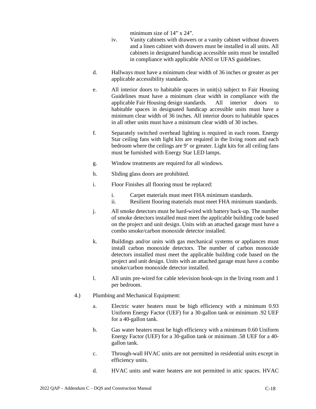minimum size of 14" x 24".

- iv. Vanity cabinets with drawers or a vanity cabinet without drawers and a linen cabinet with drawers must be installed in all units. All cabinets in designated handicap accessible units must be installed in compliance with applicable ANSI or UFAS guidelines.
- d. Hallways must have a minimum clear width of 36 inches or greater as per applicable accessibility standards.
- e. All interior doors to habitable spaces in unit(s) subject to Fair Housing Guidelines must have a minimum clear width in compliance with the applicable Fair Housing design standards. All interior doors to habitable spaces in designated handicap accessible units must have a minimum clear width of 36 inches. All interior doors to habitable spaces in all other units must have a minimum clear width of 30 inches.
- f. Separately switched overhead lighting is required in each room. Energy Star ceiling fans with light kits are required in the living room and each bedroom where the ceilings are 9' or greater. Light kits for all ceiling fans must be furnished with Energy Star LED lamps.
- g. Window treatments are required for all windows.
- h. Sliding glass doors are prohibited.
- i. Floor Finishes all flooring must be replaced:
	- i. Carpet materials must meet FHA minimum standards.
	- ii. Resilient flooring materials must meet FHA minimum standards.
- j. All smoke detectors must be hard-wired with battery back-up. The number of smoke detectors installed must meet the applicable building code based on the project and unit design. Units with an attached garage must have a combo smoke/carbon monoxide detector installed.
- k. Buildings and/or units with gas mechanical systems or appliances must install carbon monoxide detectors. The number of carbon monoxide detectors installed must meet the applicable building code based on the project and unit design. Units with an attached garage must have a combo smoke/carbon monoxide detector installed.
- l. All units pre-wired for cable television hook-ups in the living room and 1 per bedroom.
- 4.) Plumbing and Mechanical Equipment:
	- a. Electric water heaters must be high efficiency with a minimum 0.93 Uniform Energy Factor (UEF) for a 30-gallon tank or minimum .92 UEF for a 40-gallon tank.
	- b. Gas water heaters must be high efficiency with a minimum 0.60 Uniform Energy Factor (UEF) for a 30-gallon tank or minimum .58 UEF for a 40 gallon tank.
	- c. Through-wall HVAC units are not permitted in residential units except in efficiency units.
	- d. HVAC units and water heaters are not permitted in attic spaces. HVAC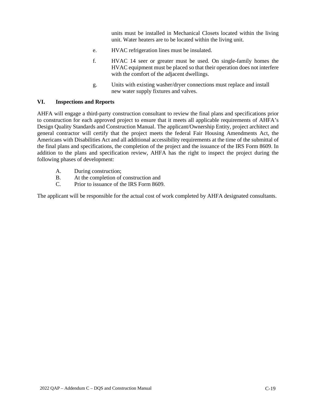units must be installed in Mechanical Closets located within the living unit. Water heaters are to be located within the living unit.

- e. HVAC refrigeration lines must be insulated.
- f. HVAC 14 seer or greater must be used. On single-family homes the HVAC equipment must be placed so that their operation does not interfere with the comfort of the adjacent dwellings.
- g. Units with existing washer/dryer connections must replace and install new water supply fixtures and valves.

# **VI. Inspections and Reports**

AHFA will engage a third-party construction consultant to review the final plans and specifications prior to construction for each approved project to ensure that it meets all applicable requirements of AHFA's Design Quality Standards and Construction Manual. The applicant/Ownership Entity, project architect and general contractor will certify that the project meets the federal Fair Housing Amendments Act, the Americans with Disabilities Act and all additional accessibility requirements at the time of the submittal of the final plans and specifications, the completion of the project and the issuance of the IRS Form 8609. In addition to the plans and specification review, AHFA has the right to inspect the project during the following phases of development:

- A. During construction;
- B. At the completion of construction and
- C. Prior to issuance of the IRS Form 8609.

The applicant will be responsible for the actual cost of work completed by AHFA designated consultants.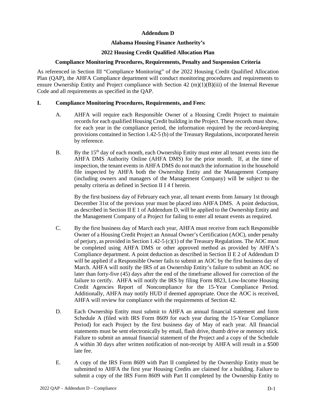# **Addendum D**

# **Alabama Housing Finance Authority's**

# **2022 Housing Credit Qualified Allocation Plan**

# **Compliance Monitoring Procedures, Requirements, Penalty and Suspension Criteria**

As referenced in Section III "Compliance Monitoring" of the 2022 Housing Credit Qualified Allocation Plan (QAP), the AHFA Compliance department will conduct monitoring procedures and requirements to ensure Ownership Entity and Project compliance with Section  $42 \text{ (m)}(1)(B)(iii)$  of the Internal Revenue Code and all requirements as specified in the QAP.

# **I. Compliance Monitoring Procedures, Requirements, and Fees:**

- A. AHFA will require each Responsible Owner of a Housing Credit Project to maintain records for each qualified Housing Credit building in the Project. These records must show, for each year in the compliance period, the information required by the record-keeping provisions contained in Section 1.42-5 (b) of the Treasury Regulations, incorporated herein by reference.
- B. By the  $15<sup>th</sup>$  day of each month, each Ownership Entity must enter all tenant events into the AHFA DMS Authority Online (AHFA DMS) for the prior month. If, at the time of inspection, the tenant events in AHFA DMS do not match the information in the household file inspected by AHFA both the Ownership Entity and the Management Company (including owners and managers of the Management Company) will be subject to the penalty criteria as defined in Section II I 4 f herein.

By the first business day of February each year, all tenant events from January 1st through December 31st of the previous year must be placed into AHFA DMS. A point deduction, as described in Section II E 1 of Addendum D, will be applied to the Ownership Entity and the Management Company of a Project for failing to enter all tenant events as required.

- C. By the first business day of March each year, AHFA must receive from each Responsible Owner of a Housing Credit Project an Annual Owner's Certification (AOC), under penalty of perjury, as provided in Section 1.42-5 (c)(1) of the Treasury Regulations. The AOC must be completed using AHFA DMS or other approved method as provided by AHFA's Compliance department. A point deduction as described in Section II E 2 of Addendum D will be applied if a Responsible Owner fails to submit an AOC by the first business day of March. AHFA will notify the IRS of an Ownership Entity's failure to submit an AOC no later than forty-five (45) days after the end of the timeframe allowed for correction of the failure to certify. AHFA will notify the IRS by filing Form 8823, Low-Income Housing Credit Agencies Report of Noncompliance for the 15-Year Compliance Period. Additionally, AHFA may notify HUD if deemed appropriate. Once the AOC is received, AHFA will review for compliance with the requirements of Section 42.
- D. Each Ownership Entity must submit to AHFA an annual financial statement and form Schedule A (filed with IRS Form 8609 for each year during the 15-Year Compliance Period) for each Project by the first business day of May of each year. All financial statements must be sent electronically by email, flash drive, thumb drive or memory stick. Failure to submit an annual financial statement of the Project and a copy of the Schedule A within 30 days after written notification of non-receipt by AHFA will result in a \$500 late fee.
- E. A copy of the IRS Form 8609 with Part II completed by the Ownership Entity must be submitted to AHFA the first year Housing Credits are claimed for a building. Failure to submit a copy of the IRS Form 8609 with Part II completed by the Ownership Entity to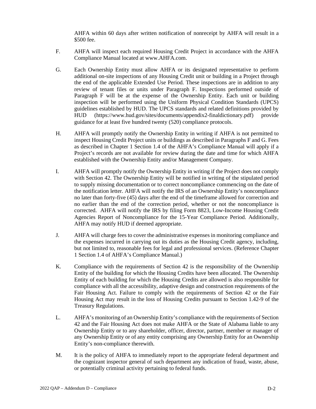AHFA within 60 days after written notification of nonreceipt by AHFA will result in a \$500 fee.

- F. AHFA will inspect each required Housing Credit Project in accordance with the AHFA Compliance Manual located at www.AHFA.com.
- G. Each Ownership Entity must allow AHFA or its designated representative to perform additional on-site inspections of any Housing Credit unit or building in a Project through the end of the applicable Extended Use Period. These inspections are in addition to any review of tenant files or units under Paragraph F. Inspections performed outside of Paragraph F will be at the expense of the Ownership Entity. Each unit or building inspection will be performed using the Uniform Physical Condition Standards (UPCS) guidelines established by HUD. The UPCS standards and related definitions provided by HUD (https://www.hud.gov/sites/documents/appendix2-finaldictionary.pdf) provide guidance for at least five hundred twenty (520) compliance protocols.
- H. AHFA will promptly notify the Ownership Entity in writing if AHFA is not permitted to inspect Housing Credit Project units or buildings as described in Paragraphs F and G. Fees as described in Chapter 1 Section 1.4 of the AHFA's Compliance Manual will apply if a Project's records are not available for review during the date and time for which AHFA established with the Ownership Entity and/or Management Company.
- I. AHFA will promptly notify the Ownership Entity in writing if the Project does not comply with Section 42. The Ownership Entity will be notified in writing of the stipulated period to supply missing documentation or to correct noncompliance commencing on the date of the notification letter. AHFA will notify the IRS of an Ownership Entity's noncompliance no later than forty-five (45) days after the end of the timeframe allowed for correction and no earlier than the end of the correction period, whether or not the noncompliance is corrected. AHFA will notify the IRS by filing Form 8823, Low-Income Housing Credit Agencies Report of Noncompliance for the 15-Year Compliance Period. Additionally, AHFA may notify HUD if deemed appropriate.
- J. AHFA will charge fees to cover the administrative expenses in monitoring compliance and the expenses incurred in carrying out its duties as the Housing Credit agency, including, but not limited to, reasonable fees for legal and professional services. (Reference Chapter 1 Section 1.4 of AHFA's Compliance Manual.)
- K. Compliance with the requirements of Section 42 is the responsibility of the Ownership Entity of the building for which the Housing Credits have been allocated. The Ownership Entity of each building for which the Housing Credits are allowed is also responsible for compliance with all the accessibility, adaptive design and construction requirements of the Fair Housing Act. Failure to comply with the requirements of Section 42 or the Fair Housing Act may result in the loss of Housing Credits pursuant to Section 1.42-9 of the Treasury Regulations.
- L. AHFA's monitoring of an Ownership Entity's compliance with the requirements of Section 42 and the Fair Housing Act does not make AHFA or the State of Alabama liable to any Ownership Entity or to any shareholder, officer, director, partner, member or manager of any Ownership Entity or of any entity comprising any Ownership Entity for an Ownership Entity's non-compliance therewith.
- M. It is the policy of AHFA to immediately report to the appropriate federal department and the cognizant inspector general of such department any indication of fraud, waste, abuse, or potentially criminal activity pertaining to federal funds.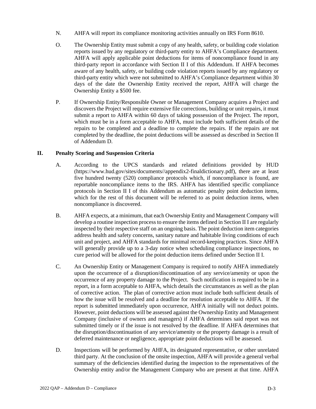- N. AHFA will report its compliance monitoring activities annually on IRS Form 8610.
- O. The Ownership Entity must submit a copy of any health, safety, or building code violation reports issued by any regulatory or third-party entity to AHFA's Compliance department. AHFA will apply applicable point deductions for items of noncompliance found in any third-party report in accordance with Section II I of this Addendum. If AHFA becomes aware of any health, safety, or building code violation reports issued by any regulatory or third-party entity which were not submitted to AHFA's Compliance department within 30 days of the date the Ownership Entity received the report, AHFA will charge the Ownership Entity a \$500 fee.
- P. If Ownership Entity/Responsible Owner or Management Company acquires a Project and discovers the Project will require extensive file corrections, building or unit repairs, it must submit a report to AHFA within 60 days of taking possession of the Project. The report, which must be in a form acceptable to AHFA, must include both sufficient details of the repairs to be completed and a deadline to complete the repairs. If the repairs are not completed by the deadline, the point deductions will be assessed as described in Section II of Addendum D.

# **II. Penalty Scoring and Suspension Criteria**

- A. According to the UPCS standards and related definitions provided by HUD (https://www.hud.gov/sites/documents//appendix2-finaldictionary.pdf), there are at least five hundred twenty (520) compliance protocols which, if noncompliance is found, are reportable noncompliance items to the IRS. AHFA has identified specific compliance protocols in Section II I of this Addendum as automatic penalty point deduction items, which for the rest of this document will be referred to as point deduction items, when noncompliance is discovered.
- B. AHFA expects, at a minimum, that each Ownership Entity and Management Company will develop a routine inspection process to ensure the items defined in Section II I are regularly inspected by their respective staff on an ongoing basis. The point deduction item categories address health and safety concerns, sanitary nature and habitable living conditions of each unit and project, and AHFA standards for minimal record-keeping practices. Since AHFA will generally provide up to a 3-day notice when scheduling compliance inspections, no cure period will be allowed for the point deduction items defined under Section II I.
- C. An Ownership Entity or Management Company is required to notify AHFA immediately upon the occurrence of a disruption/discontinuation of any service/amenity or upon the occurrence of any property damage to the Project. Such notification is required to be in a report, in a form acceptable to AHFA, which details the circumstances as well as the plan of corrective action. The plan of corrective action must include both sufficient details of how the issue will be resolved and a deadline for resolution acceptable to AHFA. If the report is submitted immediately upon occurrence, AHFA initially will not deduct points. However, point deductions will be assessed against the Ownership Entity and Management Company (inclusive of owners and managers) if AHFA determines said report was not submitted timely or if the issue is not resolved by the deadline. If AHFA determines that the disruption/discontinuation of any service/amenity or the property damage is a result of deferred maintenance or negligence, appropriate point deductions will be assessed.
- D. Inspections will be performed by AHFA, its designated representative, or other unrelated third party. At the conclusion of the onsite inspection, AHFA will provide a general verbal summary of the deficiencies identified during the inspection to the representatives of the Ownership entity and/or the Management Company who are present at that time. AHFA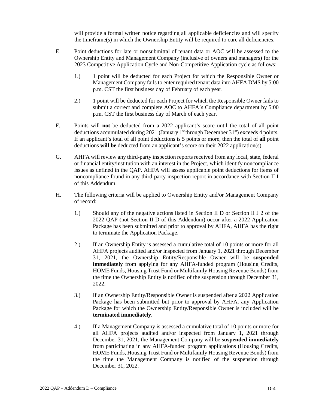will provide a formal written notice regarding all applicable deficiencies and will specify the timeframe(s) in which the Ownership Entity will be required to cure all deficiencies.

- E. Point deductions for late or nonsubmittal of tenant data or AOC will be assessed to the Ownership Entity and Management Company (inclusive of owners and managers) for the 2023 Competitive Application Cycle and Non-Competitive Application cycle as follows:
	- 1.) 1 point will be deducted for each Project for which the Responsible Owner or Management Company fails to enter required tenant data into AHFA DMS by 5:00 p.m. CST the first business day of February of each year.
	- 2.) 1 point will be deducted for each Project for which the Responsible Owner fails to submit a correct and complete AOC to AHFA's Compliance department by 5:00 p.m. CST the first business day of March of each year.
- F. Points will **not** be deducted from a 2022 applicant's score until the total of all point deductions accumulated during 2021 (January 1<sup>st</sup> through December 31<sup>st</sup>) exceeds 4 points. If an applicant's total of all point deductions is 5 points or more, then the total of **all** point deductions **will be** deducted from an applicant's score on their 2022 application(s).
- G. AHFA will review any third-party inspection reports received from any local, state, federal or financial entity/institution with an interest in the Project, which identify noncompliance issues as defined in the QAP. AHFA will assess applicable point deductions for items of noncompliance found in any third-party inspection report in accordance with Section II I of this Addendum.
- H. The following criteria will be applied to Ownership Entity and/or Management Company of record:
	- 1.) Should any of the negative actions listed in Section II D or Section II J 2 of the 2022 QAP (not Section II D of this Addendum) occur after a 2022 Application Package has been submitted and prior to approval by AHFA, AHFA has the right to terminate the Application Package.
	- 2.) If an Ownership Entity is assessed a cumulative total of 10 points or more for all AHFA projects audited and/or inspected from January 1, 2021 through December 31, 2021, the Ownership Entity/Responsible Owner will be **suspended immediately** from applying for any AHFA-funded program (Housing Credits, HOME Funds, Housing Trust Fund or Multifamily Housing Revenue Bonds) from the time the Ownership Entity is notified of the suspension through December 31, 2022.
	- 3.) If an Ownership Entity/Responsible Owner is suspended after a 2022 Application Package has been submitted but prior to approval by AHFA, any Application Package for which the Ownership Entity/Responsible Owner is included will be **terminated immediately**.
	- 4.) If a Management Company is assessed a cumulative total of 10 points or more for all AHFA projects audited and/or inspected from January 1, 2021 through December 31, 2021, the Management Company will be **suspended immediately**  from participating in any AHFA-funded program applications (Housing Credits, HOME Funds, Housing Trust Fund or Multifamily Housing Revenue Bonds) from the time the Management Company is notified of the suspension through December 31, 2022.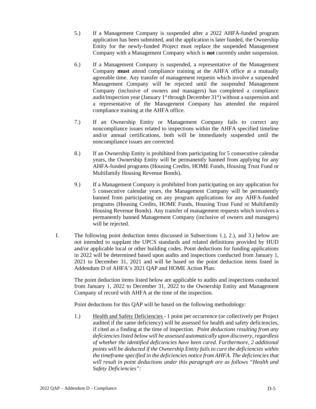- 5.) If a Management Company is suspended after a 2022 AHFA-funded program application has been submitted, and the application is later funded, the Ownership Entity for the newly-funded Project must replace the suspended Management Company with a Management Company which is **not** currently under suspension.
- 6.) If a Management Company is suspended, a representative of the Management Company **must** attend compliance training at the AHFA office at a mutually agreeable time. Any transfer of management requests which involve a suspended Management Company will be rejected until the suspended Management Company (inclusive of owners and managers) has completed a compliance audit/inspection year (January  $1<sup>st</sup>$  through December  $31<sup>st</sup>$ ) without a suspension and a representative of the Management Company has attended the required compliance training at the AHFA office.
- 7.) If an Ownership Entity or Management Company fails to correct any noncompliance issues related to inspections within the AHFA specified timeline and/or annual certifications, both will be immediately suspended until the noncompliance issues are corrected.
- 8.) If an Ownership Entity is prohibited from participating for 5 consecutive calendar years, the Ownership Entity will be permanently banned from applying for any AHFA-funded programs (Housing Credits, HOME Funds, Housing Trust Fund or Multifamily Housing Revenue Bonds).
- 9.) If a Management Company is prohibited from participating on any application for 5 consecutive calendar years, the Management Company will be permanently banned from participating on any program applications for any AHFA-funded programs (Housing Credits, HOME Funds, Housing Trust Fund or Multifamily Housing Revenue Bonds). Any transfer of management requests which involves a permanently banned Management Company (inclusive of owners and managers) will be rejected.
- I. The following point deduction items discussed in Subsections 1.), 2.), and 3.) below are not intended to supplant the UPCS standards and related definitions provided by HUD and/or applicable local or other building codes. Point deductions for funding applications in 2022 will be determined based upon audits and inspections conducted from January 1, 2021 to December 31, 2021 and will be based on the point deduction items listed in Addendum D of AHFA's 2021 QAP and HOME Action Plan.

The point deduction items listed below are applicable to audits and inspections conducted from January 1, 2022 to December 31, 2022 to the Ownership Entity and Management Company of record with AHFA at the time of the inspection.

Point deductions for this QAP will be based on the following methodology:

1.) Health and Safety Deficiencies - 1 point per occurrence (or collectively per Project audited if the same deficiency) will be assessed for health and safety deficiencies, if cited as a finding at the time of inspection. *Point deductions resulting from any deficiencies listed below will be assessed automatically upon discovery, regardless of whether the identified deficiencies have been cured. Furthermore, 2 additional points will be deducted if the Ownership Entity fails to cure the deficiencies within the timeframe specified in the deficiencies notice from AHFA. The deficiencies that will result in point deductions under this paragraph are as follows "Health and Safety Deficiencies":*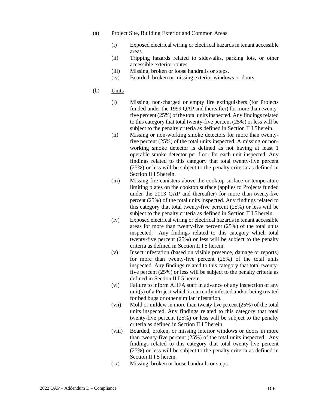#### (a) Project Site, Building Exterior and Common Areas

- (i) Exposed electrical wiring or electrical hazards in tenant accessible areas.
- (ii) Tripping hazards related to sidewalks, parking lots, or other accessible exterior routes.
- (iii) Missing, broken or loose handrails or steps.
- (iv) Boarded, broken or missing exterior windows or doors
- (b) Units
	- (i) Missing, non-charged or empty fire extinguishers (for Projects funded under the 1999 QAP and thereafter) for more than twentyfive percent  $(25%)$  of the total units inspected. Any findings related to this category that total twenty-five percent (25%) or less will be subject to the penalty criteria as defined in Section II I 5 herein.
	- (ii) Missing or non-working smoke detectors for more than twentyfive percent (25%) of the total units inspected. A missing or nonworking smoke detector is defined as not having at least 1 operable smoke detector per floor for each unit inspected. Any findings related to this category that total twenty-five percent (25%) or less will be subject to the penalty criteria as defined in Section II I 5 herein.
	- (iii) Missing fire canisters above the cooktop surface or temperature limiting plates on the cooktop surface (applies to Projects funded under the 2013 QAP and thereafter) for more than twenty-five percent (25%) of the total units inspected. Any findings related to this category that total twenty-five percent (25%) or less will be subject to the penalty criteria as defined in Section II I 5 herein.
	- (iv) Exposed electrical wiring or electrical hazards in tenant accessible areas for more than twenty-five percent (25%) of the total units inspected. Any findings related to this category which total twenty-five percent (25%) or less will be subject to the penalty criteria as defined in Section II I 5 herein.
	- (v) Insect infestation (based on visible presence, damage or reports) for more than twenty-five percent (25%) of the total units inspected. Any findings related to this category that total twentyfive percent (25%) or less will be subject to the penalty criteria as defined in Section II I 5 herein.
	- (vi) Failure to inform AHFA staff in advance of any inspection of any unit(s) of a Project which is currently infested and/or being treated for bed bugs or other similar infestation.
	- (vii) Mold or mildew in more than twenty-five percent (25%) of the total units inspected. Any findings related to this category that total twenty-five percent (25%) or less will be subject to the penalty criteria as defined in Section II I 5 herein.
	- (viii) Boarded, broken, or missing interior windows or doors in more than twenty-five percent (25%) of the total units inspected. Any findings related to this category that total twenty-five percent (25%) or less will be subject to the penalty criteria as defined in Section II I 5 herein.
	- (ix) Missing, broken or loose handrails or steps.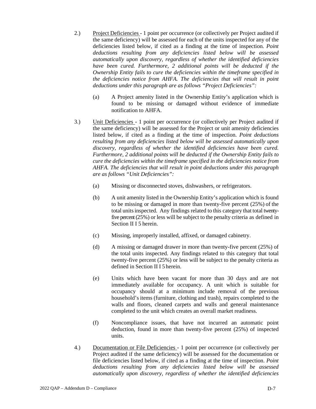- 2.) Project Deficiencies 1 point per occurrence (or collectively per Project audited if the same deficiency) will be assessed for each of the units inspected for any of the deficiencies listed below, if cited as a finding at the time of inspection. *Point deductions resulting from any deficiencies listed below will be assessed automatically upon discovery, regardless of whether the identified deficiencies have been cured. Furthermore, 2 additional points will be deducted if the Ownership Entity fails to cure the deficiencies within the timeframe specified in the deficiencies notice from AHFA. The deficiencies that will result in point deductions under this paragraph are as follows "Project Deficiencies":*
	- (a) A Project amenity listed in the Ownership Entity's application which is found to be missing or damaged without evidence of immediate notification to AHFA.
- 3.) Unit Deficiencies 1 point per occurrence (or collectively per Project audited if the same deficiency) will be assessed for the Project or unit amenity deficiencies listed below, if cited as a finding at the time of inspection. *Point deductions resulting from any deficiencies listed below will be assessed automatically upon discovery, regardless of whether the identified deficiencies have been cured. Furthermore, 2 additional points will be deducted if the Ownership Entity fails to cure the deficiencies within the timeframe specified in the deficiencies notice from AHFA. The deficiencies that will result in point deductions under this paragraph are as follows "Unit Deficiencies":*
	- (a) Missing or disconnected stoves, dishwashers, or refrigerators.
	- (b) A unit amenity listed in the Ownership Entity's application which is found to be missing or damaged in more than twenty-five percent (25%) of the total units inspected. Any findings related to this category that total twentyfive percent (25%) or less will be subject to the penalty criteria as defined in Section II I 5 herein.
	- (c) Missing, improperly installed, affixed, or damaged cabinetry.
	- (d) A missing or damaged drawer in more than twenty-five percent (25%) of the total units inspected. Any findings related to this category that total twenty-five percent (25%) or less will be subject to the penalty criteria as defined in Section II I 5 herein.
	- (e) Units which have been vacant for more than 30 days and are not immediately available for occupancy. A unit which is suitable for occupancy should at a minimum include removal of the previous household's items (furniture, clothing and trash), repairs completed to the walls and floors, cleaned carpets and walls and general maintenance completed to the unit which creates an overall market readiness.
	- (f) Noncompliance issues, that have not incurred an automatic point deduction, found in more than twenty-five percent (25%) of inspected units.
- 4.) Documentation or File Deficiencies 1 point per occurrence (or collectively per Project audited if the same deficiency) will be assessed for the documentation or file deficiencies listed below, if cited as a finding at the time of inspection. *Point deductions resulting from any deficiencies listed below will be assessed automatically upon discovery, regardless of whether the identified deficiencies*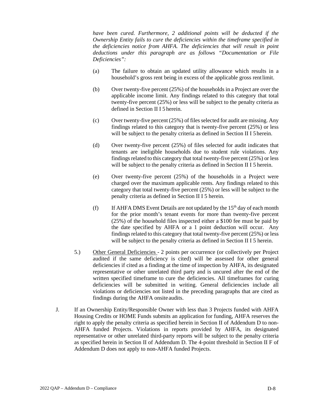*have been cured. Furthermore, 2 additional points will be deducted if the Ownership Entity fails to cure the deficiencies within the timeframe specified in the deficiencies notice from AHFA. The deficiencies that will result in point deductions under this paragraph are as follows "Documentation or File Deficiencies":*

- (a) The failure to obtain an updated utility allowance which results in a household's gross rent being in excess of the applicable gross rentlimit.
- (b) Over twenty-five percent (25%) of the households in a Project are over the applicable income limit. Any findings related to this category that total twenty-five percent (25%) or less will be subject to the penalty criteria as defined in Section II I 5 herein.
- (c) Over twenty-five percent (25%) of files selected for audit are missing. Any findings related to this category that is twenty-five percent (25%) or less will be subject to the penalty criteria as defined in Section II I 5 herein.
- (d) Over twenty-five percent (25%) of files selected for audit indicates that tenants are ineligible households due to student rule violations. Any findings related to this category that total twenty-five percent  $(25%)$  or less will be subject to the penalty criteria as defined in Section II I 5 herein.
- (e) Over twenty-five percent (25%) of the households in a Project were charged over the maximum applicable rents. Any findings related to this category that total twenty-five percent (25%) or less will be subject to the penalty criteria as defined in Section II I 5 herein.
- (f) If AHFA DMS Event Details are not updated by the  $15<sup>th</sup>$  day of each month for the prior month's tenant events for more than twenty-five percent (25%) of the household files inspected either a \$100 fee must be paid by the date specified by AHFA or a 1 point deduction will occur. Any findings related to this category that total twenty-five percent (25%) or less will be subject to the penalty criteria as defined in Section II I 5 herein.
- 5.) Other General Deficiencies 2 points per occurrence (or collectively per Project audited if the same deficiency is cited) will be assessed for other general deficiencies if cited as a finding at the time of inspection by AHFA, its designated representative or other unrelated third party and is uncured after the end of the written specified timeframe to cure the deficiencies. All timeframes for curing deficiencies will be submitted in writing. General deficiencies include all violations or deficiencies not listed in the preceding paragraphs that are cited as findings during the AHFA onsite audits.
- J. If an Ownership Entity/Responsible Owner with less than 3 Projects funded with AHFA Housing Credits or HOME Funds submits an application for funding, AHFA reserves the right to apply the penalty criteria as specified herein in Section II of Addendum D to non-AHFA funded Projects. Violations in reports provided by AHFA, its designated representative or other unrelated third-party reports will be subject to the penalty criteria as specified herein in Section II of Addendum D. The 4-point threshold in Section II F of Addendum D does not apply to non-AHFA funded Projects.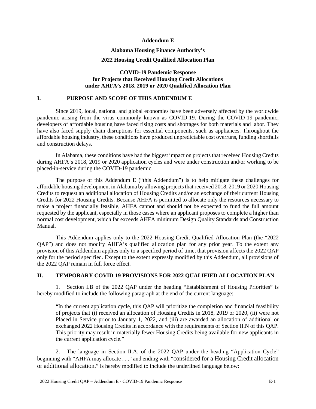#### **Addendum E**

# **Alabama Housing Finance Authority's**

## **2022 Housing Credit Qualified Allocation Plan**

#### **COVID-19 Pandemic Response for Projects that Received Housing Credit Allocations under AHFA's 2018, 2019 or 2020 Qualified Allocation Plan**

#### **I. PURPOSE AND SCOPE OF THIS ADDENDUM E**

Since 2019, local, national and global economies have been adversely affected by the worldwide pandemic arising from the virus commonly known as COVID-19. During the COVID-19 pandemic, developers of affordable housing have faced rising costs and shortages for both materials and labor. They have also faced supply chain disruptions for essential components, such as appliances. Throughout the affordable housing industry, these conditions have produced unpredictable cost overruns, funding shortfalls and construction delays.

In Alabama, these conditions have had the biggest impact on projects that received Housing Credits during AHFA's 2018, 2019 or 2020 application cycles and were under construction and/or working to be placed-in-service during the COVID-19 pandemic.

The purpose of this Addendum E ("this Addendum") is to help mitigate these challenges for affordable housing development in Alabama by allowing projects that received 2018, 2019 or 2020 Housing Credits to request an additional allocation of Housing Credits and/or an exchange of their current Housing Credits for 2022 Housing Credits. Because AHFA is permitted to allocate only the resources necessary to make a project financially feasible, AHFA cannot and should not be expected to fund the full amount requested by the applicant, especially in those cases where an applicant proposes to complete a higher than normal cost development, which far exceeds AHFA minimum Design Quality Standards and Construction Manual.

This Addendum applies only to the 2022 Housing Credit Qualified Allocation Plan (the "2022 QAP") and does not modify AHFA's qualified allocation plan for any prior year. To the extent any provision of this Addendum applies only to a specified period of time, that provision affects the 2022 QAP only for the period specified. Except to the extent expressly modified by this Addendum, all provisions of the 2022 QAP remain in full force effect.

#### **II. TEMPORARY COVID-19 PROVISIONS FOR 2022 QUALIFIED ALLOCATION PLAN**

1. Section I.B of the 2022 QAP under the heading "Establishment of Housing Priorities" is hereby modified to include the following paragraph at the end of the current language:

"In the current application cycle, this QAP will prioritize the completion and financial feasibility of projects that (i) received an allocation of Housing Credits in 2018, 2019 or 2020, (ii) were not Placed in Service prior to January 1, 2022, and (iii) are awarded an allocation of additional or exchanged 2022 Housing Credits in accordance with the requirements of Section II.N of this QAP. This priority may result in materially fewer Housing Credits being available for new applicants in the current application cycle."

2. The language in Section II.A. of the 2022 QAP under the heading "Application Cycle" beginning with "AHFA may allocate . . ." and ending with "considered for a Housing Credit allocation or additional allocation." is hereby modified to include the underlined language below: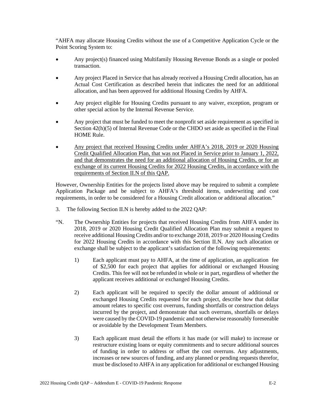"AHFA may allocate Housing Credits without the use of a Competitive Application Cycle or the Point Scoring System to:

- Any project(s) financed using Multifamily Housing Revenue Bonds as a single or pooled transaction.
- Any project Placed in Service that has already received a Housing Credit allocation, has an Actual Cost Certification as described herein that indicates the need for an additional allocation, and has been approved for additional Housing Credits by AHFA.
- Any project eligible for Housing Credits pursuant to any waiver, exception, program or other special action by the Internal Revenue Service.
- Any project that must be funded to meet the nonprofit set aside requirement as specified in Section 42(h)(5) of Internal Revenue Code or the CHDO set aside as specified in the Final HOME Rule.
- Any project that received Housing Credits under AHFA's 2018, 2019 or 2020 Housing Credit Qualified Allocation Plan, that was not Placed in Service prior to January 1, 2022, and that demonstrates the need for an additional allocation of Housing Credits, or for an exchange of its current Housing Credits for 2022 Housing Credits, in accordance with the requirements of Section II.N of this QAP.

However, Ownership Entities for the projects listed above may be required to submit a complete Application Package and be subject to AHFA's threshold items, underwriting and cost requirements, in order to be considered for a Housing Credit allocation or additional allocation."

- 3. The following Section II.N is hereby added to the 2022 QAP:
- "N. The Ownership Entities for projects that received Housing Credits from AHFA under its 2018, 2019 or 2020 Housing Credit Qualified Allocation Plan may submit a request to receive additional Housing Credits and/or to exchange 2018, 2019 or 2020 Housing Credits for 2022 Housing Credits in accordance with this Section II.N. Any such allocation or exchange shall be subject to the applicant's satisfaction of the following requirements:
	- 1) Each applicant must pay to AHFA, at the time of application, an application fee of \$2,500 for each project that applies for additional or exchanged Housing Credits. This fee will not be refunded in whole or in part, regardless of whether the applicant receives additional or exchanged Housing Credits.
	- 2) Each applicant will be required to specify the dollar amount of additional or exchanged Housing Credits requested for each project, describe how that dollar amount relates to specific cost overruns, funding shortfalls or construction delays incurred by the project, and demonstrate that such overruns, shortfalls or delays were caused by the COVID-19 pandemic and not otherwise reasonably foreseeable or avoidable by the Development Team Members.
	- 3) Each applicant must detail the efforts it has made (or will make) to increase or restructure existing loans or equity commitments and to secure additional sources of funding in order to address or offset the cost overruns. Any adjustments, increases or new sources of funding, and any planned or pending requests therefor, must be disclosed to AHFA in any application for additional or exchanged Housing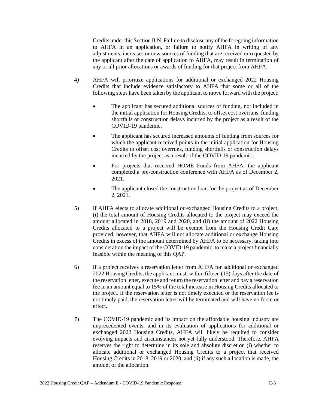Credits under this Section II.N. Failure to disclose any of the foregoing information to AHFA in an application, or failure to notify AHFA in writing of any adjustments, increases or new sources of funding that are received or requested by the applicant after the date of application to AHFA, may result in termination of any or all prior allocations or awards of funding for that project from AHFA.

- 4) AHFA will prioritize applications for additional or exchanged 2022 Housing Credits that include evidence satisfactory to AHFA that some or all of the following steps have been taken by the applicant to move forward with the project:
	- The applicant has secured additional sources of funding, not included in the initial application for Housing Credits, to offset cost overruns, funding shortfalls or construction delays incurred by the project as a result of the COVID-19 pandemic.
	- The applicant has secured increased amounts of funding from sources for which the applicant received points in the initial application for Housing Credits to offset cost overruns, funding shortfalls or construction delays incurred by the project as a result of the COVID-19 pandemic.
	- For projects that received HOME Funds from AHFA, the applicant completed a pre-construction conference with AHFA as of December 2, 2021.
	- The applicant closed the construction loan for the project as of December 2, 2021.
- 5) If AHFA elects to allocate additional or exchanged Housing Credits to a project, (i) the total amount of Housing Credits allocated to the project may exceed the amount allocated in 2018, 2019 and 2020, and (ii) the amount of 2022 Housing Credits allocated to a project will be exempt from the Housing Credit Cap; provided, however, that AHFA will not allocate additional or exchange Housing Credits in excess of the amount determined by AHFA to be necessary, taking into consideration the impact of the COVID-19 pandemic, to make a project financially feasible within the meaning of this QAP.
- 6) If a project receives a reservation letter from AHFA for additional or exchanged 2022 Housing Credits, the applicant must, within fifteen (15) days after the date of the reservation letter, execute and return the reservation letter and pay a reservation fee in an amount equal to 15% of the total increase in Housing Credits allocated to the project. If the reservation letter is not timely executed or the reservation fee is not timely paid, the reservation letter will be terminated and will have no force or effect.
- 7) The COVID-19 pandemic and its impact on the affordable housing industry are unprecedented events, and in its evaluation of applications for additional or exchanged 2022 Housing Credits, AHFA will likely be required to consider evolving impacts and circumstances not yet fully understood. Therefore, AHFA reserves the right to determine in its sole and absolute discretion (i) whether to allocate additional or exchanged Housing Credits to a project that received Housing Credits in 2018, 2019 or 2020, and (ii) if any such allocation is made, the amount of the allocation.